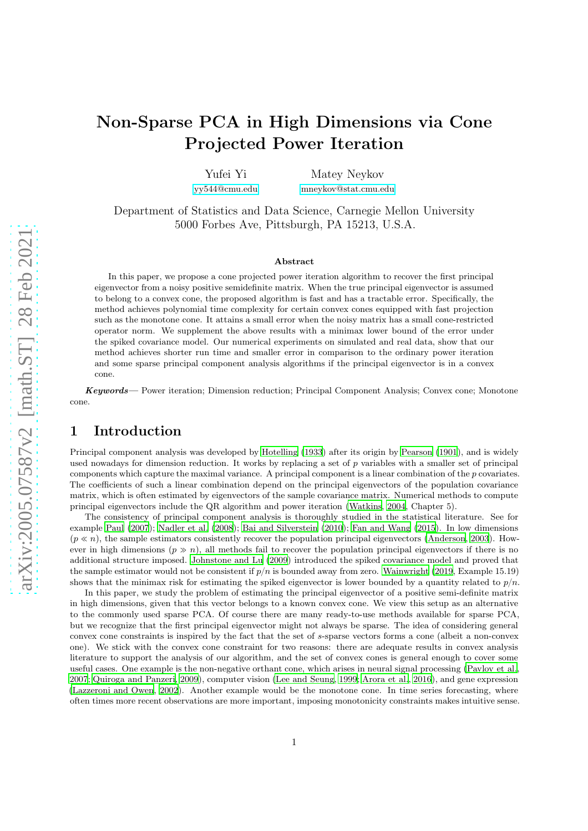# Non-Sparse PCA in High Dimensions via Cone Projected Power Iteration

Yufei Yi [yy544@cmu.edu](mailto:yy544@cmu.edu)

Matey Neykov [mneykov@stat.cmu.edu](mailto:mneykov@stat.cmu.edu)

Department of Statistics and Data Science, Carnegie Mellon University 5000 Forbes Ave, Pittsburgh, PA 15213, U.S.A.

#### Abstract

In this paper, we propose a cone projected power iteration algorithm to recover the first principal eigenvector from a noisy positive semidefinite matrix. When the true principal eigenvector is assumed to belong to a convex cone, the proposed algorithm is fast and has a tractable error. Specifically, the method achieves polynomial time complexity for certain convex cones equipped with fast projection such as the monotone cone. It attains a small error when the noisy matrix has a small cone-restricted operator norm. We supplement the above results with a minimax lower bound of the error under the spiked covariance model. Our numerical experiments on simulated and real data, show that our method achieves shorter run time and smaller error in comparison to the ordinary power iteration and some sparse principal component analysis algorithms if the principal eigenvector is in a convex cone.

Keywords— Power iteration; Dimension reduction; Principal Component Analysis; Convex cone; Monotone cone.

## 1 Introduction

Principal component analysis was developed by [Hotelling \(1933](#page-33-0)) after its origin by [Pearson \(1901\)](#page-33-1), and is widely used nowadays for dimension reduction. It works by replacing a set of  $p$  variables with a smaller set of principal components which capture the maximal variance. A principal component is a linear combination of the p covariates. The coefficients of such a linear combination depend on the principal eigenvectors of the population covariance matrix, which is often estimated by eigenvectors of the sample covariance matrix. Numerical methods to compute principal eigenvectors include the QR algorithm and power iteration [\(Watkins](#page-34-0), [2004](#page-34-0), Chapter 5).

The consistency of principal component analysis is thoroughly studied in the statistical literature. See for example [Paul \(2007\)](#page-33-2); [Nadler et al. \(2008](#page-33-3)); [Bai and Silverstein \(2010](#page-32-0)); [Fan and Wang \(2015\)](#page-32-1). In low dimensions  $(p \ll n)$ , the sample estimators consistently recover the population principal eigenvectors [\(Anderson](#page-32-2), [2003\)](#page-32-2). However in high dimensions  $(p \gg n)$ , all methods fail to recover the population principal eigenvectors if there is no additional structure imposed. [Johnstone and Lu \(2009](#page-33-4)) introduced the spiked covariance model and proved that the sample estimator would not be consistent if  $p/n$  is bounded away from zero. [Wainwright \(2019](#page-34-1), Example 15.19) shows that the minimax risk for estimating the spiked eigenvector is lower bounded by a quantity related to  $p/n$ .

In this paper, we study the problem of estimating the principal eigenvector of a positive semi-definite matrix in high dimensions, given that this vector belongs to a known convex cone. We view this setup as an alternative to the commonly used sparse PCA. Of course there are many ready-to-use methods available for sparse PCA, but we recognize that the first principal eigenvector might not always be sparse. The idea of considering general convex cone constraints is inspired by the fact that the set of s-sparse vectors forms a cone (albeit a non-convex one). We stick with the convex cone constraint for two reasons: there are adequate results in convex analysis literature to support the analysis of our algorithm, and the set of convex cones is general enough to cover some useful cases. One example is the non-negative orthant cone, which arises in neural signal processing [\(Pavlov et al.](#page-33-5), [2007](#page-33-5); [Quiroga and Panzeri](#page-33-6), [2009\)](#page-33-6), computer vision [\(Lee and Seung](#page-33-7), [1999](#page-33-7); [Arora et al.](#page-32-3), [2016\)](#page-32-3), and gene expression [\(Lazzeroni and Owen, 2002](#page-33-8)). Another example would be the monotone cone. In time series forecasting, where often times more recent observations are more important, imposing monotonicity constraints makes intuitive sense.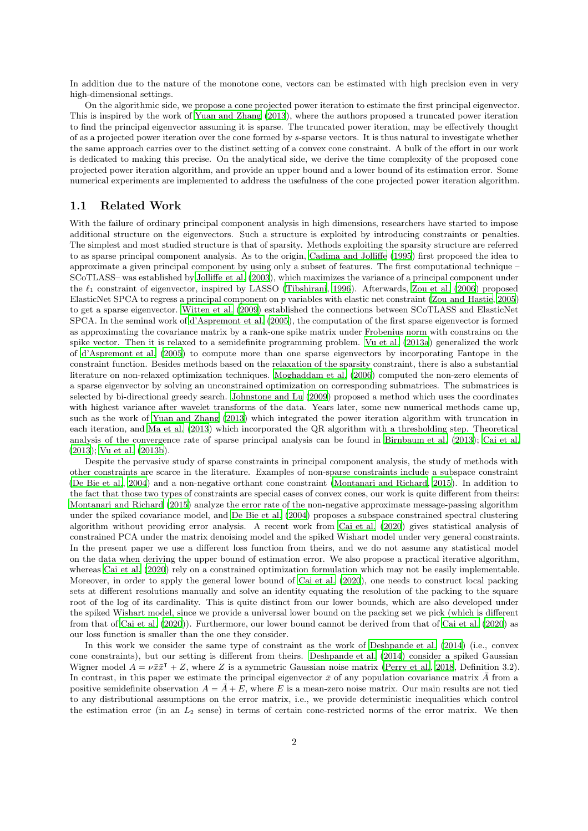In addition due to the nature of the monotone cone, vectors can be estimated with high precision even in very high-dimensional settings.

On the algorithmic side, we propose a cone projected power iteration to estimate the first principal eigenvector. This is inspired by the work of [Yuan and Zhang \(2013](#page-34-2)), where the authors proposed a truncated power iteration to find the principal eigenvector assuming it is sparse. The truncated power iteration, may be effectively thought of as a projected power iteration over the cone formed by s-sparse vectors. It is thus natural to investigate whether the same approach carries over to the distinct setting of a convex cone constraint. A bulk of the effort in our work is dedicated to making this precise. On the analytical side, we derive the time complexity of the proposed cone projected power iteration algorithm, and provide an upper bound and a lower bound of its estimation error. Some numerical experiments are implemented to address the usefulness of the cone projected power iteration algorithm.

### 1.1 Related Work

With the failure of ordinary principal component analysis in high dimensions, researchers have started to impose additional structure on the eigenvectors. Such a structure is exploited by introducing constraints or penalties. The simplest and most studied structure is that of sparsity. Methods exploiting the sparsity structure are referred to as sparse principal component analysis. As to the origin, [Cadima and Jolliffe \(1995\)](#page-32-4) first proposed the idea to approximate a given principal component by using only a subset of features. The first computational technique – SCoTLASS– was established by [Jolliffe et al. \(2003\)](#page-33-9), which maximizes the variance of a principal component under the  $\ell_1$  constraint of eigenvector, inspired by LASSO [\(Tibshirani,](#page-33-10) [1996](#page-33-10)). Afterwards, [Zou et al. \(2006](#page-34-3)) proposed ElasticNet SPCA to regress a principal component on p variables with elastic net constraint [\(Zou and Hastie, 2005\)](#page-34-4) to get a sparse eigenvector. [Witten et al. \(2009](#page-34-5)) established the connections between SCoTLASS and ElasticNet SPCA. In the seminal work of [d'Aspremont et al. \(2005\)](#page-32-5), the computation of the first sparse eigenvector is formed as approximating the covariance matrix by a rank-one spike matrix under Frobenius norm with constrains on the spike vector. Then it is relaxed to a semidefinite programming problem. [Vu et al. \(2013a](#page-34-6)) generalized the work of [d'Aspremont et al. \(2005](#page-32-5)) to compute more than one sparse eigenvectors by incorporating Fantope in the constraint function. Besides methods based on the relaxation of the sparsity constraint, there is also a substantial literature on non-relaxed optimization techniques. [Moghaddam et al. \(2006](#page-33-11)) computed the non-zero elements of a sparse eigenvector by solving an unconstrained optimization on corresponding submatrices. The submatrices is selected by bi-directional greedy search. [Johnstone and Lu](#page-33-4) [\(2009](#page-33-4)) proposed a method which uses the coordinates with highest variance after wavelet transforms of the data. Years later, some new numerical methods came up, such as the work of [Yuan and Zhang \(2013](#page-34-2)) which integrated the power iteration algorithm with truncation in each iteration, and [Ma et al. \(2013](#page-33-12)) which incorporated the QR algorithm with a thresholding step. Theoretical analysis of the convergence rate of sparse principal analysis can be found in [Birnbaum et al. \(2013\)](#page-32-6); [Cai et al.](#page-32-7) [\(2013\)](#page-32-7); [Vu et al. \(2013b\)](#page-34-7).

Despite the pervasive study of sparse constraints in principal component analysis, the study of methods with other constraints are scarce in the literature. Examples of non-sparse constraints include a subspace constraint [\(De Bie et al.](#page-32-8), [2004](#page-32-8)) and a non-negative orthant cone constraint [\(Montanari and Richard, 2015\)](#page-33-13). In addition to the fact that those two types of constraints are special cases of convex cones, our work is quite different from theirs: [Montanari and Richard \(2015](#page-33-13)) analyze the error rate of the non-negative approximate message-passing algorithm under the spiked covariance model, and [De Bie et al. \(2004](#page-32-8)) proposes a subspace constrained spectral clustering algorithm without providing error analysis. A recent work from [Cai et al. \(2020](#page-32-9)) gives statistical analysis of constrained PCA under the matrix denoising model and the spiked Wishart model under very general constraints. In the present paper we use a different loss function from theirs, and we do not assume any statistical model on the data when deriving the upper bound of estimation error. We also propose a practical iterative algorithm, whereas [Cai et al. \(2020\)](#page-32-9) rely on a constrained optimization formulation which may not be easily implementable. Moreover, in order to apply the general lower bound of [Cai et al. \(2020](#page-32-9)), one needs to construct local packing sets at different resolutions manually and solve an identity equating the resolution of the packing to the square root of the log of its cardinality. This is quite distinct from our lower bounds, which are also developed under the spiked Wishart model, since we provide a universal lower bound on the packing set we pick (which is different from that of [Cai et al. \(2020](#page-32-9))). Furthermore, our lower bound cannot be derived from that of [Cai et al. \(2020\)](#page-32-9) as our loss function is smaller than the one they consider.

In this work we consider the same type of constraint as the work of [Deshpande et al. \(2014\)](#page-32-10) (i.e., convex cone constraints), but our setting is different from theirs. [Deshpande et al. \(2014](#page-32-10)) consider a spiked Gaussian Wigner model  $A = \nu \bar{x} \bar{x}^{\mathsf{T}} + Z$ , where Z is a symmetric Gaussian noise matrix [\(Perry et al.](#page-33-14), [2018](#page-33-14), Definition 3.2). In contrast, in this paper we estimate the principal eigenvector  $\bar{x}$  of any population covariance matrix  $\bar{A}$  from a positive semidefinite observation  $A = \overline{A} + E$ , where E is a mean-zero noise matrix. Our main results are not tied to any distributional assumptions on the error matrix, i.e., we provide deterministic inequalities which control the estimation error (in an  $L_2$  sense) in terms of certain cone-restricted norms of the error matrix. We then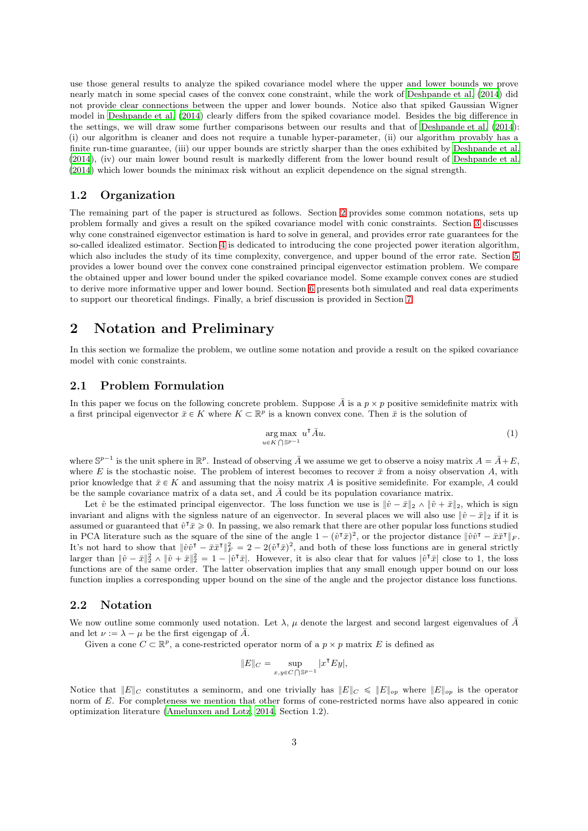use those general results to analyze the spiked covariance model where the upper and lower bounds we prove nearly match in some special cases of the convex cone constraint, while the work of [Deshpande et al. \(2014\)](#page-32-10) did not provide clear connections between the upper and lower bounds. Notice also that spiked Gaussian Wigner model in [Deshpande et al. \(2014](#page-32-10)) clearly differs from the spiked covariance model. Besides the big difference in the settings, we will draw some further comparisons between our results and that of [Deshpande et al. \(2014](#page-32-10)): (i) our algorithm is cleaner and does not require a tunable hyper-parameter, (ii) our algorithm provably has a finite run-time guarantee, (iii) our upper bounds are strictly sharper than the ones exhibited by [Deshpande et al.](#page-32-10) [\(2014\)](#page-32-10), (iv) our main lower bound result is markedly different from the lower bound result of [Deshpande et al.](#page-32-10) [\(2014\)](#page-32-10) which lower bounds the minimax risk without an explicit dependence on the signal strength.

### 1.2 Organization

The remaining part of the paper is structured as follows. Section [2](#page-2-0) provides some common notations, sets up problem formally and gives a result on the spiked covariance model with conic constraints. Section [3](#page-4-0) discusses why cone constrained eigenvector estimation is hard to solve in general, and provides error rate guarantees for the so-called idealized estimator. Section [4](#page-4-1) is dedicated to introducing the cone projected power iteration algorithm, which also includes the study of its time complexity, convergence, and upper bound of the error rate. Section [5](#page-7-0) provides a lower bound over the convex cone constrained principal eigenvector estimation problem. We compare the obtained upper and lower bound under the spiked covariance model. Some example convex cones are studied to derive more informative upper and lower bound. Section [6](#page-10-0) presents both simulated and real data experiments to support our theoretical findings. Finally, a brief discussion is provided in Section [7.](#page-13-0)

## <span id="page-2-0"></span>2 Notation and Preliminary

In this section we formalize the problem, we outline some notation and provide a result on the spiked covariance model with conic constraints.

### 2.1 Problem Formulation

In this paper we focus on the following concrete problem. Suppose  $\bar{A}$  is a  $p \times p$  positive semidefinite matrix with a first principal eigenvector  $\bar{x} \in K$  where  $K \subset \mathbb{R}^p$  is a known convex cone. Then  $\bar{x}$  is the solution of

<span id="page-2-1"></span>
$$
\underset{u \in K \bigcap \mathbb{S}^{p-1}}{\arg \max} \ u^{\mathsf{T}} \bar{A} u. \tag{1}
$$

where  $\mathbb{S}^{p-1}$  is the unit sphere in  $\mathbb{R}^p$ . Instead of observing  $\overline{A}$  we assume we get to observe a noisy matrix  $A = \overline{A} + E$ , where E is the stochastic noise. The problem of interest becomes to recover  $\bar{x}$  from a noisy observation A, with prior knowledge that  $\bar{x} \in K$  and assuming that the noisy matrix A is positive semidefinite. For example, A could be the sample covariance matrix of a data set, and  $\overline{A}$  could be its population covariance matrix.

Let  $\hat{v}$  be the estimated principal eigenvector. The loss function we use is  $\|\hat{v}-\bar{x}\|_2 \wedge \|\hat{v}+\bar{x}\|_2$ , which is sign invariant and aligns with the signless nature of an eigenvector. In several places we will also use  $\|\hat{v} - \bar{x}\|_2$  if it is assumed or guaranteed that  $\hat{v}^{\intercal}\bar{x}\geq 0$ . In passing, we also remark that there are other popular loss functions studied in PCA literature such as the square of the sine of the angle  $1 - (\hat{v}^{\dagger}\bar{x})^2$ , or the projector distance  $\|\hat{v}\hat{v}^{\dagger} - \bar{x}\bar{x}^{\dagger}\|_F$ . It's not hard to show that  $\|\hat{v}\hat{v}^\intercal - \bar{x}\bar{x}^\intercal\|_F^2 = 2 - 2(\hat{v}^\intercal \bar{x})^2$ , and both of these loss functions are in general strictly larger than  $\|\hat{v}-\bar{x}\|_2^2 \wedge \|\hat{v}+\bar{x}\|_2^2 = 1 - |\hat{v}^\mathsf{T}\bar{x}|$ . However, it is also clear that for values  $|\hat{v}^\mathsf{T}\bar{x}|$  close to 1, the loss functions are of the same order. The latter observation implies that any small enough upper bound on our loss function implies a corresponding upper bound on the sine of the angle and the projector distance loss functions.

### 2.2 Notation

We now outline some commonly used notation. Let  $\lambda$ ,  $\mu$  denote the largest and second largest eigenvalues of  $\bar{A}$ and let  $\nu := \lambda - \mu$  be the first eigengap of  $\overline{A}$ .

Given a cone  $C \subset \mathbb{R}^p$ , a cone-restricted operator norm of a  $p \times p$  matrix E is defined as

$$
||E||_C = \sup_{x,y \in C \bigcap \mathbb{S}^{p-1}} |x^{\mathsf{T}} E y|,
$$

Notice that  $||E||_C$  constitutes a seminorm, and one trivially has  $||E||_C \le ||E||_{op}$  where  $||E||_{op}$  is the operator norm of E. For completeness we mention that other forms of cone-restricted norms have also appeared in conic optimization literature [\(Amelunxen and Lotz](#page-32-11), [2014](#page-32-11), Section 1.2).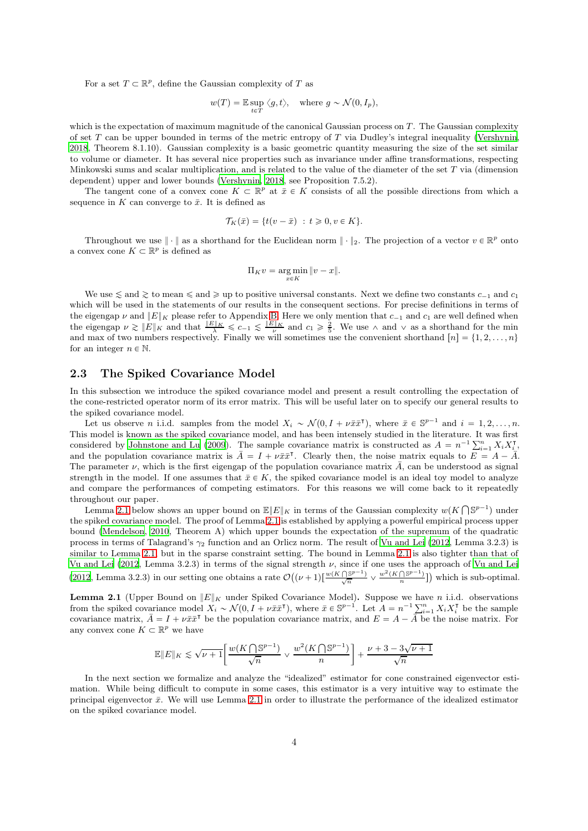For a set  $T \subset \mathbb{R}^p$ , define the Gaussian complexity of T as

$$
w(T) = \mathbb{E} \sup_{t \in T} \langle g, t \rangle
$$
, where  $g \sim \mathcal{N}(0, I_p)$ ,

which is the expectation of maximum magnitude of the canonical Gaussian process on  $T$ . The Gaussian complexity of set  $T$  can be upper bounded in terms of the metric entropy of  $T$  via Dudley's integral inequality [\(Vershynin](#page-34-8), [2018](#page-34-8), Theorem 8.1.10). Gaussian complexity is a basic geometric quantity measuring the size of the set similar to volume or diameter. It has several nice properties such as invariance under affine transformations, respecting Minkowski sums and scalar multiplication, and is related to the value of the diameter of the set  $T$  via (dimension dependent) upper and lower bounds [\(Vershynin](#page-34-8), [2018](#page-34-8), see Proposition 7.5.2).

The tangent cone of a convex cone  $K \subset \mathbb{R}^p$  at  $\bar{x} \in K$  consists of all the possible directions from which a sequence in K can converge to  $\bar{x}$ . It is defined as

$$
\mathcal{T}_K(\bar{x}) = \{t(v - \bar{x}) \ : \ t \geq 0, v \in K\}.
$$

Throughout we use  $\|\cdot\|$  as a shorthand for the Euclidean norm  $\|\cdot\|_2$ . The projection of a vector  $v \in \mathbb{R}^p$  onto a convex cone  $K \subset \mathbb{R}^p$  is defined as

$$
\Pi_K v = \underset{x \in K}{\arg \min} \|v - x\|.
$$

We use  $\leq$  and  $\geq$  to mean  $\leq$  and  $\geq$  up to positive universal constants. Next we define two constants  $c_{-1}$  and  $c_1$ which will be used in the statements of our results in the consequent sections. For precise definitions in terms of the eigengap  $\nu$  and  $||E||_K$  please refer to Appendix [B.](#page-15-0) Here we only mention that  $c_{-1}$  and  $c_1$  are well defined when the eigengap  $\nu \gtrsim ||E||_K$  and that  $\frac{||E||_K}{\lambda} \leq c_{-1} \leq \frac{||E||_K}{\nu}$  and  $c_1 \geq \frac{2}{5}$ . We use  $\wedge$  and  $\vee$  as a shorthand for the min and max of two numbers respectively. Finally we will sometimes use the convenient shorthand  $[n] = \{1, 2, \ldots, n\}$ for an integer  $n \in \mathbb{N}$ .

### 2.3 The Spiked Covariance Model

In this subsection we introduce the spiked covariance model and present a result controlling the expectation of the cone-restricted operator norm of its error matrix. This will be useful later on to specify our general results to the spiked covariance model.

Let us observe *n* i.i.d. samples from the model  $X_i \sim \mathcal{N}(0, I + \nu \bar{x} \bar{x}^{\mathsf{T}})$ , where  $\bar{x} \in \mathbb{S}^{p-1}$  and  $i = 1, 2, ..., n$ . This model is known as the spiked covariance model, and has been intensely studied in the literature. It was first considered by [Johnstone and Lu \(2009](#page-33-4)). The sample covariance matrix is constructed as  $A = n^{-1} \sum_{i=1}^{n} X_i X_i^{\intercal}$ and the population covariance matrix is  $\overline{A} = I + \nu \overline{x} \overline{x}^{\intercal}$ . Clearly then, the noise matrix equals to  $\overline{E} = A - \overline{A}$ . The parameter  $\nu$ , which is the first eigengap of the population covariance matrix A, can be understood as signal strength in the model. If one assumes that  $\bar{x} \in K$ , the spiked covariance model is an ideal toy model to analyze and compare the performances of competing estimators. For this reasons we will come back to it repeatedly throughout our paper.

Lemma [2.1](#page-3-0) below shows an upper bound on  $\mathbb{E}||E||_K$  in terms of the Gaussian complexity  $w(K \bigcap \mathbb{S}^{p-1})$  under the spiked covariance model. The proof of Lemma [2.1](#page-3-0) is established by applying a powerful empirical process upper bound [\(Mendelson](#page-33-15), [2010](#page-33-15), Theorem A) which upper bounds the expectation of the supremum of the quadratic process in terms of Talagrand's  $\gamma_2$  function and an Orlicz norm. The result of [Vu and Lei \(2012,](#page-34-9) Lemma 3.2.3) is similar to Lemma [2.1,](#page-3-0) but in the sparse constraint setting. The bound in Lemma [2.1](#page-3-0) is also tighter than that of [Vu and Lei \(2012](#page-34-9), Lemma 3.2.3) in terms of the signal strength  $\nu$ , since if one uses the approach of [Vu and Lei](#page-34-9) [\(2012,](#page-34-9) Lemma 3.2.3) in our setting one obtains a rate  $\mathcal{O}((\nu+1)\left[\frac{w(K\cap\mathbb{S}^{p-1})}{\sqrt{n}}\vee \frac{w^2(K\cap\mathbb{S}^{p-1})}{n}\right])$  which is sub-optimal.

<span id="page-3-0"></span>**Lemma 2.1** (Upper Bound on  $||E||_K$  under Spiked Covariance Model). Suppose we have n i.i.d. observations from the spiked covariance model  $X_i \sim \mathcal{N}(0, I + \nu \bar{x} \bar{x}^{\mathsf{T}})$ , where  $\bar{x} \in \mathbb{S}^{p-1}$ . Let  $A = n^{-1} \sum_{i=1}^n X_i X_i^{\mathsf{T}}$  be the sample covariance matrix,  $\bar{A} = I + \nu \bar{x} \bar{x}^{\dagger}$  be the population covariance matrix, and  $E = A - \bar{A}$  be the noise matrix. For any convex cone  $K \subset \mathbb{R}^p$  we have

$$
\mathbb{E}\|E\|_K \lesssim \sqrt{\nu+1}\bigg[\frac{w(K\bigcap \mathbb{S}^{p-1})}{\sqrt{n}} \vee \frac{w^2(K\bigcap \mathbb{S}^{p-1})}{n}\bigg] + \frac{\nu+3-3\sqrt{\nu+1}}{\sqrt{n}}
$$

In the next section we formalize and analyze the "idealized" estimator for cone constrained eigenvector estimation. While being difficult to compute in some cases, this estimator is a very intuitive way to estimate the principal eigenvector  $\bar{x}$ . We will use Lemma [2.1](#page-3-0) in order to illustrate the performance of the idealized estimator on the spiked covariance model.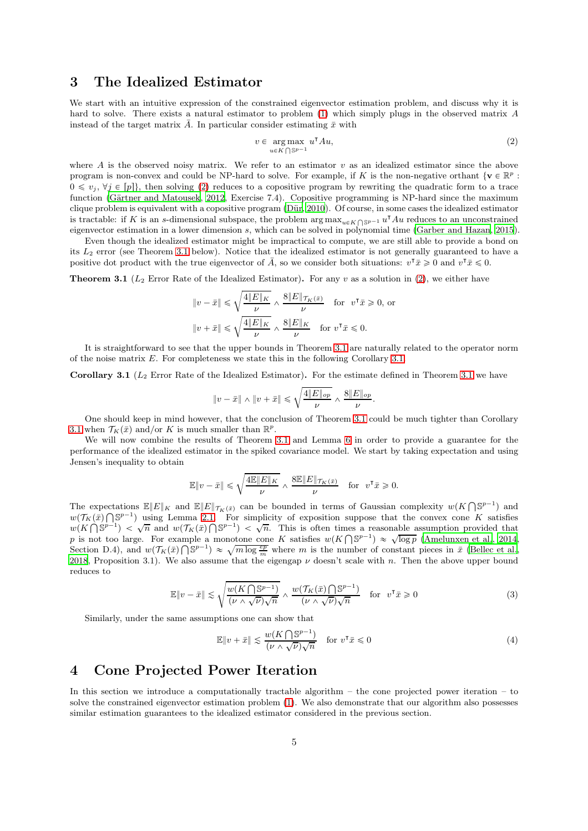## <span id="page-4-0"></span>3 The Idealized Estimator

We start with an intuitive expression of the constrained eigenvector estimation problem, and discuss why it is hard to solve. There exists a natural estimator to problem [\(1\)](#page-2-1) which simply plugs in the observed matrix A instead of the target matrix  $\overline{A}$ . In particular consider estimating  $\overline{x}$  with

<span id="page-4-2"></span>
$$
v \in \underset{u \in K \bigcap \mathbb{S}^{p-1}}{\arg \max} \ u^{\mathsf{T}} A u,\tag{2}
$$

where  $A$  is the observed noisy matrix. We refer to an estimator  $v$  as an idealized estimator since the above program is non-convex and could be NP-hard to solve. For example, if K is the non-negative orthant  $\{v \in \mathbb{R}^p :$  $0 \leq v_j, \forall j \in [p]$ , then solving [\(2\)](#page-4-2) reduces to a copositive program by rewriting the quadratic form to a trace function (Gärtner and Matousek, 2012, Exercise 7.4). Copositive programming is NP-hard since the maximum clique problem is equivalent with a copositive program (Dür, 2010). Of course, in some cases the idealized estimator is tractable: if K is an s-dimensional subspace, the problem  $\arg \max_{u \in K} \log p^{-1} u^{\intercal} A u$  reduces to an unconstrained eigenvector estimation in a lower dimension s, which can be solved in polynomial time [\(Garber and Hazan](#page-32-14), [2015](#page-32-14)).

Even though the idealized estimator might be impractical to compute, we are still able to provide a bond on its L<sup>2</sup> error (see Theorem [3.1](#page-4-3) below). Notice that the idealized estimator is not generally guaranteed to have a positive dot product with the true eigenvector of  $\overline{A}$ , so we consider both situations:  $v^{\dagger} \overline{x} \geq 0$  and  $v^{\dagger} \overline{x} \leq 0$ .

<span id="page-4-3"></span>**Theorem 3.1** ( $L_2$  Error Rate of the Idealized Estimator). For any v as a solution in [\(2\)](#page-4-2), we either have

$$
||v - \bar{x}|| \le \sqrt{\frac{4||E||_K}{\nu}} \wedge \frac{8||E||_{\mathcal{T}_K(\bar{x})}}{\nu} \quad \text{for} \quad v^{\mathsf{T}}\bar{x} \ge 0, \text{ or}
$$

$$
||v + \bar{x}|| \le \sqrt{\frac{4||E||_K}{\nu}} \wedge \frac{8||E||_K}{\nu} \quad \text{for} \quad v^{\mathsf{T}}\bar{x} \le 0.
$$

It is straightforward to see that the upper bounds in Theorem [3.1](#page-4-3) are naturally related to the operator norm of the noise matrix  $E$ . For completeness we state this in the following Corollary [3.1.](#page-4-4)

<span id="page-4-4"></span>**Corollary [3.1](#page-4-3)** ( $L_2$  Error Rate of the Idealized Estimator). For the estimate defined in Theorem 3.1 we have

$$
\|v-\bar x\|\wedge\|v+\bar x\|\leqslant \sqrt{\frac{4\|E\|_{op}}{\nu}}\wedge\frac{8\|E\|_{op}}{\nu}.
$$

One should keep in mind however, that the conclusion of Theorem [3.1](#page-4-3) could be much tighter than Corollary [3.1](#page-4-4) when  $\mathcal{T}_K(\bar{x})$  and/or K is much smaller than  $\mathbb{R}^p$ .

We will now combine the results of Theorem [3.1](#page-4-3) and Lemma [6](#page-6-0) in order to provide a guarantee for the performance of the idealized estimator in the spiked covariance model. We start by taking expectation and using Jensen's inequality to obtain

$$
\mathbb{E}\|v - \bar{x}\| \leqslant \sqrt{\frac{4\mathbb{E}\|E\|_K}{\nu}} \wedge \frac{8\mathbb{E}\|E\|_{\mathcal{T}_K(\bar{x})}}{\nu} \quad \text{for} \ \ v^{\mathsf{T}}\bar{x} \geqslant 0.
$$

The expectations  $\mathbb{E}||E||_K$  and  $\mathbb{E}||E||_{\mathcal{T}_K(\bar{x})}$  can be bounded in terms of Gaussian complexity  $w(K \cap \mathbb{S}^{p-1})$  and  $w(\mathcal{T}_K(\bar{x})\bigcap S^{p-1})$  using Lemma [2.1.](#page-3-0) For simplicity of exposition suppose that the convex cone K satisfies  $w(K \cap \mathbb{S}^{p-1}) < \sqrt{n}$  and  $w(\mathcal{T}_K(\bar{x}) \cap \mathbb{S}^{p-1}) < \sqrt{n}$ . This is often times a reasonable assumption provided that p is not too large. For example a monotone cone K satisfies  $w(K \cap S^{p-1}) \approx \sqrt{\log p}$  [\(Amelunxen et al.](#page-32-15), [2014](#page-32-15), Section D.4), and  $w(\mathcal{T}_K(\bar{x})\bigcap \mathbb{S}^{p-1}) \approx \sqrt{m \log \frac{ep}{m}}$  where m is the number of constant pieces in  $\bar{x}$  [\(Bellec et al.](#page-32-16), [2018](#page-32-16), Proposition 3.1). We also assume that the eigengap  $\nu$  doesn't scale with n. Then the above upper bound reduces to

$$
\mathbb{E}\|v - \bar{x}\| \lesssim \sqrt{\frac{w(K\bigcap \mathbb{S}^{p-1})}{(\nu \wedge \sqrt{\nu})\sqrt{n}}} \wedge \frac{w(\mathcal{T}_K(\bar{x})\bigcap \mathbb{S}^{p-1})}{(\nu \wedge \sqrt{\nu})\sqrt{n}} \quad \text{for} \quad v^{\mathsf{T}}\bar{x} \geq 0 \tag{3}
$$

Similarly, under the same assumptions one can show that

<span id="page-4-6"></span><span id="page-4-5"></span>
$$
\mathbb{E}\|v+\bar{x}\| \lesssim \frac{w(K\bigcap \mathbb{S}^{p-1})}{(\nu \wedge \sqrt{\nu})\sqrt{n}} \quad \text{for } v^{\mathsf{T}}\bar{x} \leq 0
$$
 (4)

### <span id="page-4-1"></span>4 Cone Projected Power Iteration

In this section we introduce a computationally tractable algorithm – the cone projected power iteration – to solve the constrained eigenvector estimation problem [\(1\)](#page-2-1). We also demonstrate that our algorithm also possesses similar estimation guarantees to the idealized estimator considered in the previous section.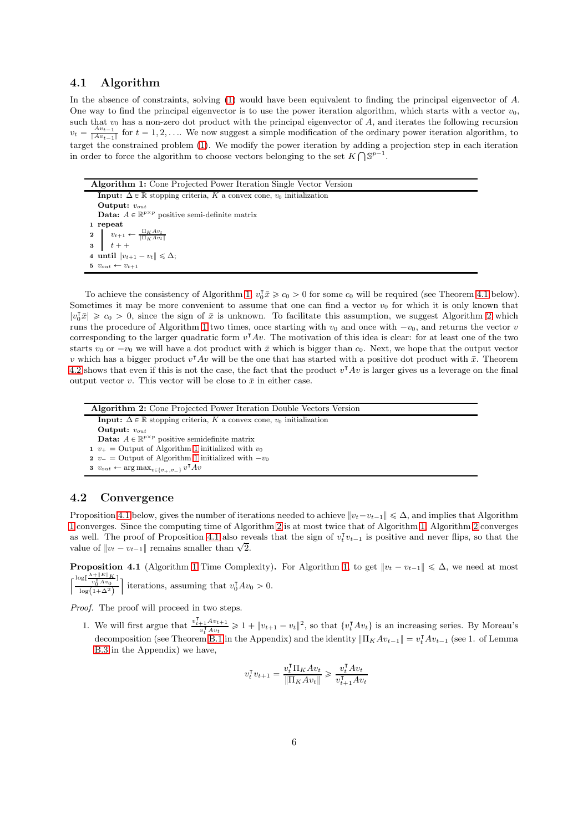### 4.1 Algorithm

In the absence of constraints, solving [\(1\)](#page-2-1) would have been equivalent to finding the principal eigenvector of A. One way to find the principal eigenvector is to use the power iteration algorithm, which starts with a vector  $v_0$ , such that  $v_0$  has a non-zero dot product with the principal eigenvector of  $A$ , and iterates the following recursion  $v_t = \frac{Av_{t-1}}{\|Av_{t-1}\|}$  $\frac{Av_{t-1}}{||Av_{t-1}||}$  for  $t = 1, 2, ...$  We now suggest a simple modification of the ordinary power iteration algorithm, to target the constrained problem [\(1\)](#page-2-1). We modify the power iteration by adding a projection step in each iteration in order to force the algorithm to choose vectors belonging to the set  $K \bigcap \mathbb{S}^{p-1}$ .

<span id="page-5-0"></span>

| <b>Algorithm 1:</b> Cone Projected Power Iteration Single Vector Version                       |
|------------------------------------------------------------------------------------------------|
| <b>Input:</b> $\Delta \in \mathbb{R}$ stopping criteria, K a convex cone, $v_0$ initialization |
| Output: $v_{out}$                                                                              |
| <b>Data:</b> $A \in \mathbb{R}^{p \times p}$ positive semi-definite matrix                     |
| 1 repeat                                                                                       |
| 2 $v_{t+1} \leftarrow \frac{\prod_K Av_t}{\ \prod_K Av_t\ }$<br>3 $t + +$                      |
|                                                                                                |
| 4 until $\ v_{t+1} - v_t\  \leq \Delta$ ;                                                      |
| 5 $v_{out} \leftarrow v_{t+1}$                                                                 |

To achieve the consistency of Algorithm [1,](#page-5-0)  $v_0^{\intercal} \bar{x} \ge c_0 > 0$  for some  $c_0$  will be required (see Theorem [4.1](#page-6-1) below). Sometimes it may be more convenient to assume that one can find a vector  $v_0$  for which it is only known that  $|v_0^{\dagger} \bar{x}| \geq c_0 > 0$ , since the sign of  $\bar{x}$  is unknown. To facilitate this assumption, we suggest Algorithm [2](#page-5-1) which runs the procedure of Algorithm [1](#page-5-0) two times, once starting with  $v_0$  and once with  $-v_0$ , and returns the vector v corresponding to the larger quadratic form  $v^{\mathsf{T}}Av$ . The motivation of this idea is clear: for at least one of the two starts  $v_0$  or  $-v_0$  we will have a dot product with  $\bar{x}$  which is bigger than  $c_0$ . Next, we hope that the output vector v which has a bigger product  $v^{\mathsf{T}}Av$  will be the one that has started with a positive dot product with  $\bar{x}$ . Theorem [4.2](#page-7-1) shows that even if this is not the case, the fact that the product  $v^{\mathsf{T}}Av$  is larger gives us a leverage on the final output vector v. This vector will be close to  $\bar{x}$  in either case.

<span id="page-5-1"></span>

| <b>Algorithm 2:</b> Cone Projected Power Iteration Double Vectors Version                      |  |
|------------------------------------------------------------------------------------------------|--|
| <b>Input:</b> $\Delta \in \mathbb{R}$ stopping criteria, K a convex cone, $v_0$ initialization |  |
| Output: $v_{out}$                                                                              |  |
| <b>Data:</b> $A \in \mathbb{R}^{p \times p}$ positive semidefinite matrix                      |  |
| 1 $v_{+}$ = Output of Algorithm 1 initialized with $v_{0}$                                     |  |
| 2 $v_-$ = Output of Algorithm 1 initialized with $-v_0$                                        |  |
| 3 $v_{out} \leftarrow \arg \max_{v \in \{v_+, v_-\}} v^{\mathsf{T}} A v$                       |  |

### 4.2 Convergence

Proposition [4.1](#page-5-2) below, gives the number of iterations needed to achieve  $||v_t - v_{t-1}|| \leq \Delta$ , and implies that Algorithm [1](#page-5-0) converges. Since the computing time of Algorithm [2](#page-5-1) is at most twice that of Algorithm [1,](#page-5-0) Algorithm [2](#page-5-1) converges as well. The proof of Proposition [4.1](#page-5-2) also reveals that the sign of  $v_t^{\dagger} v_{t-1}$  is positive and never flips, so that the value of  $||v_t - v_{t-1}||$  remains smaller than  $\sqrt{2}$ .

<span id="page-5-2"></span>**Proposition 4.1** (Algorithm [1](#page-5-0) Time Complexity). For Algorithm [1,](#page-5-0) to get  $||v_t - v_{t-1}|| \leq \Delta$ , we need at most  $\lceil \frac{\log \left[ \frac{\lambda + \|E\|_K}{v_0^\mathsf{T} A v_0} \right]}$  $\left[\frac{v_0^{\mathsf{T}} A v_0}{\log(1+\Delta^2)}\right]$  iterations, assuming that  $v_0^{\mathsf{T}} A v_0 > 0$ .

*Proof.* The proof will proceed in two steps.

1. We will first argue that  $\frac{v_{t+1}^{\mathsf{T}} Av_{t+1}}{v_t^{\mathsf{T}} Av_t} \geq 1 + ||v_{t+1} - v_t||^2$ , so that  $\{v_t^{\mathsf{T}} Av_t\}$  is an increasing series. By Moreau's decomposition (see Theorem [B.1](#page-16-0) in the Appendix) and the identity  $\|\Pi_K Av_{t-1}\| = v_t^T Av_{t-1}$  (see 1. of Lemma [B.3](#page-16-1) in the Appendix) we have,

$$
v_t^\mathsf{T} v_{t+1} = \frac{v_t^\mathsf{T} \Pi_K A v_t}{\|\Pi_K A v_t\|} \geqslant \frac{v_t^\mathsf{T} A v_t}{v_{t+1}^\mathsf{T} A v_t}
$$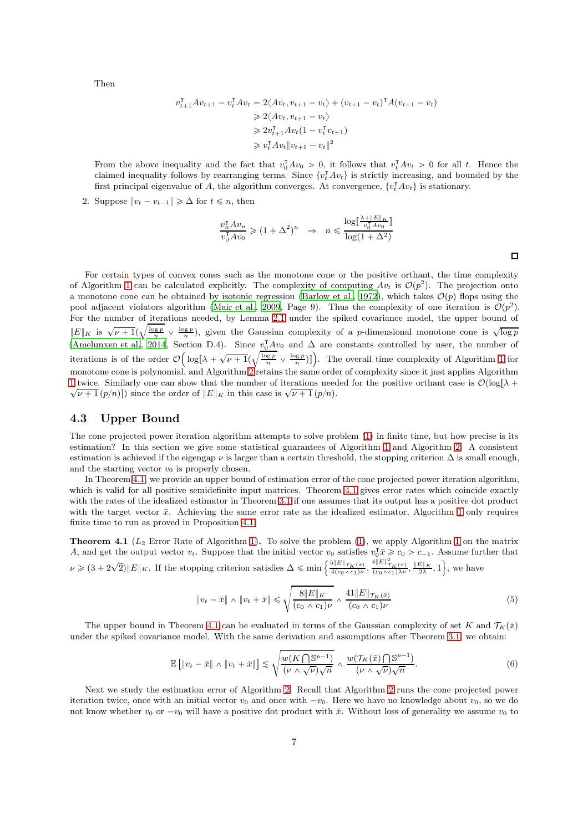Then

$$
v_{t+1}^{\mathsf{T}} Av_{t+1} - v_t^{\mathsf{T}} Av_t = 2\langle Av_t, v_{t+1} - v_t \rangle + (v_{t+1} - v_t)^{\mathsf{T}} A (v_{t+1} - v_t)
$$
  
\n
$$
\geq 2\langle Av_t, v_{t+1} - v_t \rangle
$$
  
\n
$$
\geq 2v_{t+1}^{\mathsf{T}} Av_t (1 - v_t^{\mathsf{T}} v_{t+1})
$$
  
\n
$$
\geq v_t^{\mathsf{T}} Av_t \|v_{t+1} - v_t\|^2
$$

From the above inequality and the fact that  $v_0^T Av_0 > 0$ , it follows that  $v_t^T Av_t > 0$  for all t. Hence the claimed inequality follows by rearranging terms. Since  $\{v_t^{\intercal}Av_t\}$  is strictly increasing, and bounded by the first principal eigenvalue of A, the algorithm converges. At convergence,  $\{v_t^{\dagger}Av_t\}$  is stationary.

2. Suppose  $||v_t - v_{t-1}|| \geq \Delta$  for  $t \leq n$ , then

$$
\frac{v_n^{\mathsf{T}} A v_n}{v_0^{\mathsf{T}} A v_0} \geq (1 + \Delta^2)^n \Rightarrow n \leqslant \frac{\log[\frac{\lambda + |E| |\mathcal{K}|}{v_0^{\mathsf{T}} A v_0}]}{\log(1 + \Delta^2)}
$$

For certain types of convex cones such as the monotone cone or the positive orthant, the time complexity of Algorithm [1](#page-5-0) can be calculated explicitly. The complexity of computing  $Av_t$  is  $\mathcal{O}(p^2)$ . The projection onto a monotone cone can be obtained by isotonic regression [\(Barlow et al.](#page-32-17), [1972\)](#page-32-17), which takes  $\mathcal{O}(p)$  flops using the pool adjacent violators algorithm [\(Mair et al.](#page-33-16), [2009,](#page-33-16) Page 9). Thus the complexity of one iteration is  $\mathcal{O}(p^2)$ . For the number of iterations needed, by Lemma [2.1](#page-3-0) under the spiked covariance model, the upper bound of  $||E||_K$  is  $\sqrt{\nu+1}(\sqrt{\frac{\log p}{n}} \vee \frac{\log p}{n})$ , given the Gaussian complexity of a *p*-dimensional monotone cone is  $\sqrt{\log p}$ [\(Amelunxen et al.](#page-32-15), [2014,](#page-32-15) Section D.4). Since  $v_0^{\mathsf{T}}Av_0$  and  $\Delta$  are constants controlled by user, the number of iterations is of the order  $\mathcal{O}\Big(\log\bigl[\lambda+\sqrt{\nu+1}\left(\sqrt{\frac{\log p}{n}}\vee \frac{\log p}{n}\right)\bigr]\Big)$ . The overall time complexity of Algorithm [1](#page-5-0) for monotone cone is polynomial, and Algorithm [2](#page-5-1) retains the same order of complexity since it just applies Algorithm [1](#page-5-0) twice. Similarly one can show that the number of iterations needed for the positive orthant case is  $\mathcal{O}(\log[\lambda +$  $\sqrt{\nu+1}(p/n)$ ) since the order of  $||E||_K$  in this case is  $\sqrt{\nu+1}(p/n)$ .

### 4.3 Upper Bound

The cone projected power iteration algorithm attempts to solve problem [\(1\)](#page-2-1) in finite time, but how precise is its estimation? In this section we give some statistical guarantees of Algorithm [1](#page-5-0) and Algorithm [2.](#page-5-1) A consistent estimation is achieved if the eigengap  $\nu$  is larger than a certain threshold, the stopping criterion  $\Delta$  is small enough, and the starting vector  $v_0$  is properly chosen.

In Theorem [4.1,](#page-6-1) we provide an upper bound of estimation error of the cone projected power iteration algorithm, which is valid for all positive semidefinite input matrices. Theorem [4.1](#page-6-1) gives error rates which coincide exactly with the rates of the idealized estimator in Theorem [3.1](#page-4-3) if one assumes that its output has a positive dot product with the target vector  $\bar{x}$ . Achieving the same error rate as the idealized estimator, Algorithm [1](#page-5-0) only requires finite time to run as proved in Proposition [4.1.](#page-5-2)

<span id="page-6-1"></span>**Theorem 4.1** ( $L_2$  Error Rate of Algorithm [1\)](#page-5-0). To solve the problem [\(1\)](#page-2-1), we apply Algorithm [1](#page-5-0) on the matrix A, and get the output vector  $v_t$ . Suppose that the initial vector  $v_0$  satisfies  $v_0^{\intercal} \bar{x} \geq c_0 > c_{-1}$ . Assume further that  $\nu \geqslant (3 + 2\sqrt{2})\|E\|_K$ . If the stopping criterion satisfies  $\Delta \leqslant \min\left\{\frac{5\|E\|_{\mathcal{T}_K(\bar{x})}}{4(c_0 \wedge c_1)\nu}, \frac{4\|E\|_{\mathcal{T}_K(\bar{x})}}{(c_0 \wedge c_1)\lambda\nu}, \frac{\|E\|_K}{2\lambda}, 1\right\}$ , we have

<span id="page-6-2"></span><span id="page-6-0"></span>
$$
\|v_t - \bar{x}\| \wedge \|v_t + \bar{x}\| \leq \sqrt{\frac{8\|E\|_K}{(c_0 \wedge c_1)\nu}} \wedge \frac{41\|E\|_{\mathcal{T}_K(\bar{x})}}{(c_0 \wedge c_1)\nu} \tag{5}
$$

The upper bound in Theorem [4.1](#page-6-1) can be evaluated in terms of the Gaussian complexity of set K and  $\mathcal{T}_K(\bar{x})$ under the spiked covariance model. With the same derivation and assumptions after Theorem [3.1,](#page-4-3) we obtain:

$$
\mathbb{E}\left[\left\|v_t - \bar{x}\right\| \wedge \left\|v_t + \bar{x}\right\|\right] \lesssim \sqrt{\frac{w(K\bigcap \mathbb{S}^{p-1})}{(\nu \wedge \sqrt{\nu})\sqrt{n}}} \wedge \frac{w(\mathcal{T}_K(\bar{x})\bigcap \mathbb{S}^{p-1})}{(\nu \wedge \sqrt{\nu})\sqrt{n}}.\tag{6}
$$

Next we study the estimation error of Algorithm [2.](#page-5-1) Recall that Algorithm [2](#page-5-1) runs the cone projected power iteration twice, once with an initial vector  $v_0$  and once with  $-v_0$ . Here we have no knowledge about  $v_0$ , so we do not know whether  $v_0$  or  $-v_0$  will have a positive dot product with  $\bar{x}$ . Without loss of generality we assume  $v_0$  to

 $\Box$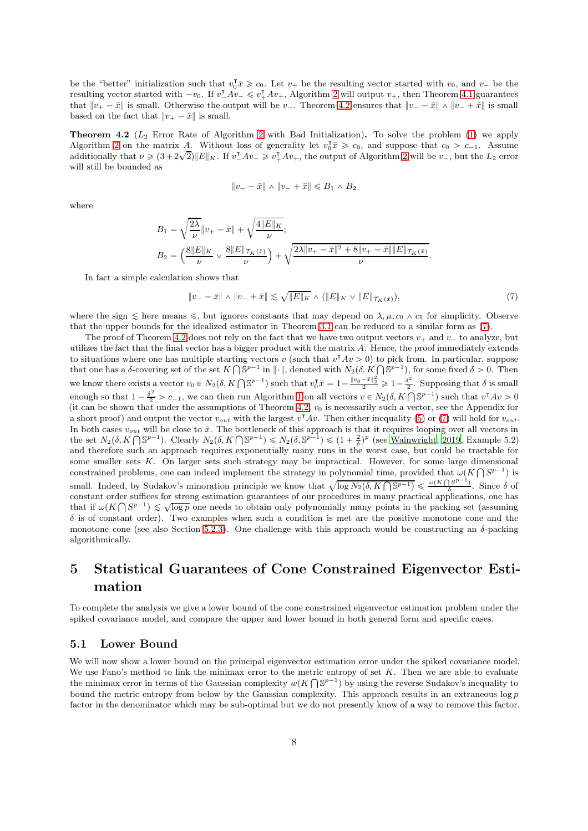be the "better" initialization such that  $v_0^T \bar{x} \geq c_0$ . Let  $v_+$  be the resulting vector started with  $v_0$ , and  $v_-$  be the resulting vector started with  $-v_0$ . If  $v_{-}^{\mathsf{T}}Av_{-} \leq v_{+}^{\mathsf{T}}Av_{+}$ , Algorithm [2](#page-5-1) will output  $v_{+}$ , then Theorem [4.1](#page-6-1) guarantees that  $\|v_+ - \bar{x}\|$  is small. Otherwise the output will be v<sub>-</sub>. Theorem [4.2](#page-7-1) ensures that  $\|v_- - \bar{x}\| \wedge \|v_- + \bar{x}\|$  is small based on the fact that  $||v_+ - \bar{x}||$  is small.

<span id="page-7-1"></span>**Theorem 4.2** ( $L_2$  Error Rate of Algorithm [2](#page-5-1) with Bad Initialization). To solve the problem [\(1\)](#page-2-1) we apply Algorithm [2](#page-5-1) on the matrix A. Without loss of generality let  $v_0^T \bar{x} \geq c_0$ , and suppose that  $c_0 > c_{-1}$ . Assume additionally that  $\nu \geq (3+2\sqrt{2})\|E\|_K$ . If  $\nu_A^T A\nu_\nu \geq \nu_A^T A\nu_\nu$ , the output of Algorithm [2](#page-5-1) will be  $\nu_\nu$ , but the  $L_2$  error will still be bounded as

<span id="page-7-2"></span>
$$
\|v_{-} - \bar{x}\| \wedge \|v_{-} + \bar{x}\| \le B_1 \wedge B_2
$$

where

$$
B_1 = \sqrt{\frac{2\lambda}{\nu}} \|v_+ - \bar{x}\| + \sqrt{\frac{4\|E\|_K}{\nu}};
$$
  
\n
$$
B_2 = \left(\frac{8\|E\|_K}{\nu} \vee \frac{8\|E\|_{{\mathcal T}_K(\bar{x})}}{\nu}\right) + \sqrt{\frac{2\lambda\|v_+ - \bar{x}\|^2 + 8\|v_+ - \bar{x}\|\|E\|_{{\mathcal T}_K(\bar{x})}}{\nu}}.
$$

In fact a simple calculation shows that

$$
\|v_{-} - \bar{x}\| \wedge \|v_{-} + \bar{x}\| \lesssim \sqrt{\|E\|_{K}} \wedge (\|E\|_{K} \vee \|E\|_{\mathcal{T}_{K}(\bar{x})}), \tag{7}
$$

where the sign  $\leq$  here means  $\leq$ , but ignores constants that may depend on  $\lambda, \mu, c_0 \wedge c_1$  for simplicity. Observe that the upper bounds for the idealized estimator in Theorem [3.1](#page-4-3) can be reduced to a similar form as [\(7\)](#page-7-2).

The proof of Theorem [4.2](#page-7-1) does not rely on the fact that we have two output vectors  $v_+$  and  $v_-$  to analyze, but utilizes the fact that the final vector has a bigger product with the matrix  $A$ . Hence, the proof immediately extends to situations where one has multiple starting vectors v (such that  $v^{\dagger}Av > 0$ ) to pick from. In particular, suppose that one has a  $\delta$ -covering set of the set  $K \cap \mathbb{S}^{p-1}$  in  $\|\cdot\|$ , denoted with  $N_2(\delta,K \cap \mathbb{S}^{p-1})$ , for some fixed  $\delta > 0$ . Then we know there exists a vector  $v_0 \in N_2(\delta, K \cap \mathbb{S}^{p-1})$  such that  $v_0^{\intercal} \bar{x} = 1 - \frac{\|v_0 - \bar{x}\|_2^2}{2} \geq 1 - \frac{\delta^2}{2}$  $\frac{\delta^2}{2}$ . Supposing that  $\delta$  is small enough so that  $1 - \frac{\delta^2}{2} > c_{-1}$ , we can then run Algorithm [1](#page-5-0) on all vectors  $v \in N_2(\delta, K \cap \mathbb{S}^{p-1})$  such that  $v^{\intercal}Av > 0$ (it can be shown that under the assumptions of Theorem [4.2,](#page-7-1)  $v_0$  is necessarily such a vector, see the Appendix for a short proof) and output the vector  $v_{out}$  with the largest  $v^{\dagger}Av$ . Then either inequality [\(5\)](#page-6-2) or [\(7\)](#page-7-2) will hold for  $v_{out}$ . In both cases  $v_{out}$  will be close to  $\bar{x}$ . The bottleneck of this approach is that it requires looping over all vectors in the set  $N_2(\delta, K \cap \mathbb{S}^{p-1})$ . Clearly  $N_2(\delta, K \cap \mathbb{S}^{p-1}) \leq N_2(\delta, \mathbb{S}^{p-1}) \leq (1 + \frac{2}{\delta})^p$  (see [Wainwright, 2019](#page-34-1), Example 5.2) and therefore such an approach requires exponentially many runs in the worst case, but could be tractable for some smaller sets K. On larger sets such strategy may be impractical. However, for some large dimensional constrained problems, one can indeed implement the strategy in polynomial time, provided that  $\omega(K \cap S^{p-1})$  is small. Indeed, by Sudakov's minoration principle we know that  $\sqrt{\log N_2(\delta, K \cap \mathbb{S}^{p-1})} \leq \frac{\omega(K \cap S^{p-1})}{\delta}$ . Since  $\delta$  of constant order suffices for strong estimation guarantees of our procedures in many practical applications, one has that if  $\omega(K \cap S^{p-1}) \lesssim \sqrt{\log p}$  one needs to obtain only polynomially many points in the packing set (assuming  $\delta$  is of constant order). Two examples when such a condition is met are the positive monotone cone and the monotone cone (see also Section [5.2.3\)](#page-9-0). One challenge with this approach would be constructing an  $\delta$ -packing algorithmically.

## <span id="page-7-0"></span>5 Statistical Guarantees of Cone Constrained Eigenvector Estimation

To complete the analysis we give a lower bound of the cone constrained eigenvector estimation problem under the spiked covariance model, and compare the upper and lower bound in both general form and specific cases.

### 5.1 Lower Bound

We will now show a lower bound on the principal eigenvector estimation error under the spiked covariance model. We use Fano's method to link the minimax error to the metric entropy of set  $K$ . Then we are able to evaluate the minimax error in terms of the Gaussian complexity  $w(K \cap \mathbb{S}^{p-1})$  by using the reverse Sudakov's inequality to bound the metric entropy from below by the Gaussian complexity. This approach results in an extraneous  $\log p$ factor in the denominator which may be sub-optimal but we do not presently know of a way to remove this factor.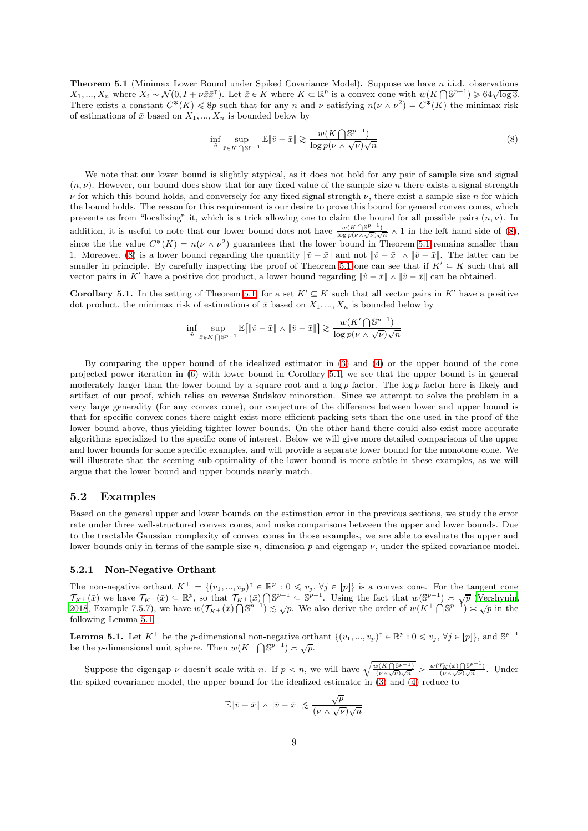**Theorem 5.1** (Minimax Lower Bound under Spiked Covariance Model). Suppose we have n i.i.d. observations  $X_1, ..., X_n$  where  $X_i \sim \mathcal{N}(0, I + \nu \bar{x} \bar{x}^{\mathsf{T}})$ . Let  $\bar{x} \in K$  where  $K \subset \mathbb{R}^p$  is a convex cone with  $w(K \cap \mathbb{S}^{p-1}) \geq 64\sqrt{\log 3}$ . There exists a constant  $C^*(K) \leq 8p$  such that for any n and v satisfying  $n(\nu \wedge \nu^2) = C^*(K)$  the minimax risk of estimations of  $\bar{x}$  based on  $X_1, ..., X_n$  is bounded below by

<span id="page-8-0"></span>
$$
\inf_{\hat{v}} \sup_{\bar{x}\in K\bigcap\mathbb{S}^{p-1}} \mathbb{E}\|\hat{v}-\bar{x}\| \gtrsim \frac{w(K\bigcap\mathbb{S}^{p-1})}{\log p(\nu \wedge \sqrt{\nu})\sqrt{n}}\tag{8}
$$

We note that our lower bound is slightly atypical, as it does not hold for any pair of sample size and signal  $(n, \nu)$ . However, our bound does show that for any fixed value of the sample size n there exists a signal strength  $\nu$  for which this bound holds, and conversely for any fixed signal strength  $\nu$ , there exist a sample size n for which the bound holds. The reason for this requirement is our desire to prove this bound for general convex cones, which prevents us from "localizing" it, which is a trick allowing one to claim the bound for all possible pairs  $(n, \nu)$ . In addition, it is useful to note that our lower bound does not have  $\frac{w(K \cap \mathbb{S}^{p-1})}{\log p(\nu \wedge \sqrt{\nu})\sqrt{n}} \wedge 1$  in the left hand side of [\(8\)](#page-8-0), since the the value  $C^*(K) = n(\nu \wedge \nu^2)$  guarantees that the lower bound in Theorem [5.1](#page-8-0) remains smaller than 1. Moreover, [\(8\)](#page-8-0) is a lower bound regarding the quantity  $\|\hat{v} - \bar{x}\|$  and not  $\|\hat{v} - \bar{x}\| \wedge \|\hat{v} + \bar{x}\|$ . The latter can be smaller in principle. By carefully inspecting the proof of Theorem [5.1](#page-8-0) one can see that if  $K' \subseteq K$  such that all vector pairs in K' have a positive dot product, a lower bound regarding  $\|\hat{v} - \bar{x}\| \wedge \|\hat{v} + \bar{x}\|$  can be obtained.

<span id="page-8-1"></span>**Corollary 5.1.** In the setting of Theorem [5.1,](#page-8-0) for a set  $K' \subseteq K$  such that all vector pairs in K' have a positive dot product, the minimax risk of estimations of  $\bar{x}$  based on  $X_1, ..., X_n$  is bounded below by

$$
\inf_{\hat{v}} \sup_{\bar{x}\in K\bigcap\mathbb{S}^{p-1}} \mathbb{E}\big[\|\hat{v}-\bar{x}\| \wedge \|\hat{v}+\bar{x}\|\big] \gtrsim \frac{w(K'\bigcap\mathbb{S}^{p-1})}{\log p(\nu \wedge \sqrt{\nu})\sqrt{n}}
$$

By comparing the upper bound of the idealized estimator in [\(3\)](#page-4-5) and [\(4\)](#page-4-6) or the upper bound of the cone projected power iteration in [\(6\)](#page-6-0) with lower bound in Corollary [5.1,](#page-8-1) we see that the upper bound is in general moderately larger than the lower bound by a square root and a  $\log p$  factor. The  $\log p$  factor here is likely and artifact of our proof, which relies on reverse Sudakov minoration. Since we attempt to solve the problem in a very large generality (for any convex cone), our conjecture of the difference between lower and upper bound is that for specific convex cones there might exist more efficient packing sets than the one used in the proof of the lower bound above, thus yielding tighter lower bounds. On the other hand there could also exist more accurate algorithms specialized to the specific cone of interest. Below we will give more detailed comparisons of the upper and lower bounds for some specific examples, and will provide a separate lower bound for the monotone cone. We will illustrate that the seeming sub-optimality of the lower bound is more subtle in these examples, as we will argue that the lower bound and upper bounds nearly match.

#### 5.2 Examples

Based on the general upper and lower bounds on the estimation error in the previous sections, we study the error rate under three well-structured convex cones, and make comparisons between the upper and lower bounds. Due to the tractable Gaussian complexity of convex cones in those examples, we are able to evaluate the upper and lower bounds only in terms of the sample size n, dimension p and eigengap  $\nu$ , under the spiked covariance model.

#### 5.2.1 Non-Negative Orthant

The non-negative orthant  $K^+ = \{(v_1, ..., v_p)^\intercal \in \mathbb{R}^p : 0 \leq v_j, \forall j \in [p]\}$  is a convex cone. For the tangent cone  $\mathcal{T}_{K^+}(\bar{x})$  we have  $\mathcal{T}_{K^+}(\bar{x}) \subseteq \mathbb{R}^p$ , so that  $\mathcal{T}_{K^+}(\bar{x}) \cap \mathbb{S}^{p-1} \subseteq \mathbb{S}^{p-1}$ . Using the fact that  $w(\mathbb{S}^{p-1}) \simeq \sqrt{p}$  [\(Vershynin](#page-34-8), [2018](#page-34-8), Example 7.5.7), we have  $w(\mathcal{T}_{K^+}(\bar{x}) \cap \mathbb{S}^{p-1}) \leq \sqrt{p}$ . We also derive the order of  $w(K^+ \cap \mathbb{S}^{p-1}) \leq \sqrt{p}$  in the following Lemma [5.1.](#page-8-2)

<span id="page-8-2"></span>**Lemma 5.1.** Let  $K^+$  be the *p*-dimensional non-negative orthant  $\{(v_1, ..., v_p)^\intercal \in \mathbb{R}^p : 0 \leq v_j, \forall j \in [p]\}$ , and  $\mathbb{S}^{p-1}$ be the *p*-dimensional unit sphere. Then  $w(K^+ \bigcap \mathbb{S}^{p-1}) \asymp \sqrt{p}$ .

Suppose the eigengap  $\nu$  doesn't scale with n. If  $p < n$ , we will have  $\sqrt{\frac{w(K \cap \mathbb{S}^{p-1})}{(\nu \wedge \sqrt{\nu})\sqrt{n}}} > \frac{w(\mathcal{T}_K(\bar{x}) \cap \mathbb{S}^{p-1})}{(\nu \wedge \sqrt{\nu})\sqrt{n}}$ . Under the spiked covariance model, the upper bound for the idealized estimator in [\(3\)](#page-4-5) and [\(4\)](#page-4-6) reduce to

$$
\mathbb{E} \| \bar{v} - \bar{x} \| \wedge \| \bar{v} + \bar{x} \| \lesssim \frac{\sqrt{p}}{(\nu \wedge \sqrt{\nu}) \sqrt{n}}
$$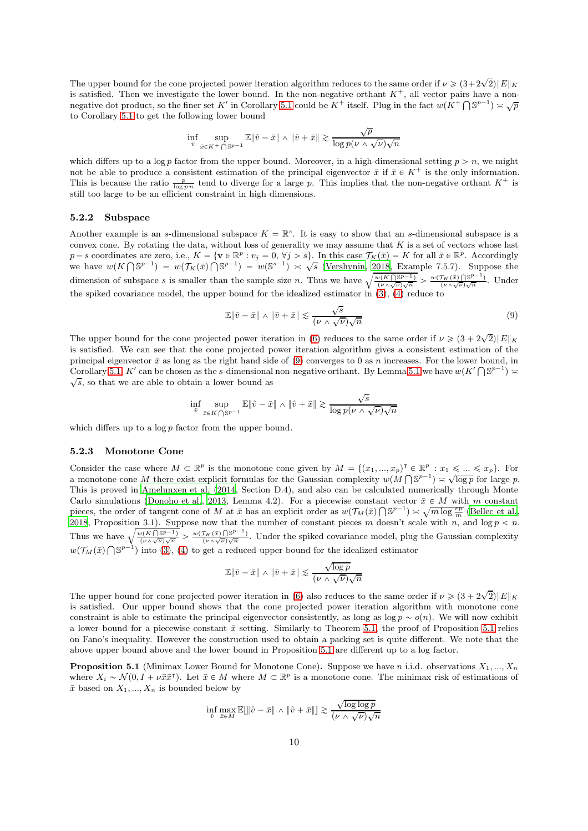The upper bound for the cone projected power iteration algorithm reduces to the same order if  $\nu \geqslant (3 + 2\sqrt{2})\|E\|_{K}$ is satisfied. Then we investigate the lower bound. In the non-negative orthant  $K^+$ , all vector pairs have a non-negative dot product, so the finer set K' in Corollary [5.1](#page-8-1) could be  $K^+$  itself. Plug in the fact  $w(K^+\bigcap \mathbb{S}^{p-1})\asymp \sqrt{p}$ to Corollary [5.1](#page-8-1) to get the following lower bound

$$
\inf_{\hat{v}}\sup_{\bar{x}\in K^+\bigcap \mathbb{S}^{p-1}}\mathbb{E}\|\hat{v}-\bar{x}\|\wedge\|\hat{v}+\bar{x}\|\gtrsim \frac{\sqrt{p}}{\log p (\nu\wedge \sqrt{\nu})\sqrt{n}}
$$

which differs up to a log p factor from the upper bound. Moreover, in a high-dimensional setting  $p > n$ , we might not be able to produce a consistent estimation of the principal eigenvector  $\bar{x}$  if  $\bar{x} \in K^+$  is the only information. This is because the ratio  $\frac{p}{\log p n}$  tend to diverge for a large p. This implies that the non-negative orthant  $K^+$  is still too large to be an efficient constraint in high dimensions.

#### 5.2.2 Subspace

Another example is an s-dimensional subspace  $K = \mathbb{R}^s$ . It is easy to show that an s-dimensional subspace is a convex cone. By rotating the data, without loss of generality we may assume that  $K$  is a set of vectors whose last  $p-s$  coordinates are zero, i.e.,  $K = \{ \mathbf{v} \in \mathbb{R}^p : v_j = 0, \forall j > s \}$ . In this case  $\mathcal{T}_K(\bar{x}) = K$  for all  $\bar{x} \in \mathbb{R}^p$ . Accordingly we have  $w(K \cap \mathbb{S}^{p-1}) = w(\mathcal{T}_K(\bar{x}) \cap \mathbb{S}^{p-1}) = w(\mathbb{S}^{s-1}) \ge \sqrt{s}$  [\(Vershynin, 2018](#page-34-8), Example 7.5.7). Suppose the dimension of subspace s is smaller than the sample size n. Thus we have  $\sqrt{\frac{w(K(\mathbb{S}P^{-1})}{(\nu \wedge \sqrt{\nu})\sqrt{n}} > \frac{w(\mathcal{T}_K(\bar{x})(\mathbb{S}P^{-1})}{(\nu \wedge \sqrt{\nu})\sqrt{n}}}.$  Under the spiked covariance model, the upper bound for the idealized estimator in [\(3\)](#page-4-5), [\(4\)](#page-4-6) reduce to

<span id="page-9-1"></span>
$$
\mathbb{E}\|\bar{v} - \bar{x}\| \wedge \|\bar{v} + \bar{x}\| \lesssim \frac{\sqrt{s}}{(\nu \wedge \sqrt{\nu})\sqrt{n}}\tag{9}
$$

The upper bound for the cone projected power iteration in [\(6\)](#page-6-0) reduces to the same order if  $\nu \geq (3 + 2\sqrt{2})||E||_K$ is satisfied. We can see that the cone projected power iteration algorithm gives a consistent estimation of the principal eigenvector  $\bar{x}$  as long as the right hand side of [\(9\)](#page-9-1) converges to 0 as n increases. For the lower bound, in Corollary [5.1,](#page-8-1) K' can be chosen as the s-dimensional non-negative orthant. By Lemma [5.1](#page-8-2) we have  $w(K' \cap \mathbb{S}^{p-1})$  $\sqrt{s}$ , so that we are able to obtain a lower bound as

$$
\inf_{\hat{v}}\sup_{\bar{x}\in K\,\bigcap \mathbb{S}^{p-1}}\mathbb{E}\|\hat{v}-\bar{x}\|\wedge\|\hat{v}+\bar{x}\|\gtrsim \frac{\sqrt{s}}{\log p (\nu\wedge \sqrt{\nu})\sqrt{n}}
$$

which differs up to a log  $p$  factor from the upper bound.

#### <span id="page-9-0"></span>5.2.3 Monotone Cone

Consider the case where  $M \subset \mathbb{R}^p$  is the monotone cone given by  $M = \{(x_1, ..., x_p)^\intercal \in \mathbb{R}^p : x_1 \leq ... \leq x_p\}$ . For a monotone cone M there exist explicit formulas for the Gaussian complexity  $w(M \cap \mathbb{S}^{p-1}) \asymp \sqrt{\log p}$  for large p. This is proved in [Amelunxen et al. \(2014](#page-32-15), Section D.4), and also can be calculated numerically through Monte Carlo simulations [\(Donoho et al.](#page-32-18), [2013,](#page-32-18) Lemma 4.2). For a piecewise constant vector  $\bar{x} \in M$  with m constant pieces, the order of tangent cone of M at  $\bar{x}$  has an explicit order as  $w(\mathcal{T}_M(\bar{x}) \cap \mathbb{S}^{p-1}) \approx \sqrt{m \log \frac{ep}{m}}$  [\(Bellec et al.](#page-32-16), [2018](#page-32-16), Proposition 3.1). Suppose now that the number of constant pieces m doesn't scale with n, and  $\log p < n$ . Thus we have  $\sqrt{\frac{w(K \cap \mathbb{S}^{p-1})}{(\nu \wedge \sqrt{\nu})\sqrt{n}}} > \frac{w(\mathcal{T}_K(\bar{x}) \cap \mathbb{S}^{p-1})}{(\nu \wedge \sqrt{\nu})\sqrt{n}}$ . Under the spiked covariance model, plug the Gaussian complexity  $w(\mathcal{T}_M(\bar{x})\bigcap \mathbb{S}^{p-1})$  into [\(3\)](#page-4-5), [\(4\)](#page-4-6) to get a reduced upper bound for the idealized estimator

$$
\mathbb{E} \|\bar v - \bar x\| \wedge \|\bar v + \bar x\| \lesssim \frac{\sqrt{\log p}}{(\nu \wedge \sqrt{\nu})\sqrt{n}}
$$

The upper bound for cone projected power iteration in [\(6\)](#page-6-0) also reduces to the same order if  $\nu \geq (3 + 2\sqrt{2})\|E\|_{K}$ is satisfied. Our upper bound shows that the cone projected power iteration algorithm with monotone cone constraint is able to estimate the principal eigenvector consistently, as long as  $\log p \sim o(n)$ . We will now exhibit a lower bound for a piecewise constant  $\bar{x}$  setting. Similarly to Theorem [5.1,](#page-8-0) the proof of Proposition [5.1](#page-9-2) relies on Fano's inequality. However the construction used to obtain a packing set is quite different. We note that the above upper bound above and the lower bound in Proposition [5.1](#page-9-2) are different up to a log factor.

<span id="page-9-2"></span>**Proposition 5.1** (Minimax Lower Bound for Monotone Cone). Suppose we have n i.i.d. observations  $X_1, ..., X_n$ where  $X_i \sim \mathcal{N}(0, I + \nu \bar{x} \bar{x}^{\mathsf{T}})$ . Let  $\bar{x} \in M$  where  $M \subset \mathbb{R}^p$  is a monotone cone. The minimax risk of estimations of  $\bar{x}$  based on  $X_1, ..., X_n$  is bounded below by

$$
\inf_{\hat{v}}\max_{\bar{x}\in M}\mathbb{E}[\|\hat{v}-\bar{x}\|\wedge\|\hat{v}+\bar{x}\|]\gtrsim \frac{\sqrt{\log\log p}}{(\nu\wedge\sqrt{\nu})\sqrt{n}}
$$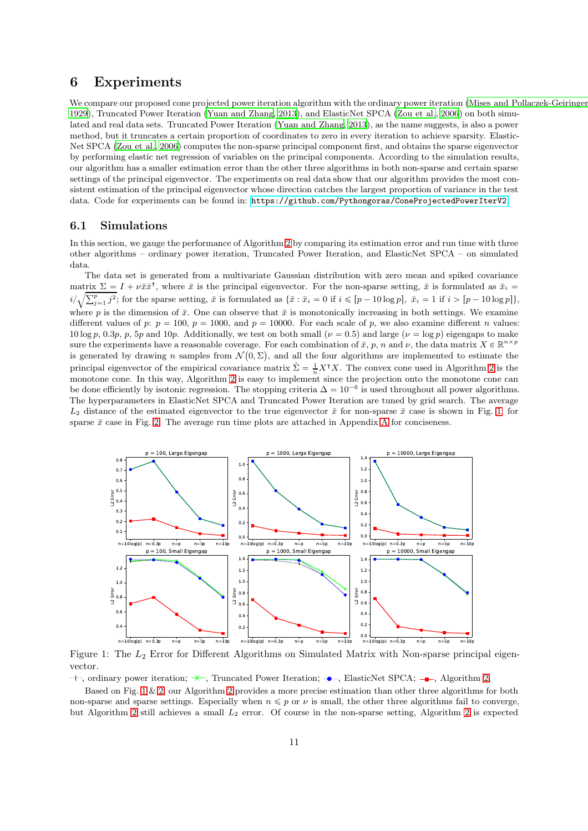## <span id="page-10-0"></span>6 Experiments

We compare our proposed cone projected power iteration algorithm with the ordinary power iteration [\(Mises and Pollaczek-Geiringer](#page-33-17) [1929\)](#page-33-17), Truncated Power Iteration [\(Yuan and Zhang, 2013](#page-34-2)), and ElasticNet SPCA [\(Zou et al., 2006](#page-34-3)) on both simulated and real data sets. Truncated Power Iteration [\(Yuan and Zhang, 2013](#page-34-2)), as the name suggests, is also a power method, but it truncates a certain proportion of coordinates to zero in every iteration to achieve sparsity. Elastic-Net SPCA [\(Zou et al.](#page-34-3), [2006](#page-34-3)) computes the non-sparse principal component first, and obtains the sparse eigenvector by performing elastic net regression of variables on the principal components. According to the simulation results, our algorithm has a smaller estimation error than the other three algorithms in both non-sparse and certain sparse settings of the principal eigenvector. The experiments on real data show that our algorithm provides the most consistent estimation of the principal eigenvector whose direction catches the largest proportion of variance in the test data. Code for experiments can be found in: <https://github.com/Pythongoras/ConeProjectedPowerIterV2>.

### 6.1 Simulations

In this section, we gauge the performance of Algorithm [2](#page-5-1) by comparing its estimation error and run time with three other algorithms – ordinary power iteration, Truncated Power Iteration, and ElasticNet SPCA – on simulated data.

The data set is generated from a multivariate Gaussian distribution with zero mean and spiked covariance matrix  $\Sigma = I + \nu \bar{x} \bar{x}^{\dagger}$ , where  $\bar{x}$  is the principal eigenvector. For the non-sparse setting,  $\bar{x}$  is formulated as  $\bar{x}_i =$  $i/\sqrt{\sum_{j=1}^p j^2}$ ; for the sparse setting,  $\bar{x}$  is formulated as  $\{\bar{x} : \bar{x}_i = 0 \text{ if } i \leq p-10 \log p\}, \ \bar{x}_i = 1 \text{ if } i > p-10 \log p\},$ where p is the dimension of  $\bar{x}$ . One can observe that  $\bar{x}$  is monotonically increasing in both settings. We examine different values of p:  $p = 100$ ,  $p = 1000$ , and  $p = 10000$ . For each scale of p, we also examine different n values: 10 log p, 0.3p, p, 5p and 10p. Additionally, we test on both small ( $\nu = 0.5$ ) and large ( $\nu = \log p$ ) eigengaps to make sure the experiments have a reasonable coverage. For each combination of  $\bar{x}$ , p, n and  $\nu$ , the data matrix  $X \in \mathbb{R}^{n \times p}$ is generated by drawing n samples from  $\mathcal{N}(0, \Sigma)$ , and all the four algorithms are implemented to estimate the principal eigenvector of the empirical covariance matrix  $\hat{\Sigma} = \frac{1}{n} X^{\mathsf{T}} X$ . The convex cone used in Algorithm [2](#page-5-1) is the monotone cone. In this way, Algorithm [2](#page-5-1) is easy to implement since the projection onto the monotone cone can be done efficiently by isotonic regression. The stopping criteria  $\Delta = 10^{-6}$  is used throughout all power algorithms. The hyperparameters in ElasticNet SPCA and Truncated Power Iteration are tuned by grid search. The average  $L_2$  distance of the estimated eigenvector to the true eigenvector  $\bar{x}$  for non-sparse  $\bar{x}$  case is shown in Fig. [1;](#page-10-1) for sparse  $\bar{x}$  case in Fig. [2.](#page-11-0) The average run time plots are attached in [A](#page-14-0)ppendix A for conciseness.

<span id="page-10-1"></span>

Figure 1: The  $L_2$  Error for Different Algorithms on Simulated Matrix with Non-sparse principal eigenvector.

 $\cdots$ , ordinary power iteration;  $\star$ , Truncated Power Iteration;  $\cdot \bullet \cdot$ , ElasticNet SPCA;  $\bullet$ , Algorithm [2](#page-5-1).

Based on Fig. [1](#page-10-1) & [2,](#page-11-0) our Algorithm [2](#page-5-1) provides a more precise estimation than other three algorithms for both non-sparse and sparse settings. Especially when  $n \leq p$  or  $\nu$  is small, the other three algorithms fail to converge, but Algorithm [2](#page-5-1) still achieves a small  $L_2$  error. Of course in the non-sparse setting, Algorithm 2 is expected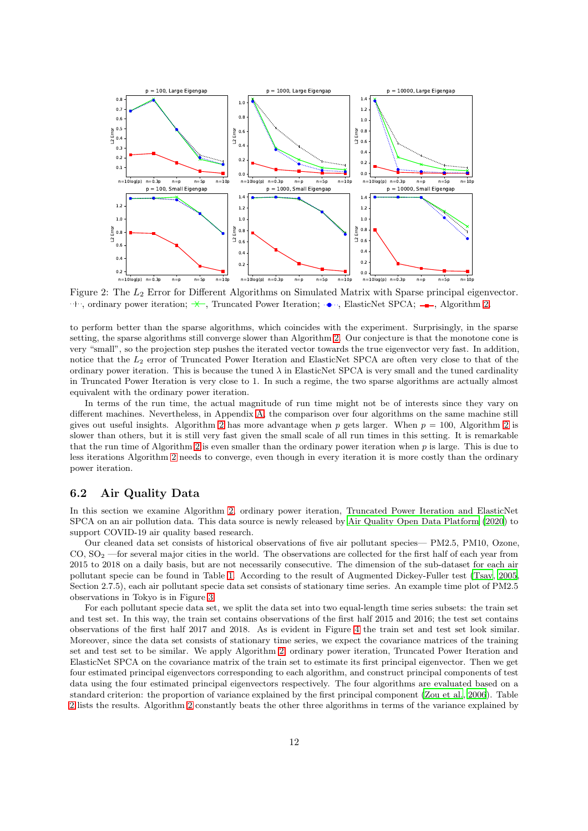<span id="page-11-0"></span>

Figure 2: The L<sup>2</sup> Error for Different Algorithms on Simulated Matrix with Sparse principal eigenvector.  $\cdots$ , ordinary power iteration;  $\leftarrow$ , Truncated Power Iteration;  $\cdots$ , ElasticNet SPCA;  $\rightarrow$ , Algorithm [2](#page-5-1).

to perform better than the sparse algorithms, which coincides with the experiment. Surprisingly, in the sparse setting, the sparse algorithms still converge slower than Algorithm [2.](#page-5-1) Our conjecture is that the monotone cone is very "small", so the projection step pushes the iterated vector towards the true eigenvector very fast. In addition, notice that the L<sup>2</sup> error of Truncated Power Iteration and ElasticNet SPCA are often very close to that of the ordinary power iteration. This is because the tuned  $\lambda$  in ElasticNet SPCA is very small and the tuned cardinality in Truncated Power Iteration is very close to 1. In such a regime, the two sparse algorithms are actually almost equivalent with the ordinary power iteration.

In terms of the run time, the actual magnitude of run time might not be of interests since they vary on different machines. Nevertheless, in Appendix [A,](#page-14-0) the comparison over four algorithms on the same machine still gives out useful insights. Algorithm [2](#page-5-1) has more advantage when p gets larger. When  $p = 100$ , Algorithm 2 is slower than others, but it is still very fast given the small scale of all run times in this setting. It is remarkable that the run time of Algorithm [2](#page-5-1) is even smaller than the ordinary power iteration when  $p$  is large. This is due to less iterations Algorithm [2](#page-5-1) needs to converge, even though in every iteration it is more costly than the ordinary power iteration.

### 6.2 Air Quality Data

In this section we examine Algorithm [2,](#page-5-1) ordinary power iteration, Truncated Power Iteration and ElasticNet SPCA on an air pollution data. This data source is newly released by [Air Quality Open Data Platform \(2020\)](#page-32-19) to support COVID-19 air quality based research.

Our cleaned data set consists of historical observations of five air pollutant species— PM2.5, PM10, Ozone,  $CO, SO<sub>2</sub>$ —for several major cities in the world. The observations are collected for the first half of each year from 2015 to 2018 on a daily basis, but are not necessarily consecutive. The dimension of the sub-dataset for each air pollutant specie can be found in Table [1.](#page-12-0) According to the result of Augmented Dickey-Fuller test [\(Tsay, 2005](#page-33-18), Section 2.7.5), each air pollutant specie data set consists of stationary time series. An example time plot of PM2.5 observations in Tokyo is in Figure [3.](#page-12-0)

For each pollutant specie data set, we split the data set into two equal-length time series subsets: the train set and test set. In this way, the train set contains observations of the first half 2015 and 2016; the test set contains observations of the first half 2017 and 2018. As is evident in Figure [4](#page-12-0) the train set and test set look similar. Moreover, since the data set consists of stationary time series, we expect the covariance matrices of the training set and test set to be similar. We apply Algorithm [2,](#page-5-1) ordinary power iteration, Truncated Power Iteration and ElasticNet SPCA on the covariance matrix of the train set to estimate its first principal eigenvector. Then we get four estimated principal eigenvectors corresponding to each algorithm, and construct principal components of test data using the four estimated principal eigenvectors respectively. The four algorithms are evaluated based on a standard criterion: the proportion of variance explained by the first principal component [\(Zou et al.](#page-34-3), [2006](#page-34-3)). Table [2](#page-12-1) lists the results. Algorithm [2](#page-5-1) constantly beats the other three algorithms in terms of the variance explained by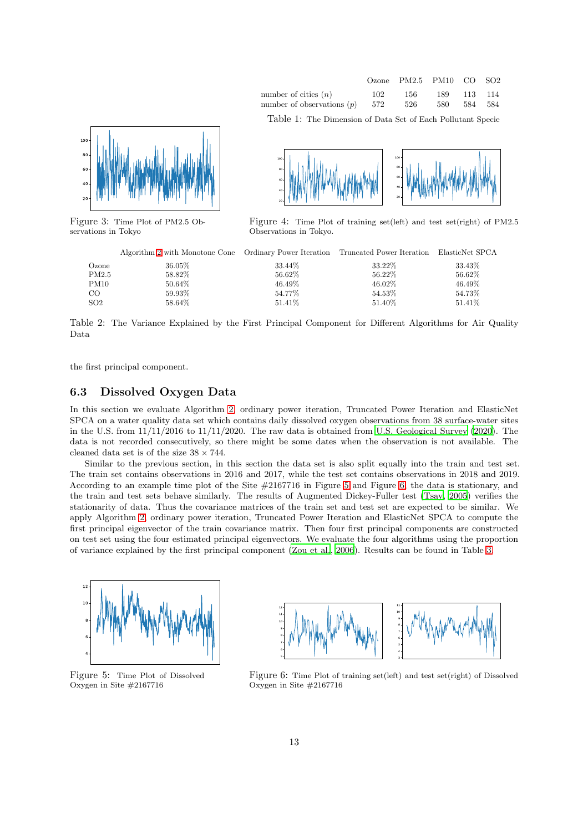



<span id="page-12-0"></span>

<span id="page-12-1"></span>Figure 3: Time Plot of PM2.5 Observations in Tokyo



100

Figure 4: Time Plot of training set(left) and test set(right) of PM2.5 Observations in Tokyo.

|       | Algorithm 2 with Monotone Cone Ordinary Power Iteration Truncated Power Iteration ElasticNet SPCA |         |           |           |
|-------|---------------------------------------------------------------------------------------------------|---------|-----------|-----------|
| Ozone | 36.05%                                                                                            | 33.44\% | 33.22%    | 33.43\%   |
| PM2.5 | 58.82%                                                                                            | 56.62%  | 56.22\%   | 56.62%    |
| PM10  | 50.64\%                                                                                           | 46.49%  | $46.02\%$ | $46.49\%$ |
| CO    | 59.93%                                                                                            | 54.77%  | 54.53%    | 54.73%    |
| SO2   | 58.64\%                                                                                           | 51.41\% | 51.40\%   | 51.41\%   |
|       |                                                                                                   |         |           |           |

100

Table 2: The Variance Explained by the First Principal Component for Different Algorithms for Air Quality Data

the first principal component.

### 6.3 Dissolved Oxygen Data

In this section we evaluate Algorithm [2,](#page-5-1) ordinary power iteration, Truncated Power Iteration and ElasticNet SPCA on a water quality data set which contains daily dissolved oxygen observations from 38 surface-water sites in the U.S. from 11/11/2016 to 11/11/2020. The raw data is obtained from [U.S. Geological Survey \(2020](#page-33-19)). The data is not recorded consecutively, so there might be some dates when the observation is not available. The cleaned data set is of the size  $38 \times 744$ .

Similar to the previous section, in this section the data set is also split equally into the train and test set. The train set contains observations in 2016 and 2017, while the test set contains observations in 2018 and 2019. According to an example time plot of the Site #2167716 in Figure [5](#page-12-2) and Figure [6,](#page-12-2) the data is stationary, and the train and test sets behave similarly. The results of Augmented Dickey-Fuller test [\(Tsay](#page-33-18), [2005](#page-33-18)) verifies the stationarity of data. Thus the covariance matrices of the train set and test set are expected to be similar. We apply Algorithm [2,](#page-5-1) ordinary power iteration, Truncated Power Iteration and ElasticNet SPCA to compute the first principal eigenvector of the train covariance matrix. Then four first principal components are constructed on test set using the four estimated principal eigenvectors. We evaluate the four algorithms using the proportion of variance explained by the first principal component [\(Zou et al.](#page-34-3), [2006](#page-34-3)). Results can be found in Table [3.](#page-13-1)

<span id="page-12-2"></span>

Figure 5: Time Plot of Dissolved Oxygen in Site #2167716



Figure 6: Time Plot of training set(left) and test set(right) of Dissolved Oxygen in Site #2167716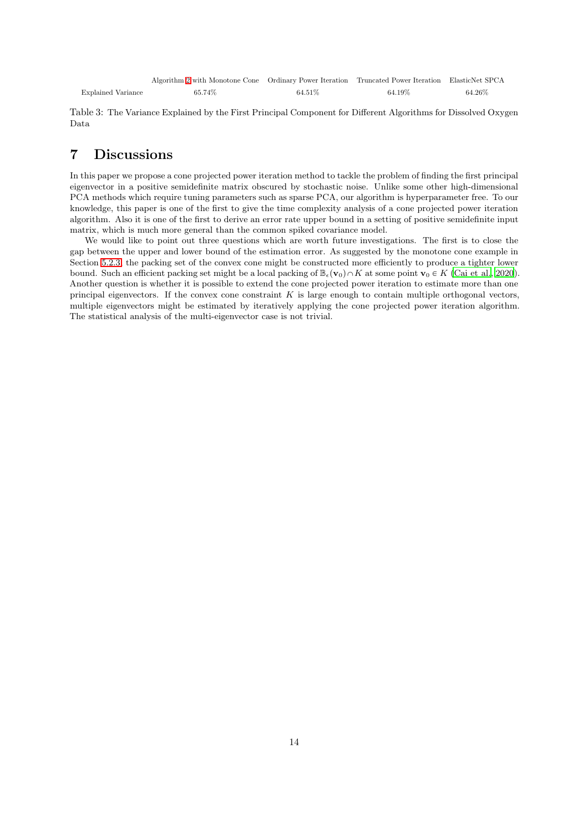<span id="page-13-1"></span>

|                    | Algorithm 2 with Monotone Cone Ordinary Power Iteration Truncated Power Iteration ElasticNet SPCA |         |        |        |
|--------------------|---------------------------------------------------------------------------------------------------|---------|--------|--------|
| Explained Variance | 65.74%                                                                                            | 64.51\% | 64.19% | 64.26% |

Table 3: The Variance Explained by the First Principal Component for Different Algorithms for Dissolved Oxygen Data

## <span id="page-13-0"></span>7 Discussions

In this paper we propose a cone projected power iteration method to tackle the problem of finding the first principal eigenvector in a positive semidefinite matrix obscured by stochastic noise. Unlike some other high-dimensional PCA methods which require tuning parameters such as sparse PCA, our algorithm is hyperparameter free. To our knowledge, this paper is one of the first to give the time complexity analysis of a cone projected power iteration algorithm. Also it is one of the first to derive an error rate upper bound in a setting of positive semidefinite input matrix, which is much more general than the common spiked covariance model.

We would like to point out three questions which are worth future investigations. The first is to close the gap between the upper and lower bound of the estimation error. As suggested by the monotone cone example in Section [5.2.3,](#page-9-0) the packing set of the convex cone might be constructed more efficiently to produce a tighter lower bound. Such an efficient packing set might be a local packing of  $\mathbb{B}_{\epsilon}(\mathbf{v}_0) \cap K$  at some point  $\mathbf{v}_0 \in K$  [\(Cai et al., 2020](#page-32-9)). Another question is whether it is possible to extend the cone projected power iteration to estimate more than one principal eigenvectors. If the convex cone constraint  $K$  is large enough to contain multiple orthogonal vectors, multiple eigenvectors might be estimated by iteratively applying the cone projected power iteration algorithm. The statistical analysis of the multi-eigenvector case is not trivial.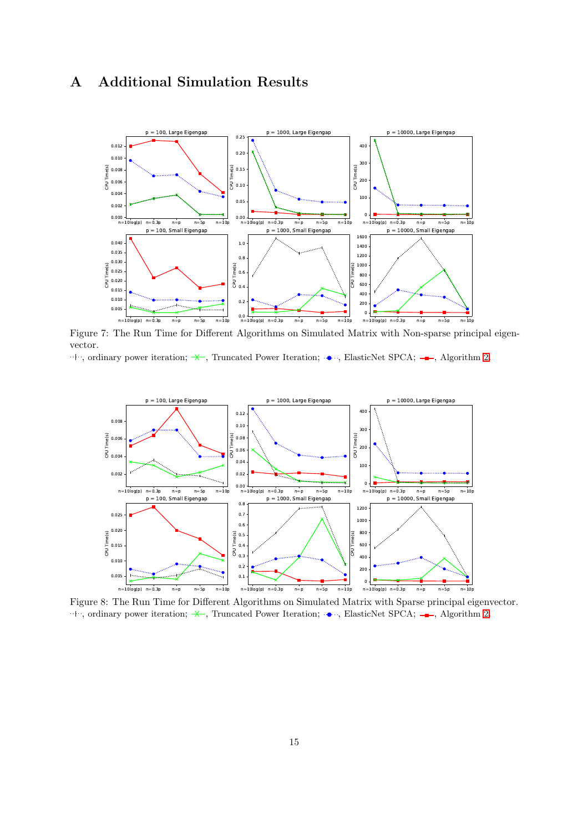## <span id="page-14-0"></span>A Additional Simulation Results



Figure 7: The Run Time for Different Algorithms on Simulated Matrix with Non-sparse principal eigenvector.

```
\cdot \cdot \cdot, ordinary power iteration; \star, Truncated Power Iteration; \cdot \cdot \cdot, ElasticNet SPCA; \cdot \cdot 2.
```


Figure 8: The Run Time for Different Algorithms on Simulated Matrix with Sparse principal eigenvector.  $\cdot \cdot \cdot$ , ordinary power iteration;  $\star$ , Truncated Power Iteration;  $\cdot \cdot \cdot$ , ElasticNet SPCA;  $\cdot \cdot$ , Algorithm [2](#page-5-1).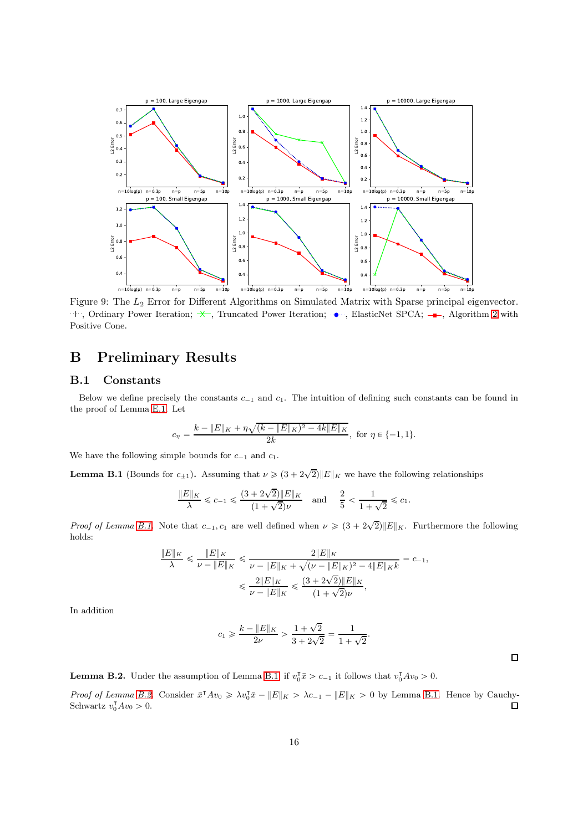

Figure 9: The L<sup>2</sup> Error for Different Algorithms on Simulated Matrix with Sparse principal eigenvector.  $\cdots$ , Ordinary Power Iteration;  $\rightarrow$ , Truncated Power Iteration;  $\bullet$ , ElasticNet SPCA;  $\bullet$ , Algorithm [2](#page-5-1) with Positive Cone.

## <span id="page-15-0"></span>B Preliminary Results

### B.1 Constants

Below we define precisely the constants  $c_{-1}$  and  $c_1$ . The intuition of defining such constants can be found in the proof of Lemma [E.1.](#page-20-0) Let

$$
c_{\eta} = \frac{k - \|E\|_{K} + \eta \sqrt{(k - \|E\|_{K})^{2} - 4k\|E\|_{K}}}{2k}, \text{ for } \eta \in \{-1, 1\}.
$$

We have the following simple bounds for  $c_{-1}$  and  $c_1$ .

<span id="page-15-1"></span>**Lemma B.1** (Bounds for  $c_{\pm 1}$ ). Assuming that  $\nu \geq (3 + 2\sqrt{2}) ||E||_K$  we have the following relationships

$$
\frac{\|E\|_K}{\lambda} \leqslant c_{-1} \leqslant \frac{(3+2\sqrt{2})\|E\|_K}{(1+\sqrt{2})\nu}\quad \text{and}\quad \frac{2}{5}<\frac{1}{1+\sqrt{2}}\leqslant c_1.
$$

*Proof of Lemma [B.1.](#page-15-1)* Note that  $c_{-1}$ ,  $c_1$  are well defined when  $\nu \geq (3 + 2\sqrt{2}) ||E||_K$ . Furthermore the following holds:

$$
\frac{\|E\|_K}{\lambda} \leqslant \frac{\|E\|_K}{\nu - \|E\|_K} \leqslant \frac{2\|E\|_K}{\nu - \|E\|_K + \sqrt{(\nu - \|E\|_K)^2 - 4\|E\|_K k}} = c_{-1},
$$
  

$$
\leqslant \frac{2\|E\|_K}{\nu - \|E\|_K} \leqslant \frac{(3 + 2\sqrt{2})\|E\|_K}{(1 + \sqrt{2})\nu},
$$

In addition

$$
c_1 \geqslant \frac{k - \|E\|_K}{2\nu} > \frac{1 + \sqrt{2}}{3 + 2\sqrt{2}} = \frac{1}{1 + \sqrt{2}}.
$$

 $\Box$ 

<span id="page-15-2"></span>**Lemma B.2.** Under the assumption of Lemma [B.1,](#page-15-1) if  $v_0^T \bar{x} > c_{-1}$  it follows that  $v_0^T A v_0 > 0$ .

*Proof of Lemma [B.2.](#page-15-2)* Consider  $\bar{x}^T Av_0 \ge \lambda v_0^T \bar{x} - ||E||_K > \lambda c_{-1} - ||E||_K > 0$  by Lemma [B.1.](#page-15-1) Hence by Cauchy-Schwartz  $v_0^{\mathsf{T}}Av_0 > 0$ .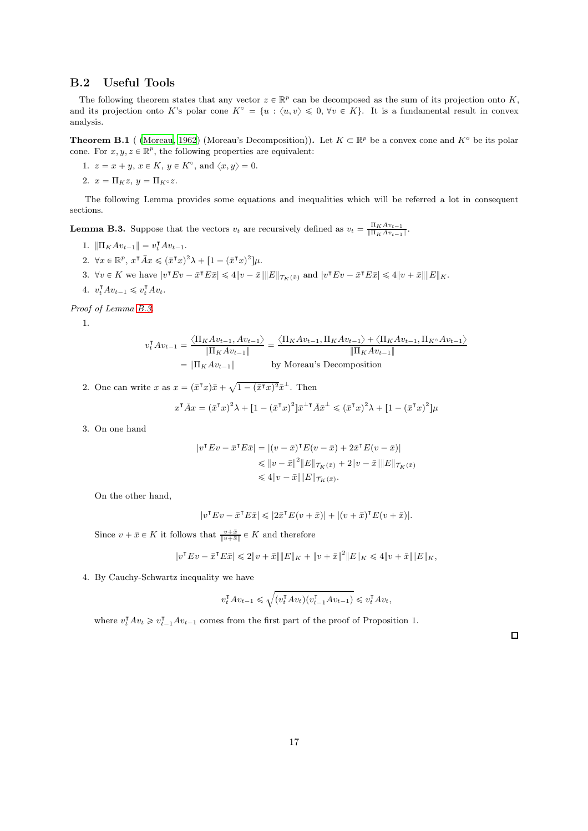### B.2 Useful Tools

The following theorem states that any vector  $z \in \mathbb{R}^p$  can be decomposed as the sum of its projection onto K, and its projection onto K's polar cone  $K^{\circ} = \{u : \langle u, v \rangle \leq 0, \forall v \in K\}$ . It is a fundamental result in convex analysis.

<span id="page-16-0"></span>**Theorem B.1** [\(Moreau](#page-33-20), [1962](#page-33-20)) (Moreau's Decomposition)). Let  $K \subset \mathbb{R}^p$  be a convex cone and  $K^o$  be its polar cone. For  $x, y, z \in \mathbb{R}^p$ , the following properties are equivalent:

- 1.  $z = x + y, x \in K, y \in K^{\circ}$ , and  $\langle x, y \rangle = 0$ .
- 2.  $x = \prod_K z$ ,  $y = \prod_K \circ z$ .

The following Lemma provides some equations and inequalities which will be referred a lot in consequent sections.

<span id="page-16-1"></span>**Lemma B.3.** Suppose that the vectors  $v_t$  are recursively defined as  $v_t = \frac{\Pi_K A v_{t-1}}{\|\Pi_K A v_{t-1}\|}$  $\frac{\prod_{K}Av_{t-1}}{\prod_{K}Av_{t-1}\|}.$ 

- 1.  $\|\Pi_K Av_{t-1}\| = v_t^{\mathsf{T}} Av_{t-1}.$
- 2.  $\forall x \in \mathbb{R}^p, x^{\mathsf{T}} \overline{A} x \leq (\overline{x}^{\mathsf{T}} x)^2 \lambda + [1 (\overline{x}^{\mathsf{T}} x)^2] \mu.$
- 3.  $\forall v \in K$  we have  $|v^\mathsf{T} E v \bar{x}^\mathsf{T} E \bar{x}| \leq 4 ||v \bar{x}|| ||E||_{\mathcal{T}_K(\bar{x})}$  and  $|v^\mathsf{T} E v \bar{x}^\mathsf{T} E \bar{x}| \leq 4 ||v + \bar{x}|| ||E||_K$ .
- 4.  $v_t^{\mathsf{T}} A v_{t-1} \leqslant v_t^{\mathsf{T}} A v_t.$

*Proof of Lemma [B.3.](#page-16-1)*

1.

$$
v_t^{\mathsf{T}} A v_{t-1} = \frac{\langle \Pi_K A v_{t-1}, A v_{t-1} \rangle}{\|\Pi_K A v_{t-1}\|} = \frac{\langle \Pi_K A v_{t-1}, \Pi_K A v_{t-1} \rangle + \langle \Pi_K A v_{t-1}, \Pi_{K^\circ} A v_{t-1} \rangle}{\|\Pi_K A v_{t-1}\|}
$$
  
=  $\|\Pi_K A v_{t-1}\|$  by Moreau's Decomposition

2. One can write x as  $x = (\bar{x}^\intercal x)\bar{x} + \sqrt{1 - (\bar{x}^\intercal x)^2} \bar{x}^\perp$ . Then

$$
x^{\mathsf{T}}\bar{A}x = (\bar{x}^{\mathsf{T}}x)^2\lambda + [1 - (\bar{x}^{\mathsf{T}}x)^2]\bar{x}^{\perp \mathsf{T}}\bar{A}\bar{x}^{\perp} \le (\bar{x}^{\mathsf{T}}x)^2\lambda + [1 - (\bar{x}^{\mathsf{T}}x)^2]\mu
$$

3. On one hand

$$
\begin{aligned} |v^\mathsf{T} E v - \bar{x}^\mathsf{T} E \bar{x}| &= |(v - \bar{x})^\mathsf{T} E (v - \bar{x}) + 2 \bar{x}^\mathsf{T} E (v - \bar{x})| \\ &\leqslant \|v - \bar{x}\|^2 \|E\|_{\mathcal{T}_K(\bar{x})} + 2 \|v - \bar{x}\| \|E\|_{\mathcal{T}_K(\bar{x})} \\ &\leqslant 4 \|v - \bar{x}\| \|E\|_{\mathcal{T}_K(\bar{x})}. \end{aligned}
$$

On the other hand,

$$
|v^{\mathsf{T}} E v - \bar{x}^{\mathsf{T}} E \bar{x}| \leqslant |2\bar{x}^{\mathsf{T}} E (v + \bar{x})| + |(v + \bar{x})^{\mathsf{T}} E (v + \bar{x})|.
$$

Since  $v + \bar{x} \in K$  it follows that  $\frac{v + \bar{x}}{\|v + \bar{x}\|} \in K$  and therefore

$$
|v^{\mathsf{T}} E v - \bar{x}^{\mathsf{T}} E \bar{x}| \leq 2 \|v + \bar{x}\| \|E\|_{K} + \|v + \bar{x}\|^{2} \|E\|_{K} \leq 4 \|v + \bar{x}\| \|E\|_{K},
$$

4. By Cauchy-Schwartz inequality we have

$$
v_t^{\mathsf{T}} A v_{t-1} \leqslant \sqrt{(v_t^{\mathsf{T}} A v_t)(v_{t-1}^{\mathsf{T}} A v_{t-1})} \leqslant v_t^{\mathsf{T}} A v_t,
$$

where  $v_t^{\mathsf{T}} A v_t \geq v_{t-1}^{\mathsf{T}} A v_{t-1}$  comes from the first part of the proof of Proposition 1.

 $\Box$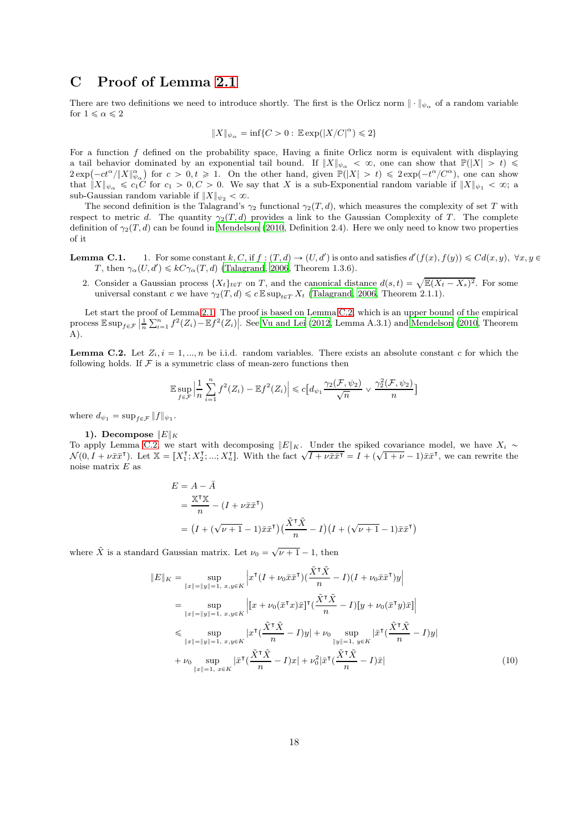## C Proof of Lemma [2.1](#page-3-0)

There are two definitions we need to introduce shortly. The first is the Orlicz norm  $\|\cdot\|_{\psi_{\alpha}}$  of a random variable for  $1 \leq \alpha \leq 2$ 

$$
\|X\|_{\psi_\alpha}=\inf\{C>0:\,\mathbb{E}\exp(|X/C|^\alpha)\leqslant 2\}
$$

For a function  $f$  defined on the probability space, Having a finite Orlicz norm is equivalent with displaying a tail behavior dominated by an exponential tail bound. If  $||X||_{\psi_{\alpha}} < \infty$ , one can show that  $\mathbb{P}(|X| > t) \leq$  $2 \exp(-ct^{\alpha}/\|X\|_{\psi_{\alpha}}^{\alpha})$  for  $c > 0, t \ge 1$ . On the other hand, given  $\mathbb{P}(|X| > t) \le 2 \exp(-t^{\alpha}/C^{\alpha})$ , one can show that  $||X||_{\psi_{\alpha}} \leq c_1C$  for  $c_1 > 0, C > 0$ . We say that X is a sub-Exponential random variable if  $||X||_{\psi_1} < \infty$ ; a sub-Gaussian random variable if  $||X||_{\psi_2} < \infty$ .

The second definition is the Talagrand's  $\gamma_2$  functional  $\gamma_2(T, d)$ , which measures the complexity of set T with respect to metric d. The quantity  $\gamma_2(T, d)$  provides a link to the Gaussian Complexity of T. The complete definition of  $\gamma_2(T, d)$  can be found in [Mendelson \(2010](#page-33-15), Definition 2.4). Here we only need to know two properties of it

- **Lemma C.1.** 1. For some constant k, C, if  $f : (T, d) \to (U, d')$  is onto and satisfies  $d'(f(x), f(y)) \leq C d(x, y)$ ,  $\forall x, y \in$ T, then  $\gamma_{\alpha}(U, d') \leq kC\gamma_{\alpha}(T, d)$  [\(Talagrand](#page-33-21), [2006](#page-33-21), Theorem 1.3.6).
	- 2. Consider a Gaussian process  $\{X_t\}_{t \in T}$  on T, and the canonical distance  $d(s,t) = \sqrt{\mathbb{E}(X_t X_s)^2}$ . For some universal constant c we have  $\gamma_2(T, d) \leq c \mathbb{E} \sup_{t \in T} X_t$  [\(Talagrand](#page-33-21), [2006](#page-33-21), Theorem 2.1.1).

Let start the proof of Lemma [2.1.](#page-3-0) The proof is based on Lemma [C.2,](#page-17-0) which is an upper bound of the empirical process  $\mathbb{E} \sup_{f \in \mathcal{F}} \left| \frac{1}{n} \sum_{i=1}^n f^2(Z_i) - \mathbb{E} f^2(Z_i) \right|$ . See [Vu and Lei \(2012,](#page-34-9) Lemma A.3.1) and [Mendelson \(2010](#page-33-15), Theorem A).

<span id="page-17-0"></span>**Lemma C.2.** Let  $Z_i$ ,  $i = 1, ..., n$  be i.i.d. random variables. There exists an absolute constant c for which the following holds. If  $\mathcal F$  is a symmetric class of mean-zero functions then

$$
\mathbb{E}\sup_{f\in\mathcal{F}}\left|\frac{1}{n}\sum_{i=1}^n f^2(Z_i) - \mathbb{E}f^2(Z_i)\right| \leq c\Big[d_{\psi_1}\frac{\gamma_2(\mathcal{F}, \psi_2)}{\sqrt{n}} \vee \frac{\gamma_2^2(\mathcal{F}, \psi_2)}{n}\Big]
$$

where  $d_{\psi_1} = \sup_{f \in \mathcal{F}} ||f||_{\psi_1}$ .

1). Decompose  $||E||_K$ 

To apply Lemma [C.2,](#page-17-0) we start with decomposing  $||E||_K$ . Under the spiked covariance model, we have  $X_i \sim$  $\mathcal{N}(0, I + \nu \bar{x} \bar{x}^{\mathsf{T}})$ . Let  $\mathbb{X} = [X_1^{\mathsf{T}}; X_2^{\mathsf{T}}; \ldots; X_n^{\mathsf{T}}]$ . With the fact  $\sqrt{I + \nu \bar{x} \bar{x}^{\mathsf{T}}} = I + (\sqrt{1 + \nu} - 1) \bar{x} \bar{x}^{\mathsf{T}}$ , we can rewrite the noise matrix  $E$  as

$$
E = A - \bar{A}
$$
  
=  $\frac{\mathbb{X}^\mathsf{T} \mathbb{X}}{n} - (I + \nu \bar{x} \bar{x}^\mathsf{T})$   
=  $(I + (\sqrt{\nu + 1} - 1)\bar{x} \bar{x}^\mathsf{T})(\frac{\tilde{X}^\mathsf{T} \tilde{X}}{n} - I)(I + (\sqrt{\nu + 1} - 1)\bar{x} \bar{x}^\mathsf{T})$ 

where  $\tilde{X}$  is a standard Gaussian matrix. Let  $\nu_0 = \sqrt{\nu + 1} - 1$ , then

<span id="page-17-1"></span>
$$
||E||_K = \sup_{||x||=||y||=1, x, y \in K} \left| x^{\mathsf{T}} (I + \nu_0 \bar{x} \bar{x}^{\mathsf{T}}) (\frac{\tilde{X}^{\mathsf{T}} \tilde{X}}{n} - I)(I + \nu_0 \bar{x} \bar{x}^{\mathsf{T}}) y \right|
$$
  
\n
$$
= \sup_{||x||=||y||=1, x, y \in K} \left| [x + \nu_0 (\bar{x}^{\mathsf{T}} x) \bar{x}]^{\mathsf{T}} (\frac{\tilde{X}^{\mathsf{T}} \tilde{X}}{n} - I)[y + \nu_0 (\bar{x}^{\mathsf{T}} y) \bar{x}] \right|
$$
  
\n
$$
\leq \sup_{||x||=||y||=1, x, y \in K} |x^{\mathsf{T}} (\frac{\tilde{X}^{\mathsf{T}} \tilde{X}}{n} - I)y| + \nu_0 \sup_{||y||=1, y \in K} |\bar{x}^{\mathsf{T}} (\frac{\tilde{X}^{\mathsf{T}} \tilde{X}}{n} - I)y|
$$
  
\n
$$
+ \nu_0 \sup_{||x||=1, x \in K} |\bar{x}^{\mathsf{T}} (\frac{\tilde{X}^{\mathsf{T}} \tilde{X}}{n} - I)x| + \nu_0^2 |\bar{x}^{\mathsf{T}} (\frac{\tilde{X}^{\mathsf{T}} \tilde{X}}{n} - I) \bar{x}|
$$
\n(10)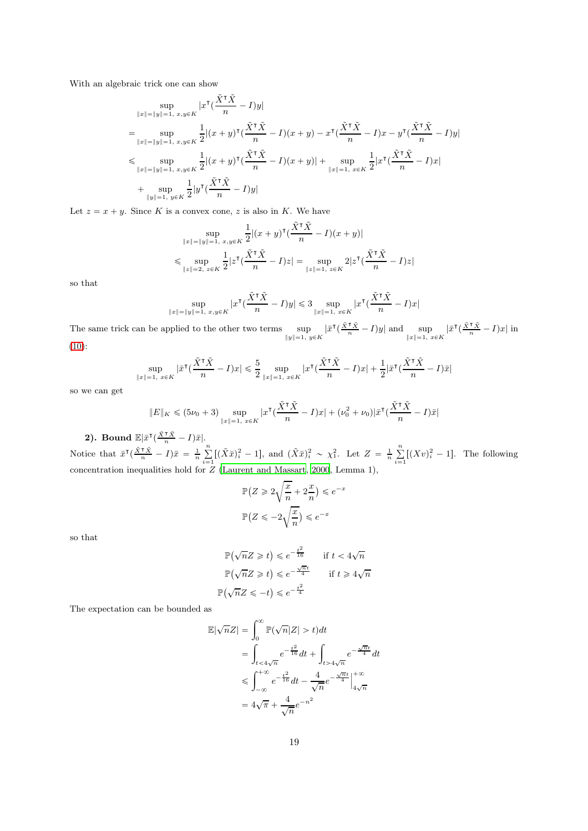With an algebraic trick one can show

$$
\sup_{\|x\|=\|y\|=1, \ x,y\in K} |x^{\mathsf{T}}(\frac{\tilde{X}^{\mathsf{T}}\tilde{X}}{n} - I)y|
$$
\n
$$
= \sup_{\|x\|=\|y\|=1, \ x,y\in K} \frac{\frac{1}{2}|(x+y)^{\mathsf{T}}(\frac{\tilde{X}^{\mathsf{T}}\tilde{X}}{n} - I)(x+y) - x^{\mathsf{T}}(\frac{\tilde{X}^{\mathsf{T}}\tilde{X}}{n} - I)x - y^{\mathsf{T}}(\frac{\tilde{X}^{\mathsf{T}}\tilde{X}}{n} - I)y|
$$
\n
$$
\leq \sup_{\|x\|=\|y\|=1, \ x,y\in K} \frac{\frac{1}{2}|(x+y)^{\mathsf{T}}(\frac{\tilde{X}^{\mathsf{T}}\tilde{X}}{n} - I)(x+y)| + \sup_{\|x\|=1, \ x\in K} \frac{\frac{1}{2}|x^{\mathsf{T}}(\frac{\tilde{X}^{\mathsf{T}}\tilde{X}}{n} - I)x|}{2^{|\mathsf{T}}(\frac{\tilde{X}^{\mathsf{T}}\tilde{X}}{n} - I)y|}
$$

Let  $z = x + y$ . Since K is a convex cone, z is also in K. We have

$$
\sup_{\|x\|=\|y\|=1, \ x,y\in K} \frac{\frac{1}{2}|(x+y)^{\intercal}(\frac{\tilde{X}^{\intercal}\tilde{X}}{n}-I)(x+y)|}{\sup_{\|z\|=2, \ z\in K} \frac{1}{2}|z^{\intercal}(\frac{\tilde{X}^{\intercal}\tilde{X}}{n}-I)z| = \sup_{\|z\|=1, \ z\in K} 2|z^{\intercal}(\frac{\tilde{X}^{\intercal}\tilde{X}}{n}-I)z|
$$

so that

$$
\sup_{\|x\|=\|y\|=1, \ x,y\in K} |x^{\mathsf{T}}(\frac{\tilde{X}^{\mathsf{T}}\tilde{X}}{n}-I)y| \leq 3 \sup_{\|x\|=1, \ x\in K} |x^{\mathsf{T}}(\frac{\tilde{X}^{\mathsf{T}}\tilde{X}}{n}-I)x|
$$

The same trick can be applied to the other two terms sup  $\sup_{\|y\|=1, y\in K} |\bar{x}^\intercal(\frac{\tilde{X}^\intercal \tilde{X}}{n} - I)y|$  and  $\sup_{\|x\|=1, x\in K} |\bar{x}^\intercal(\frac{\tilde{X}^\intercal \tilde{X}}{n} - I)x|$  in [\(10\)](#page-17-1):

$$
\sup_{\|x\|=1,\ x\in K}|\bar x^{\intercal}(\frac{\tilde X^{\intercal}\tilde X}{n}-I)x|\leqslant \frac{5}{2}\sup_{\|x\|=1,\ x\in K}|x^{\intercal}(\frac{\tilde X^{\intercal}\tilde X}{n}-I)x|+\frac{1}{2}|\bar x^{\intercal}(\frac{\tilde X^{\intercal}\tilde X}{n}-I)\bar x|
$$

so we can get

$$
||E||_K \leq (5\nu_0 + 3) \sup_{||x||=1, x \in K} |x^{\mathsf{T}} \left( \frac{\tilde{X}^{\mathsf{T}} \tilde{X}}{n} - I\right) x| + (\nu_0^2 + \nu_0) |\bar{x}^{\mathsf{T}} \left( \frac{\tilde{X}^{\mathsf{T}} \tilde{X}}{n} - I\right) \bar{x}|
$$

**2).** Bound  $\mathbb{E}|\bar{x}^{\intercal}(\frac{\tilde{X}^{\intercal}\tilde{X}}{n}-I)\bar{x}|$ . Notice that  $\bar{x}^{\mathsf{T}}(\frac{\tilde{X}^{\mathsf{T}}\tilde{X}}{n}-I)\bar{x} = \frac{1}{n}\sum_{i=1}^{n}$  $\sum_{i=1}^{n} [(\tilde{X}\bar{x})_i^2 - 1]$ , and  $(\tilde{X}\bar{x})_i^2 \sim \chi_1^2$ . Let  $Z = \frac{1}{n} \sum_{i=1}^{n}$  $\sum_{i=1}^{\infty} [(Xv)_i^2 - 1]$ . The following concentration inequalities hold for Z [\(Laurent and Massart, 2000,](#page-33-22) Lemma 1),

$$
\mathbb{P}\left(Z \geqslant 2\sqrt{\frac{x}{n}} + 2\frac{x}{n}\right) \leqslant e^{-x}
$$
\n
$$
\mathbb{P}\left(Z \leqslant -2\sqrt{\frac{x}{n}}\right) \leqslant e^{-x}
$$

so that

$$
\mathbb{P}(\sqrt{n}Z \geq t) \leq e^{-\frac{t^2}{16}} \quad \text{if } t < 4\sqrt{n}
$$

$$
\mathbb{P}(\sqrt{n}Z \geq t) \leq e^{-\frac{\sqrt{n}t}{4}} \quad \text{if } t \geq 4\sqrt{n}
$$

$$
\mathbb{P}(\sqrt{n}Z \leq -t) \leq e^{-\frac{t^2}{4}}
$$

The expectation can be bounded as

$$
\mathbb{E}|\sqrt{n}Z| = \int_0^\infty \mathbb{P}(\sqrt{n}|Z| > t)dt
$$
  
= 
$$
\int_{t < 4\sqrt{n}} e^{-\frac{t^2}{16}} dt + \int_{t > 4\sqrt{n}} e^{-\frac{\sqrt{n}t}{4}} dt
$$
  

$$
\leq \int_{-\infty}^{+\infty} e^{-\frac{t^2}{16}} dt - \frac{4}{\sqrt{n}} e^{-\frac{\sqrt{n}t}{4}} \Big|_{4\sqrt{n}}^{+\infty}
$$
  
= 
$$
4\sqrt{\pi} + \frac{4}{\sqrt{n}} e^{-n^2}
$$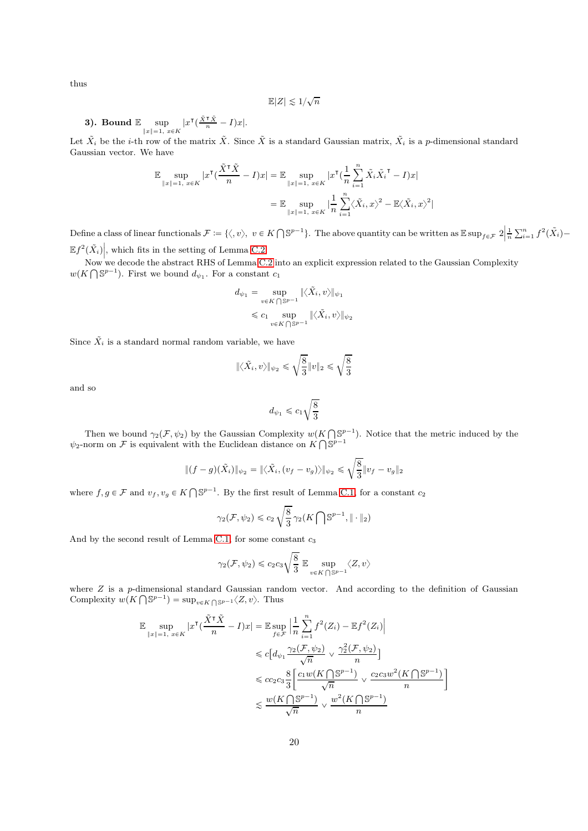thus

$$
\mathbb{E}|Z| \lesssim 1/\sqrt{n}
$$

**3).** Bound 
$$
\mathbb{E} \sup_{\|x\|=1, x \in K} |x^{\intercal}(\frac{\tilde{x}^{\intercal}\tilde{x}}{n}-I)x|.
$$

Let  $\tilde{X}_i$  be the *i*-th row of the matrix  $\tilde{X}$ . Since  $\tilde{X}$  is a standard Gaussian matrix,  $\tilde{X}_i$  is a *p*-dimensional standard Gaussian vector. We have

$$
\mathbb{E} \sup_{\|x\|=1, x \in K} |x^{\mathsf{T}}(\frac{\tilde{X}^{\mathsf{T}}\tilde{X}}{n} - I)x| = \mathbb{E} \sup_{\|x\|=1, x \in K} |x^{\mathsf{T}}(\frac{1}{n}\sum_{i=1}^{n} \tilde{X}_{i}\tilde{X}_{i}^{\mathsf{T}} - I)x|
$$
  

$$
= \mathbb{E} \sup_{\|x\|=1, x \in K} |\frac{1}{n}\sum_{i=1}^{n} \langle \tilde{X}_{i}, x \rangle^{2} - \mathbb{E}\langle \tilde{X}_{i}, x \rangle^{2}|
$$

Define a class of linear functionals  $\mathcal{F} := \{ \langle, v \rangle, v \in K \cap \mathbb{S}^{p-1} \}.$  The above quantity can be written as  $\mathbb{E} \sup_{f \in \mathcal{F}} 2 \Big|$  $\frac{1}{n}\sum_{i=1}^{n}f^{2}(\tilde{X}_{i}) \mathbb{E}f^2(\tilde{X}_i)$ , which fits in the setting of Lemma [C.2.](#page-17-0)

Now we decode the abstract RHS of Lemma [C.2](#page-17-0) into an explicit expression related to the Gaussian Complexity  $w(K \bigcap \mathbb{S}^{p-1})$ . First we bound  $d_{\psi_1}$ . For a constant  $c_1$ 

$$
d_{\psi_1} = \sup_{v \in K \bigcap \mathbb{S}^{p-1}} \|\langle \tilde{X}_i, v \rangle\|_{\psi_1}
$$
  
\$\leqslant c\_1 \sup\_{v \in K \bigcap \mathbb{S}^{p-1}} \|\langle \tilde{X}\_i, v \rangle\|\_{\psi\_2}\$

Since  $\tilde{X}_i$  is a standard normal random variable, we have

$$
\|\langle \tilde{X}_i, v \rangle\|_{\psi_2} \leqslant \sqrt{\frac{8}{3}}\|v\|_2 \leqslant \sqrt{\frac{8}{3}}
$$

and so

$$
d_{\psi_1} \leqslant c_1 \sqrt{\frac{8}{3}}
$$

Then we bound  $\gamma_2(\mathcal{F}, \psi_2)$  by the Gaussian Complexity  $w(K \cap \mathbb{S}^{p-1})$ . Notice that the metric induced by the  $\psi_2$ -norm on F is equivalent with the Euclidean distance on  $K \bigcap \mathbb{S}^{p-1}$ 

$$
\|(f-g)(\tilde{X}_i)\|_{\psi_2} = \|\langle \tilde{X}_i, (v_f - v_g) \rangle\|_{\psi_2} \leq \sqrt{\frac{8}{3}} \|v_f - v_g\|_2
$$

where  $f, g \in \mathcal{F}$  and  $v_f, v_g \in K \bigcap \mathbb{S}^{p-1}$ . By the first result of Lemma C.1, for a constant  $c_2$ 

$$
\gamma_2(\mathcal{F}, \psi_2) \leqslant c_2 \sqrt{\frac{8}{3}} \gamma_2(K \bigcap \mathbb{S}^{p-1}, \| \cdot \|_2)
$$

And by the second result of Lemma C.1, for some constant  $c_3$ 

$$
\gamma_2(\mathcal{F},\psi_2) \leqslant c_2c_3\sqrt{\frac{8}{3}}\,\,\mathbb{E}\sup_{v\in K\,\bigcap \,\mathbb{S}^{p-1}}\langle Z,v\rangle
$$

where  $Z$  is a p-dimensional standard Gaussian random vector. And according to the definition of Gaussian Complexity  $w(K \bigcap \mathbb{S}^{p-1}) = \sup_{v \in K \bigcap \mathbb{S}^{p-1}} \langle Z, v \rangle$ . Thus

$$
\mathbb{E} \sup_{\|x\|=1, x \in K} |x^{\mathsf{T}}(\frac{\tilde{X}^{\mathsf{T}}\tilde{X}}{n} - I)x| = \mathbb{E} \sup_{f \in \mathcal{F}} \left| \frac{1}{n} \sum_{i=1}^{n} f^{2}(Z_{i}) - \mathbb{E} f^{2}(Z_{i}) \right|
$$
  

$$
\leq c \left[ d_{\psi_{1}} \frac{\gamma_{2}(\mathcal{F}, \psi_{2})}{\sqrt{n}} \vee \frac{\gamma_{2}^{2}(\mathcal{F}, \psi_{2})}{n} \right]
$$
  

$$
\leq c_{2} c_{3} \frac{8}{3} \left[ \frac{c_{1} w(K \cap \mathbb{S}^{p-1})}{\sqrt{n}} \vee \frac{c_{2} c_{3} w^{2}(K \cap \mathbb{S}^{p-1})}{n} \right]
$$
  

$$
\lesssim \frac{w(K \cap \mathbb{S}^{p-1})}{\sqrt{n}} \vee \frac{w^{2}(K \cap \mathbb{S}^{p-1})}{n}
$$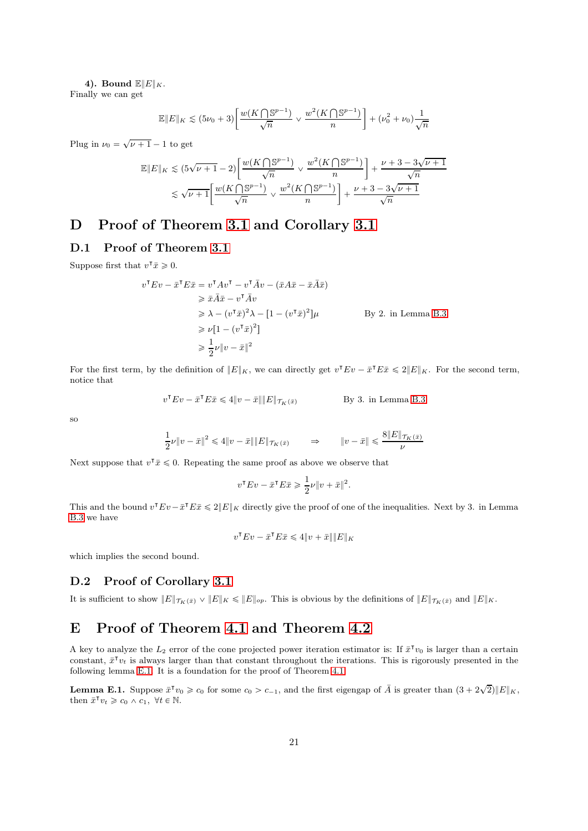### 4). Bound  $\mathbb{E}||E||_K$ .

Finally we can get

$$
\mathbb{E}||E||_K \lesssim (5\nu_0 + 3) \bigg[ \frac{w(K \bigcap \mathbb{S}^{p-1})}{\sqrt{n}} \vee \frac{w^2(K \bigcap \mathbb{S}^{p-1})}{n} \bigg] + (\nu_0^2 + \nu_0) \frac{1}{\sqrt{n}}
$$

Plug in  $\nu_0 = \sqrt{\nu + 1} - 1$  to get

$$
\mathbb{E}||E||_K \lesssim (5\sqrt{\nu+1} - 2) \left[ \frac{w(K \bigcap \mathbb{S}^{p-1})}{\sqrt{n}} \vee \frac{w^2(K \bigcap \mathbb{S}^{p-1})}{n} \right] + \frac{\nu+3-3\sqrt{\nu+1}}{\sqrt{n}} \lesssim \sqrt{\nu+1} \left[ \frac{w(K \bigcap \mathbb{S}^{p-1})}{\sqrt{n}} \vee \frac{w^2(K \bigcap \mathbb{S}^{p-1})}{n} \right] + \frac{\nu+3-3\sqrt{\nu+1}}{\sqrt{n}}
$$

## D Proof of Theorem [3.1](#page-4-3) and Corollary [3.1](#page-4-4)

### D.1 Proof of Theorem [3.1](#page-4-3)

Suppose first that  $v^{\dagger} \bar{x} \geq 0$ .

$$
v^{\mathsf{T}}Ev - \bar{x}^{\mathsf{T}}E\bar{x} = v^{\mathsf{T}}Av^{\mathsf{T}} - v^{\mathsf{T}}\bar{A}v - (\bar{x}A\bar{x} - \bar{x}\bar{A}\bar{x})
$$
  
\n
$$
\geq \bar{x}\bar{A}\bar{x} - v^{\mathsf{T}}\bar{A}v
$$
  
\n
$$
\geq \lambda - (v^{\mathsf{T}}\bar{x})^2 \lambda - [1 - (v^{\mathsf{T}}\bar{x})^2] \mu
$$
 By 2. in Lemma B.3  
\n
$$
\geq \nu[1 - (v^{\mathsf{T}}\bar{x})^2]
$$
  
\n
$$
\geq \frac{1}{2}\nu \|v - \bar{x}\|^2
$$

For the first term, by the definition of  $||E||_K$ , we can directly get  $v^{\mathsf{T}}Ev - \bar{x}^{\mathsf{T}}E\bar{x} \leq 2||E||_K$ . For the second term, notice that

$$
v^{\mathsf{T}} E v - \bar{x}^{\mathsf{T}} E \bar{x} \leq 4 \| v - \bar{x} \| \| E \|_{\mathcal{T}_K(\bar{x})}
$$
 By 3. in Lemma B.3

so

$$
\frac{1}{2}\nu\|v-\bar x\|^2\leqslant 4\|v-\bar x\|\|E\|_{\mathcal T_K(\bar x)}\qquad\Rightarrow\qquad\|v-\bar x\|\leqslant \frac{8\|E\|_{\mathcal T_K(\bar x)}}{\nu}
$$

Next suppose that  $v^{\mathsf{T}}\bar{x} \leq 0$ . Repeating the same proof as above we observe that

$$
v^{\mathsf{T}} E v - \bar{x}^{\mathsf{T}} E \bar{x} \geq \frac{1}{2} \nu \| v + \bar{x} \|^2.
$$

This and the bound  $v^{\mathsf{T}} E v - \bar{x}^{\mathsf{T}} E \bar{x} \leq 2||E||_K$  directly give the proof of one of the inequalities. Next by 3. in Lemma [B.3](#page-16-1) we have

$$
v^{\mathsf{T}} E v - \bar{x}^{\mathsf{T}} E \bar{x} \leqslant 4 \| v + \bar{x} \| \| E \|_{K}
$$

which implies the second bound.

### D.2 Proof of Corollary [3.1](#page-4-4)

It is sufficient to show  $||E||_{\mathcal{T}_K(\bar{x})} \vee ||E||_K \le ||E||_{op}$ . This is obvious by the definitions of  $||E||_{\mathcal{T}_K(\bar{x})}$  and  $||E||_K$ .

## E Proof of Theorem [4.1](#page-6-1) and Theorem [4.2](#page-7-1)

A key to analyze the  $L_2$  error of the cone projected power iteration estimator is: If  $\bar{x}^\intercal v_0$  is larger than a certain constant,  $\bar{x}^\intercal v_t$  is always larger than that constant throughout the iterations. This is rigorously presented in the following lemma [E.1.](#page-20-0) It is a foundation for the proof of Theorem [4.1.](#page-6-1)

<span id="page-20-0"></span>**Lemma E.1.** Suppose  $\bar{x}^{\mathsf{T}}v_0 \geq c_0$  for some  $c_0 > c_{-1}$ , and the first eigengap of  $\bar{A}$  is greater than  $(3 + 2\sqrt{2})||E||_K$ , then  $\bar{x}^\intercal v_t \geqslant c_0 \wedge c_1, \ \forall t \in \mathbb{N}$ .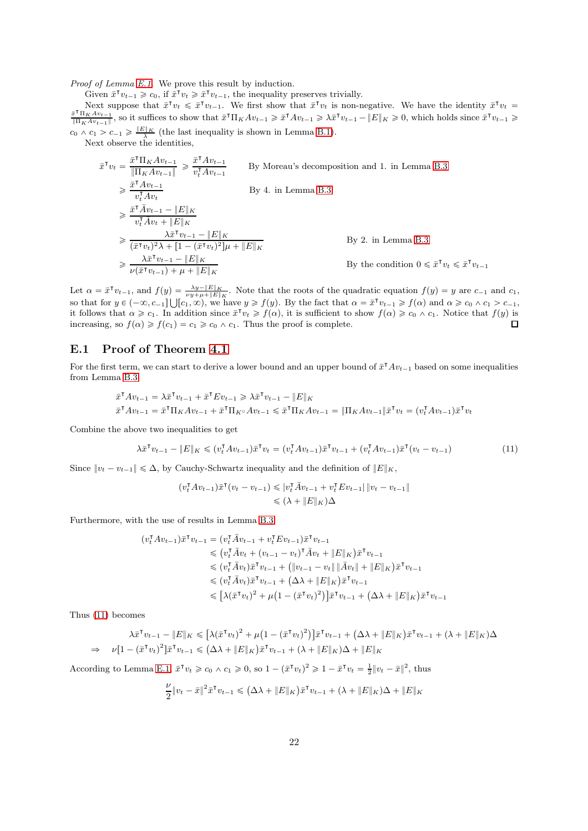*Proof of Lemma [E.1.](#page-20-0)* We prove this result by induction.

Given  $\bar{x}^{\mathsf{T}}v_{t-1} \geqslant c_0$ , if  $\bar{x}^{\mathsf{T}}v_t \geqslant \bar{x}^{\mathsf{T}}v_{t-1}$ , the inequality preserves trivially.

Next suppose that  $\bar{x}^\intercal v_t \leq \bar{x}^\intercal v_{t-1}$ . We first show that  $\bar{x}^\intercal v_t$  is non-negative. We have the identity  $\bar{x}^\intercal v_t =$  $\bar{x}^{\intercal} \Pi_K A v_{t-1}$  $\frac{\bar{x}^T \Pi_K A v_{t-1}}{\|\Pi_K A v_{t-1}\|}$ , so it suffices to show that  $\bar{x}^T \Pi_K A v_{t-1} \geq \bar{x}^T A v_{t-1} \geq \lambda \bar{x}^T v_{t-1} - \|E\|_K \geq 0$ , which holds since  $\bar{x}^T v_{t-1} \geq 0$  $c_0 \wedge c_1 > c_{-1} \geqslant \frac{\|E\|_K}{\lambda}$  (the last inequality is shown in Lemma [B.1\)](#page-15-1).

Next observe the identities,

$$
\bar{x}^{\mathsf{T}}v_t = \frac{\bar{x}^{\mathsf{T}}\Pi_K A v_{t-1}}{\|\Pi_K A v_{t-1}\|} \ge \frac{\bar{x}^{\mathsf{T}} A v_{t-1}}{v_t^{\mathsf{T}} A v_{t-1}} \qquad \text{By Moreau's decomposition and 1. in Lemma B.3}
$$
\n
$$
\ge \frac{\bar{x}^{\mathsf{T}} A v_{t-1}}{v_t^{\mathsf{T}} A v_t} \qquad \text{By 4. in Lemma B.3}
$$
\n
$$
\ge \frac{\bar{x}^{\mathsf{T}} \bar{A} v_{t-1} - \|E\|_K}{v_t^{\mathsf{T}} \bar{A} v_t + \|E\|_K}
$$
\n
$$
\ge \frac{\lambda \bar{x}^{\mathsf{T}} v_{t-1} - \|E\|_K}{(\bar{x}^{\mathsf{T}} v_t)^2 \lambda + [1 - (\bar{x}^{\mathsf{T}} v_t)^2] \mu + \|E\|_K}
$$
\n
$$
\ge \frac{\lambda \bar{x}^{\mathsf{T}} v_{t-1} - \|E\|_K}{\nu(\bar{x}^{\mathsf{T}} v_{t-1}) + \mu + \|E\|_K}
$$
\nBy the condition  $0 \le \bar{x}^{\mathsf{T}} v_t \le \bar{x}^{\mathsf{T}} v_{t-1}$ 

Let  $\alpha = \bar{x}^{\mathsf{T}}v_{t-1}$ , and  $f(y) = \frac{\lambda y - \|E\|_K}{\nu y + \mu + \|E\|_K}$ . Note that the roots of the quadratic equation  $f(y) = y$  are  $c_{-1}$  and  $c_1$ , so that for  $y \in (-\infty, c_{-1}] \cup [c_1, \infty)$ , we have  $y \ge f(y)$ . By the fact that  $\alpha = \bar{x}^\intercal v_{t-1} \ge f(\alpha)$  and  $\alpha \ge c_0 \wedge c_1 > c_{-1}$ , it follows that  $\alpha \geq c_1$ . In addition since  $\bar{x}^\intercal v_t \geq f(\alpha)$ , it is sufficient to show  $f(\alpha) \geq c_0 \wedge c_1$ . Notice that  $f(y)$  is increasing, so  $f(\alpha) \geq f(c_1) = c_1 \geq c_0 \wedge c_1$ . Thus the proof is complete.

### E.1 Proof of Theorem [4.1](#page-6-1)

For the first term, we can start to derive a lower bound and an upper bound of  $\bar{x}^T A v_{t-1}$  based on some inequalities from Lemma [B.3,](#page-16-1)

$$
\bar{x}^{\mathsf{T}} A v_{t-1} = \lambda \bar{x}^{\mathsf{T}} v_{t-1} + \bar{x}^{\mathsf{T}} E v_{t-1} \geq \lambda \bar{x}^{\mathsf{T}} v_{t-1} - \|E\|_{K}
$$
\n
$$
\bar{x}^{\mathsf{T}} A v_{t-1} = \bar{x}^{\mathsf{T}} \Pi_{K} A v_{t-1} + \bar{x}^{\mathsf{T}} \Pi_{K} \wedge v_{t-1} \leq \bar{x}^{\mathsf{T}} \Pi_{K} A v_{t-1} = \|\Pi_{K} A v_{t-1}\| \bar{x}^{\mathsf{T}} v_{t} = (v_{t}^{\mathsf{T}} A v_{t-1}) \bar{x}^{\mathsf{T}} v_{t}
$$

Combine the above two inequalities to get

$$
\lambda \overline{x}^\mathsf{T} v_{t-1} - \|E\|_K \leqslant (v_t^\mathsf{T} A v_{t-1}) \overline{x}^\mathsf{T} v_t = (v_t^\mathsf{T} A v_{t-1}) \overline{x}^\mathsf{T} v_{t-1} + (v_t^\mathsf{T} A v_{t-1}) \overline{x}^\mathsf{T} (v_t - v_{t-1}) \tag{11}
$$

Since  $||v_t - v_{t-1}|| \leq \Delta$ , by Cauchy-Schwartz inequality and the definition of  $||E||_K$ ,

<span id="page-21-0"></span>
$$
(v_t^{\mathsf{T}} A v_{t-1}) \bar{x}^{\mathsf{T}} (v_t - v_{t-1}) \leqslant |v_t^{\mathsf{T}} \bar{A} v_{t-1} + v_t^{\mathsf{T}} E v_{t-1}| \|v_t - v_{t-1}\|
$$
  

$$
\leqslant (\lambda + \|E\|_K)\Delta
$$

Furthermore, with the use of results in Lemma [B.3,](#page-16-1)

$$
(v_t^{\mathsf{T}} A v_{t-1}) \bar{x}^{\mathsf{T}} v_{t-1} = (v_t^{\mathsf{T}} \bar{A} v_{t-1} + v_t^{\mathsf{T}} E v_{t-1}) \bar{x}^{\mathsf{T}} v_{t-1}
$$
  
\n
$$
\leq (v_t^{\mathsf{T}} \bar{A} v_t + (v_{t-1} - v_t)^{\mathsf{T}} \bar{A} v_t + ||E||_K) \bar{x}^{\mathsf{T}} v_{t-1}
$$
  
\n
$$
\leq (v_t^{\mathsf{T}} \bar{A} v_t) \bar{x}^{\mathsf{T}} v_{t-1} + (||v_{t-1} - v_t|| ||\bar{A} v_t|| + ||E||_K) \bar{x}^{\mathsf{T}} v_{t-1}
$$
  
\n
$$
\leq (v_t^{\mathsf{T}} \bar{A} v_t) \bar{x}^{\mathsf{T}} v_{t-1} + (\Delta \lambda + ||E||_K) \bar{x}^{\mathsf{T}} v_{t-1}
$$
  
\n
$$
\leq [\lambda (\bar{x}^{\mathsf{T}} v_t)^2 + \mu (1 - (\bar{x}^{\mathsf{T}} v_t)^2)] \bar{x}^{\mathsf{T}} v_{t-1} + (\Delta \lambda + ||E||_K) \bar{x}^{\mathsf{T}} v_{t-1}
$$

Thus [\(11\)](#page-21-0) becomes

$$
\lambda \bar{x}^\mathsf{T} v_{t-1} - \|E\|_K \leq \left[\lambda (\bar{x}^\mathsf{T} v_t)^2 + \mu \left(1 - (\bar{x}^\mathsf{T} v_t)^2\right)\right] \bar{x}^\mathsf{T} v_{t-1} + \left(\Delta \lambda + \|E\|_K\right) \bar{x}^\mathsf{T} v_{t-1} + \left(\lambda + \|E\|_K\right) \Delta
$$
  
\n
$$
\Rightarrow \quad \nu \left[1 - (\bar{x}^\mathsf{T} v_t)^2\right] \bar{x}^\mathsf{T} v_{t-1} \leq \left(\Delta \lambda + \|E\|_K\right) \bar{x}^\mathsf{T} v_{t-1} + \left(\lambda + \|E\|_K\right) \Delta + \|E\|_K
$$

According to Lemma [E.1,](#page-20-0)  $\bar{x}^{\mathsf{T}} v_t \geq c_0 \wedge c_1 \geq 0$ , so  $1 - (\bar{x}^{\mathsf{T}} v_t)^2 \geq 1 - \bar{x}^{\mathsf{T}} v_t = \frac{1}{2} ||v_t - \bar{x}||^2$ , thus

$$
\frac{\nu}{2} \|v_t - \bar{x}\|^2 \bar{x}^\mathsf{T} v_{t-1} \leq (\Delta \lambda + \|E\|_K) \bar{x}^\mathsf{T} v_{t-1} + (\lambda + \|E\|_K) \Delta + \|E\|_K
$$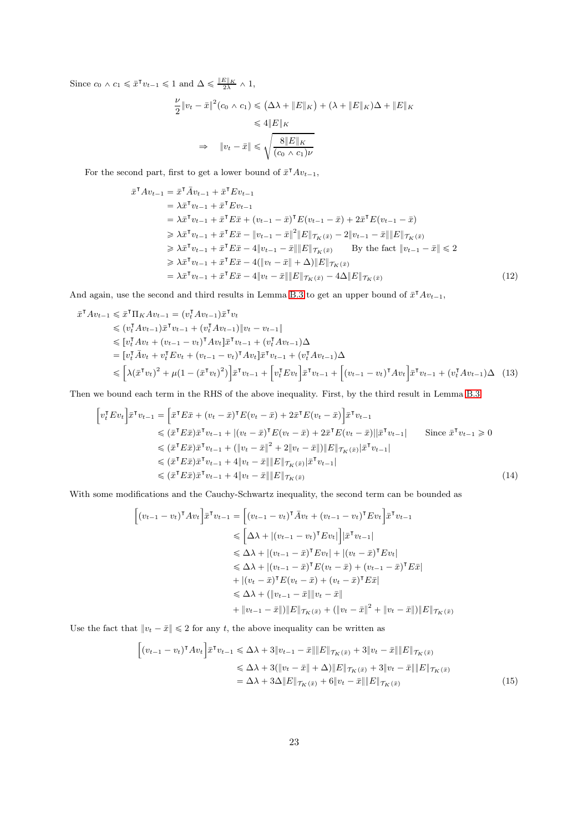Since  $c_0 \wedge c_1 \leq \bar{x}^\intercal v_{t-1} \leq 1$  and  $\Delta \leq \frac{\|E\|_K}{2\lambda} \wedge 1$ ,

<span id="page-22-0"></span>
$$
\frac{\nu}{2} \|v_t - \bar{x}\|^2 (c_0 \wedge c_1) \le (\Delta \lambda + \|E\|_K) + (\lambda + \|E\|_K) \Delta + \|E\|_K
$$
  

$$
\le 4 \|E\|_K
$$
  

$$
\Rightarrow \|v_t - \bar{x}\| \le \sqrt{\frac{8 \|E\|_K}{(c_0 \wedge c_1)\nu}}
$$

For the second part, first to get a lower bound of  $\bar{x}^{\mathsf{T}}Av_{t-1}$ ,

$$
\begin{split}\n\bar{x}^{\mathsf{T}} A v_{t-1} &= \bar{x}^{\mathsf{T}} \bar{A} v_{t-1} + \bar{x}^{\mathsf{T}} E v_{t-1} \\
&= \lambda \bar{x}^{\mathsf{T}} v_{t-1} + \bar{x}^{\mathsf{T}} E v_{t-1} \\
&= \lambda \bar{x}^{\mathsf{T}} v_{t-1} + \bar{x}^{\mathsf{T}} E \bar{x} + (v_{t-1} - \bar{x})^{\mathsf{T}} E (v_{t-1} - \bar{x}) + 2 \bar{x}^{\mathsf{T}} E (v_{t-1} - \bar{x}) \\
&\geq \lambda \bar{x}^{\mathsf{T}} v_{t-1} + \bar{x}^{\mathsf{T}} E \bar{x} - \|v_{t-1} - \bar{x}\|^2 \|E\| \tau_K(\bar{x}) - 2\|v_{t-1} - \bar{x}\| \|E\| \tau_K(\bar{x}) \\
&\geq \lambda \bar{x}^{\mathsf{T}} v_{t-1} + \bar{x}^{\mathsf{T}} E \bar{x} - 4\|v_{t-1} - \bar{x}\| \|E\| \tau_K(\bar{x}) \qquad \text{By the fact } \|v_{t-1} - \bar{x}\| \leq 2 \\
&\geq \lambda \bar{x}^{\mathsf{T}} v_{t-1} + \bar{x}^{\mathsf{T}} E \bar{x} - 4(\|v_t - \bar{x}\| + \Delta) \|E\| \tau_K(\bar{x}) \\
&= \lambda \bar{x}^{\mathsf{T}} v_{t-1} + \bar{x}^{\mathsf{T}} E \bar{x} - 4\|v_t - \bar{x}\| \|E\| \tau_K(\bar{x}) - 4\Delta \|E\| \tau_K(\bar{x})\n\end{split} \tag{12}
$$

And again, use the second and third results in Lemma [B.3](#page-16-1) to get an upper bound of  $\bar{x}^{\text{T}}Av_{t-1}$ ,

$$
\begin{split}\n\bar{x}^{\mathsf{T}} A v_{t-1} &\leq \bar{x}^{\mathsf{T}} \Pi_{K} A v_{t-1} = (v_{t}^{\mathsf{T}} A v_{t-1}) \bar{x}^{\mathsf{T}} v_{t} \\
&\leq (v_{t}^{\mathsf{T}} A v_{t-1}) \bar{x}^{\mathsf{T}} v_{t-1} + (v_{t}^{\mathsf{T}} A v_{t-1}) \| v_{t} - v_{t-1} \| \\
&\leq [v_{t}^{\mathsf{T}} A v_{t} + (v_{t-1} - v_{t})^{\mathsf{T}} A v_{t}] \bar{x}^{\mathsf{T}} v_{t-1} + (v_{t}^{\mathsf{T}} A v_{t-1}) \Delta \\
&= [v_{t}^{\mathsf{T}} \bar{A} v_{t} + v_{t}^{\mathsf{T}} E v_{t} + (v_{t-1} - v_{t})^{\mathsf{T}} A v_{t}] \bar{x}^{\mathsf{T}} v_{t-1} + (v_{t}^{\mathsf{T}} A v_{t-1}) \Delta \\
&\leq \left[ \lambda (\bar{x}^{\mathsf{T}} v_{t})^{2} + \mu (1 - (\bar{x}^{\mathsf{T}} v_{t})^{2}) \right] \bar{x}^{\mathsf{T}} v_{t-1} + \left[ v_{t}^{\mathsf{T}} E v_{t} \right] \bar{x}^{\mathsf{T}} v_{t-1} + \left[ (v_{t-1} - v_{t})^{\mathsf{T}} A v_{t} \right] \bar{x}^{\mathsf{T}} v_{t-1} + (v_{t}^{\mathsf{T}} A v_{t-1}) \Delta \end{split} \tag{13}
$$

Then we bound each term in the RHS of the above inequality. First, by the third result in Lemma [B.3](#page-16-1)

$$
\begin{aligned}\n\left[v_t^{\mathsf{T}} E v_t\right] \bar{x}^{\mathsf{T}} v_{t-1} &= \left[\bar{x}^{\mathsf{T}} E \bar{x} + (v_t - \bar{x})^{\mathsf{T}} E (v_t - \bar{x}) + 2 \bar{x}^{\mathsf{T}} E (v_t - \bar{x})\right] \bar{x}^{\mathsf{T}} v_{t-1} \\
&\leqslant (\bar{x}^{\mathsf{T}} E \bar{x}) \bar{x}^{\mathsf{T}} v_{t-1} + |(v_t - \bar{x})^{\mathsf{T}} E (v_t - \bar{x}) + 2 \bar{x}^{\mathsf{T}} E (v_t - \bar{x})||\bar{x}^{\mathsf{T}} v_{t-1}| \qquad \text{Since } \bar{x}^{\mathsf{T}} v_{t-1} \geq 0 \\
&\leqslant (\bar{x}^{\mathsf{T}} E \bar{x}) \bar{x}^{\mathsf{T}} v_{t-1} + (||v_t - \bar{x}||^2 + 2||v_t - \bar{x}||) \|E\|_{\mathcal{T}_K(\bar{x})} |\bar{x}^{\mathsf{T}} v_{t-1}| \\
&\leqslant (\bar{x}^{\mathsf{T}} E \bar{x}) \bar{x}^{\mathsf{T}} v_{t-1} + 4||v_t - \bar{x}|| \|E\|_{\mathcal{T}_K(\bar{x})} |\bar{x}^{\mathsf{T}} v_{t-1}| \\
&\leqslant (\bar{x}^{\mathsf{T}} E \bar{x}) \bar{x}^{\mathsf{T}} v_{t-1} + 4||v_t - \bar{x}|| \|E\|_{\mathcal{T}_K(\bar{x})}\n\end{aligned} \tag{14}
$$

With some modifications and the Cauchy-Schwartz inequality, the second term can be bounded as

<span id="page-22-2"></span><span id="page-22-1"></span>
$$
\begin{aligned}\n\left[ (v_{t-1} - v_t)^{\mathsf{T}} A v_t \right] \bar{x}^{\mathsf{T}} v_{t-1} &= \left[ (v_{t-1} - v_t)^{\mathsf{T}} \bar{A} v_t + (v_{t-1} - v_t)^{\mathsf{T}} E v_t \right] \bar{x}^{\mathsf{T}} v_{t-1} \\
&\leqslant \left[ \Delta \lambda + |(v_{t-1} - v_t)^{\mathsf{T}} E v_t| \right] |\bar{x}^{\mathsf{T}} v_{t-1}| \\
&\leqslant \Delta \lambda + |(v_{t-1} - \bar{x})^{\mathsf{T}} E v_t| + |(v_t - \bar{x})^{\mathsf{T}} E v_t| \\
&\leqslant \Delta \lambda + |(v_{t-1} - \bar{x})^{\mathsf{T}} E (v_t - \bar{x}) + (v_{t-1} - \bar{x})^{\mathsf{T}} E \bar{x}| \\
&+ |(v_t - \bar{x})^{\mathsf{T}} E (v_t - \bar{x}) + (v_t - \bar{x})^{\mathsf{T}} E \bar{x}| \\
&\leqslant \Delta \lambda + (||v_{t-1} - \bar{x}|| ||v_t - \bar{x}|| \\
&+ ||v_{t-1} - \bar{x}|| ||E||_{\mathcal{T}_K} (\bar{x}) + (||v_t - \bar{x}||^2 + ||v_t - \bar{x}||) ||E||_{\mathcal{T}_K} (\bar{x})\n\end{aligned}
$$

Use the fact that  $||v_t - \bar{x}|| \le 2$  for any t, the above inequality can be written as

<span id="page-22-3"></span>
$$
\begin{split} \left[ (v_{t-1} - v_t)^{\mathsf{T}} A v_t \right] &\bar{x}^{\mathsf{T}} v_{t-1} \leq \Delta \lambda + 3 \| v_{t-1} - \bar{x} \| \| E \|_{\mathcal{T}_K(\bar{x})} + 3 \| v_t - \bar{x} \| \| E \|_{\mathcal{T}_K(\bar{x})} \\ &\leq \Delta \lambda + 3 ( \| v_t - \bar{x} \| + \Delta ) \| E \|_{\mathcal{T}_K(\bar{x})} + 3 \| v_t - \bar{x} \| \| E \|_{\mathcal{T}_K(\bar{x})} \\ &= \Delta \lambda + 3 \Delta \| E \|_{\mathcal{T}_K(\bar{x})} + 6 \| v_t - \bar{x} \| \| E \|_{\mathcal{T}_K(\bar{x})} \end{split} \tag{15}
$$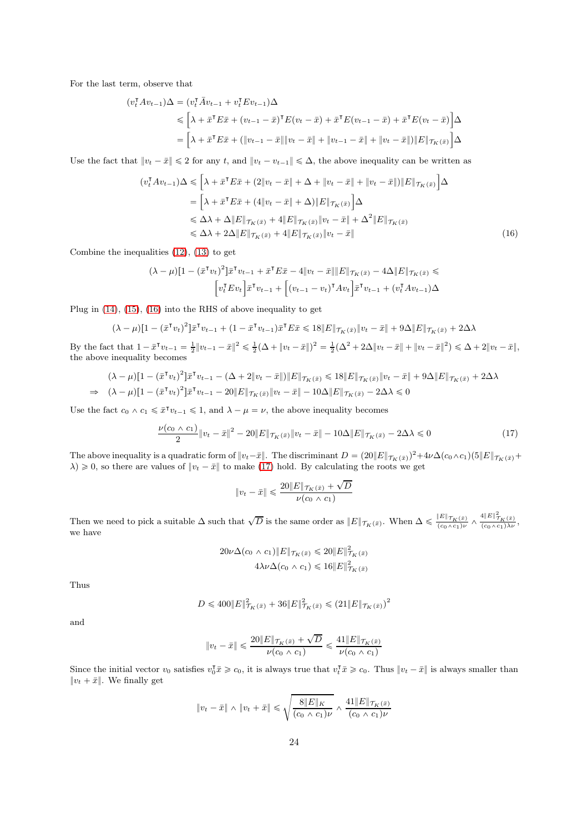For the last term, observe that

$$
(v_t^{\mathsf{T}} A v_{t-1}) \Delta = (v_t^{\mathsf{T}} \bar{A} v_{t-1} + v_t^{\mathsf{T}} E v_{t-1}) \Delta
$$
  
\n
$$
\leq \left[ \lambda + \bar{x}^{\mathsf{T}} E \bar{x} + (v_{t-1} - \bar{x})^{\mathsf{T}} E (v_t - \bar{x}) + \bar{x}^{\mathsf{T}} E (v_{t-1} - \bar{x}) + \bar{x}^{\mathsf{T}} E (v_t - \bar{x}) \right] \Delta
$$
  
\n
$$
= \left[ \lambda + \bar{x}^{\mathsf{T}} E \bar{x} + (\|v_{t-1} - \bar{x}\| \|v_t - \bar{x}\| + \|v_{t-1} - \bar{x}\| + \|v_t - \bar{x}\|) \|E\|_{\mathcal{T}_K(\bar{x})} \right] \Delta
$$

Use the fact that  $||v_t - \bar{x}|| \le 2$  for any t, and  $||v_t - v_{t-1}|| \le \Delta$ , the above inequality can be written as

$$
(v_t^{\mathsf{T}}Av_{t-1})\Delta \leqslant \left[\lambda + \bar{x}^{\mathsf{T}}E\bar{x} + (2\|v_t - \bar{x}\| + \Delta + \|v_t - \bar{x}\| + \|v_t - \bar{x}\|)\|E\|\tau_{K}(\bar{x})\right]\Delta
$$
  
\n
$$
= \left[\lambda + \bar{x}^{\mathsf{T}}E\bar{x} + (4\|v_t - \bar{x}\| + \Delta)\|E\|\tau_{K}(\bar{x})\right]\Delta
$$
  
\n
$$
\leqslant \Delta\lambda + \Delta\|E\|\tau_{K}(\bar{x}) + 4\|E\|\tau_{K}(\bar{x})\|v_t - \bar{x}\| + \Delta^2\|E\|\tau_{K}(\bar{x})
$$
  
\n
$$
\leqslant \Delta\lambda + 2\Delta\|E\|\tau_{K}(\bar{x}) + 4\|E\|\tau_{K}(\bar{x})\|v_t - \bar{x}\|
$$
\n(16)

Combine the inequalities [\(12\)](#page-22-0), [\(13\)](#page-22-1) to get

<span id="page-23-0"></span>
$$
(\lambda - \mu)[1 - (\bar{x}^\mathsf{T} v_t)^2] \bar{x}^\mathsf{T} v_{t-1} + \bar{x}^\mathsf{T} E \bar{x} - 4\|v_t - \bar{x}\| \|E\|_{\mathcal{T}_K(\bar{x})} - 4\Delta \|E\|_{\mathcal{T}_K(\bar{x})} \le
$$

$$
\left[v_t^\mathsf{T} E v_t\right] \bar{x}^\mathsf{T} v_{t-1} + \left[(v_{t-1} - v_t)^\mathsf{T} A v_t\right] \bar{x}^\mathsf{T} v_{t-1} + (v_t^\mathsf{T} A v_{t-1})\Delta
$$

Plug in [\(14\)](#page-22-2), [\(15\)](#page-22-3), [\(16\)](#page-23-0) into the RHS of above inequality to get

$$
(\lambda - \mu)[1 - (\bar{x}^{\mathsf{T}} v_t)^2] \bar{x}^{\mathsf{T}} v_{t-1} + (1 - \bar{x}^{\mathsf{T}} v_{t-1}) \bar{x}^{\mathsf{T}} E \bar{x} \leq 18 \|E\|_{\mathcal{T}_K(\bar{x})} \|v_t - \bar{x}\| + 9\Delta \|E\|_{\mathcal{T}_K(\bar{x})} + 2\Delta\lambda
$$

By the fact that  $1 - \bar{x}^{\mathsf{T}} v_{t-1} = \frac{1}{2} \|v_{t-1} - \bar{x}\|^2 \leq \frac{1}{2} (\Delta + \|v_t - \bar{x}\|^2) = \frac{1}{2} (\Delta^2 + 2\Delta \|v_t - \bar{x}\| + \|v_t - \bar{x}\|^2) \leq \Delta + 2\|v_t - \bar{x}\|$ the above inequality becomes

$$
(\lambda - \mu)[1 - (\bar{x}^{\mathsf{T}} v_t)^2] \bar{x}^{\mathsf{T}} v_{t-1} - (\Delta + 2 \|v_t - \bar{x}\|) \|E\|_{\mathcal{T}_K(\bar{x})} \le 18 \|E\|_{\mathcal{T}_K(\bar{x})} \|v_t - \bar{x}\| + 9\Delta \|E\|_{\mathcal{T}_K(\bar{x})} + 2\Delta\lambda
$$
  
\n
$$
\Rightarrow (\lambda - \mu)[1 - (\bar{x}^{\mathsf{T}} v_t)^2] \bar{x}^{\mathsf{T}} v_{t-1} - 20 \|E\|_{\mathcal{T}_K(\bar{x})} \|v_t - \bar{x}\| - 10\Delta \|E\|_{\mathcal{T}_K(\bar{x})} - 2\Delta\lambda \le 0
$$

Use the fact  $c_0 \wedge c_1 \leq \bar{x}^\intercal v_{t-1} \leq 1$ , and  $\lambda - \mu = \nu$ , the above inequality becomes

$$
\frac{\nu(c_0 \wedge c_1)}{2} \|v_t - \bar{x}\|^2 - 20\|E\|_{\mathcal{T}_K(\bar{x})} \|v_t - \bar{x}\| - 10\Delta \|E\|_{\mathcal{T}_K(\bar{x})} - 2\Delta\lambda \leq 0
$$
\n(17)

The above inequality is a quadratic form of  $||v_t-\bar{x}||$ . The discriminant  $D = (20||E||_{\mathcal{T}_K(\bar{x})})^2 + 4\nu\Delta(c_0 \wedge c_1)(5||E||_{\mathcal{T}_K(\bar{x})}+$  $\lambda \geq 0$ , so there are values of  $||v_t - \bar{x}||$  to make [\(17\)](#page-23-1) hold. By calculating the roots we get

<span id="page-23-1"></span>
$$
||v_t - \bar{x}|| \le \frac{20||E||_{\mathcal{T}_K(\bar{x})} + \sqrt{D}}{\nu(c_0 \wedge c_1)}
$$

Then we need to pick a suitable  $\Delta$  such that  $\sqrt{D}$  is the same order as  $||E||_{\mathcal{T}_{K}(\bar{x})}$ . When  $\Delta \leq \frac{||E||_{\mathcal{T}_{K}(\bar{x})}}{(c_0 \wedge c_1)\nu} \wedge \frac{4||E||_{\mathcal{T}_{K}(\bar{x})}}{(c_0 \wedge c_1)\lambda \nu}$ , we have

$$
20\nu\Delta(c_0 \wedge c_1) \|E\|_{\mathcal{T}_K(\bar{x})} \le 20 \|E\|_{\mathcal{T}_K(\bar{x})}^2
$$

$$
4\lambda\nu\Delta(c_0 \wedge c_1) \le 16 \|E\|_{\mathcal{T}_K(\bar{x})}^2
$$

Thus

$$
D \leq 400 \|E\|_{\mathcal{T}_K(\bar{x})}^2 + 36\|E\|_{\mathcal{T}_K(\bar{x})}^2 \leq (21 \|E\|_{\mathcal{T}_K(\bar{x})})^2
$$

and

$$
\|v_t - \bar x\| \leqslant \frac{20\|E\|_{\mathcal T_K(\bar x)} + \sqrt{D}}{\nu (c_0 \wedge c_1)} \leqslant \frac{41\|E\|_{\mathcal T_K(\bar x)}}{\nu (c_0 \wedge c_1)}
$$

Since the initial vector  $v_0$  satisfies  $v_0^{\mathsf{T}}\bar{x} \geq c_0$ , it is always true that  $v_t^{\mathsf{T}}\bar{x} \geq c_0$ . Thus  $\|v_t - \bar{x}\|$  is always smaller than  $||v_t + \bar{x}||$ . We finally get

$$
\|v_t - \bar{x}\| \wedge \|v_t + \bar{x}\| \le \sqrt{\frac{8\|E\|_K}{(c_0 \wedge c_1)\nu}} \wedge \frac{41\|E\|_{\mathcal{T}_K(\bar{x})}}{(c_0 \wedge c_1)\nu}
$$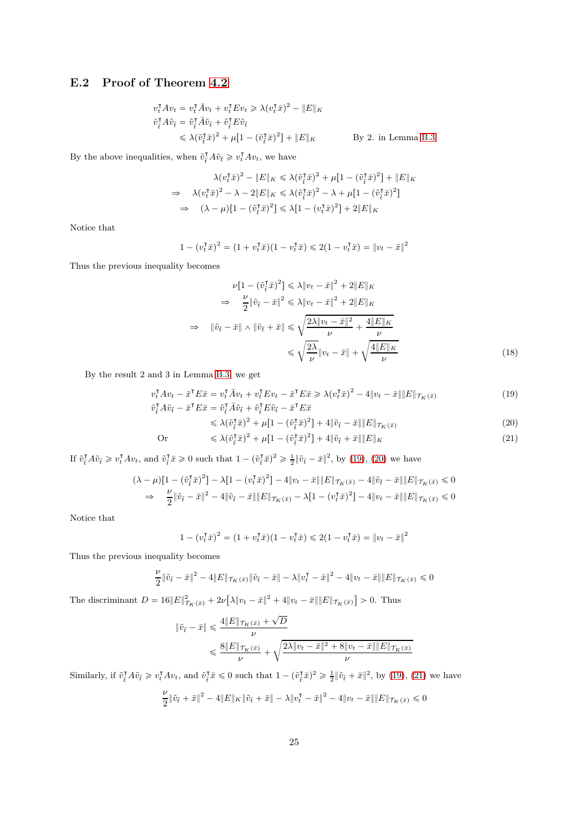### E.2 Proof of Theorem [4.2](#page-7-1)

$$
v_t^{\mathsf{T}} A v_t = v_t^{\mathsf{T}} \bar{A} v_t + v_t^{\mathsf{T}} E v_t \ge \lambda (v_t^{\mathsf{T}} \bar{x})^2 - \|E\|_K
$$
  
\n
$$
\tilde{v}_t^{\mathsf{T}} A \tilde{v}_{\tilde{t}} = \tilde{v}_t^{\mathsf{T}} \bar{A} \tilde{v}_{\tilde{t}} + \tilde{v}_t^{\mathsf{T}} E \tilde{v}_{\tilde{t}}
$$
  
\n
$$
\le \lambda (\tilde{v}_t^{\mathsf{T}} \bar{x})^2 + \mu [1 - (\tilde{v}_t^{\mathsf{T}} \bar{x})^2] + \|E\|_K
$$
 By 2. in Lemma B.3

By the above inequalities, when  $\tilde{v}_t^{\intercal} A \tilde{v}_t \geq v_t^{\intercal} A v_t$ , we have

$$
\lambda(v_t^\mathsf{T} \bar{x})^2 - \|E\|_K \leq \lambda(\tilde{v}_t^\mathsf{T} \bar{x})^2 + \mu[1 - (\tilde{v}_t^\mathsf{T} \bar{x})^2] + \|E\|_K
$$
  
\n
$$
\Rightarrow \lambda(v_t^\mathsf{T} \bar{x})^2 - \lambda - 2\|E\|_K \leq \lambda(\tilde{v}_t^\mathsf{T} \bar{x})^2 - \lambda + \mu[1 - (\tilde{v}_t^\mathsf{T} \bar{x})^2]
$$
  
\n
$$
\Rightarrow (\lambda - \mu)[1 - (\tilde{v}_t^\mathsf{T} \bar{x})^2] \leq \lambda[1 - (v_t^\mathsf{T} \bar{x})^2] + 2\|E\|_K
$$

Notice that

$$
1 - (v_t^{\mathsf{T}} \bar{x})^2 = (1 + v_t^{\mathsf{T}} \bar{x})(1 - v_t^{\mathsf{T}} \bar{x}) \leq 2(1 - v_t^{\mathsf{T}} \bar{x}) = ||v_t - \bar{x}||^2
$$

Thus the previous inequality becomes

$$
\nu[1 - (\tilde{v}_t^{\mathrm{T}}\tilde{x})^2] \le \lambda \|v_t - \tilde{x}\|^2 + 2\|E\|_K
$$
  
\n
$$
\Rightarrow \frac{\nu}{2} \|\tilde{v}_t - \tilde{x}\|^2 \le \lambda \|v_t - \tilde{x}\|^2 + 2\|E\|_K
$$
  
\n
$$
\Rightarrow \|\tilde{v}_t - \tilde{x}\| \wedge \|\tilde{v}_t + \tilde{x}\| \le \sqrt{\frac{2\lambda \|v_t - \tilde{x}\|^2}{\nu} + \frac{4\|E\|_K}{\nu}}
$$
  
\n
$$
\le \sqrt{\frac{2\lambda}{\nu}} \|v_t - \tilde{x}\| + \sqrt{\frac{4\|E\|_K}{\nu}}
$$
\n(18)

By the result 2 and 3 in Lemma [B.3,](#page-16-1) we get

$$
v_t^{\mathsf{T}} A v_t - \bar{x}^{\mathsf{T}} E \bar{x} = v_t^{\mathsf{T}} \bar{A} v_t + v_t^{\mathsf{T}} E v_t - \bar{x}^{\mathsf{T}} E \bar{x} \ge \lambda (v_t^{\mathsf{T}} \bar{x})^2 - 4 \| v_t - \bar{x} \| \| E \| \tau_K(\bar{x})
$$
  
\n
$$
\tilde{v}_t^{\mathsf{T}} A \tilde{v}_t - \bar{x}^{\mathsf{T}} E \bar{x} = \tilde{v}_t^{\mathsf{T}} \bar{A} \tilde{v}_t + \tilde{v}_t^{\mathsf{T}} E \tilde{v}_t - \bar{x}^{\mathsf{T}} E \bar{x}
$$
\n(19)

<span id="page-24-3"></span><span id="page-24-2"></span><span id="page-24-1"></span><span id="page-24-0"></span>
$$
\leq \lambda (\tilde{v}_i^{\mathsf{T}} \bar{x})^2 + \mu [1 - (\tilde{v}_i^{\mathsf{T}} \bar{x})^2] + 4 \|\tilde{v}_i - \bar{x}\| \|E\|_{\mathcal{T}_K(\bar{x})}
$$
\n
$$
\tag{20}
$$

Or 
$$
\leq \lambda (\tilde{v}_i^{\mathsf{T}} \tilde{x})^2 + \mu [1 - (\tilde{v}_i^{\mathsf{T}} \tilde{x})^2] + 4 \|\tilde{v}_i + \tilde{x}\| \|E\|_K
$$
 (21)

If  $\tilde{v}_{\tilde{t}}^{\mathsf{T}} A \tilde{v}_{\tilde{t}} \geq v_t^{\mathsf{T}} A v_t$ , and  $\tilde{v}_{\tilde{t}}^{\mathsf{T}} \tilde{x} \geq 0$  such that  $1 - (\tilde{v}_{\tilde{t}}^{\mathsf{T}} \tilde{x})^2 \geq \frac{1}{2} {\|\tilde{v}_{\tilde{t}} - \tilde{x}\|^2}$ , by [\(19\)](#page-24-0), [\(20\)](#page-24-1) we have

$$
(\lambda - \mu)[1 - (\tilde{v}_t^{\mathsf{T}} \bar{x})^2] - \lambda [1 - (v_t^{\mathsf{T}} \bar{x})^2] - 4\|v_t - \bar{x}\| \|E\|_{\mathcal{T}_K(\bar{x})} - 4\|\tilde{v}_t - \bar{x}\| \|E\|_{\mathcal{T}_K(\bar{x})} \leq 0
$$
  
\n
$$
\Rightarrow \frac{\nu}{2} \|\tilde{v}_t - \bar{x}\|^2 - 4\|\tilde{v}_t - \bar{x}\| \|E\|_{\mathcal{T}_K(\bar{x})} - \lambda [1 - (v_t^{\mathsf{T}} \bar{x})^2] - 4\|v_t - \bar{x}\| \|E\|_{\mathcal{T}_K(\bar{x})} \leq 0
$$

Notice that

$$
1 - (v_t^{\intercal}\bar{x})^2 = (1 + v_t^{\intercal}\bar{x})(1 - v_t^{\intercal}\bar{x}) \leq 2(1 - v_t^{\intercal}\bar{x}) = ||v_t - \bar{x}||^2
$$

Thus the previous inequality becomes

$$
\frac{\nu}{2} \|\tilde{v}_{\tilde{t}} - \bar{x}\|^2 - 4\|E\|\tau_{K}(\bar{x})\|\tilde{v}_{\tilde{t}} - \bar{x}\| - \lambda\|v_t^{\mathsf{T}} - \bar{x}\|^2 - 4\|v_t - \bar{x}\|\|E\|\tau_{K}(\bar{x}) \leq 0
$$

The discriminant  $D = 16||E||^2_{\mathcal{T}_K(\bar{x})} + 2\nu[\lambda||v_t - \bar{x}||^2 + 4|v_t - \bar{x}|| ||E||_{\mathcal{T}_K(\bar{x})}] > 0$ . Thus

$$
\begin{aligned} \|\tilde{v}_{\tilde{t}}-\bar{x}\|&\leqslant\frac{4\|E\|_{\mathcal{T}_{K}(\bar{x})}+\sqrt{D}}{\nu}\\ &\leqslant\frac{8\|E\|_{\mathcal{T}_{K}(\bar{x})}}{\nu}+\sqrt{\frac{2\lambda\|v_{t}-\bar{x}\|^{2}+8\|v_{t}-\bar{x}\|\|E\|_{\mathcal{T}_{K}(\bar{x})}}{\nu}}\end{aligned}
$$

Similarly, if  $\tilde{v}_t^{\mathsf{T}} A \tilde{v}_t \geq v_t^{\mathsf{T}} A v_t$ , and  $\tilde{v}_t^{\mathsf{T}} \tilde{x} \leq 0$  such that  $1 - (\tilde{v}_t^{\mathsf{T}} \tilde{x})^2 \geq \frac{1}{2} {\|\tilde{v}_t + \tilde{x}\|^2}$ , by [\(19\)](#page-24-0), [\(21\)](#page-24-2) we have

$$
\frac{\nu}{2} \|\tilde{v}_{\tilde{t}} + \bar{x}\|^2 - 4\|E\|_K \|\tilde{v}_{\tilde{t}} + \bar{x}\| - \lambda \|v_t^{\intercal} - \bar{x}\|^2 - 4\|v_t - \bar{x}\| \|E\|_{\mathcal{T}_K(\bar{x})} \leq 0
$$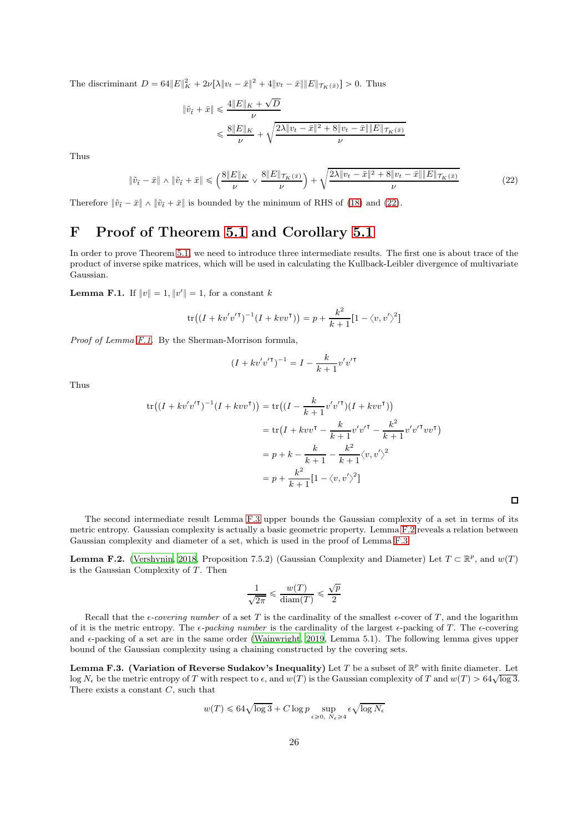The discriminant  $D = 64||E||_K^2 + 2\nu[\lambda||v_t - \bar{x}||^2 + 4|v_t - \bar{x}|| ||E||_{\mathcal{T}_K(\bar{x})}] > 0$ . Thus

$$
\begin{aligned} \|\tilde v_{\tilde t}+\bar x\|\leqslant\frac{4\|E\|_K+\sqrt{D}}{\nu}\\ \leqslant & \frac{8\|E\|_K}{\nu}+\sqrt{\frac{2\lambda\|v_t-\bar x\|^2+8\|v_t-\bar x\|\|E\|\tau_K(\bar x)}}{\nu}\end{aligned}
$$

Thus

$$
\|\tilde{v}_{\tilde{t}} - \bar{x}\| \wedge \|\tilde{v}_{\tilde{t}} + \bar{x}\| \leq \left(\frac{8\|E\|_{K}}{\nu} \vee \frac{8\|E\|_{\mathcal{T}_{K}(\bar{x})}}{\nu}\right) + \sqrt{\frac{2\lambda\|v_{t} - \bar{x}\|^{2} + 8\|v_{t} - \bar{x}\|\|E\|_{\mathcal{T}_{K}(\bar{x})}}{\nu}}\tag{22}
$$

Therefore  $\|\tilde{v}_{\tilde{t}} - \bar{x}\| \wedge \|\tilde{v}_{\tilde{t}} + \bar{x}\|$  is bounded by the minimum of RHS of [\(18\)](#page-24-3) and [\(22\)](#page-25-0).

## F Proof of Theorem [5.1](#page-8-0) and Corollary [5.1](#page-8-1)

In order to prove Theorem [5.1,](#page-8-0) we need to introduce three intermediate results. The first one is about trace of the product of inverse spike matrices, which will be used in calculating the Kullback-Leibler divergence of multivariate Gaussian.

<span id="page-25-1"></span>**Lemma F.1.** If  $||v|| = 1$ ,  $||v'|| = 1$ , for a constant k

$$
\text{tr}\big((I + kv'v'^\mathsf{T})^{-1}(I + kvv^\mathsf{T})\big) = p + \frac{k^2}{k+1}\big[1 - \langle v, v'\rangle^2\big]
$$

*Proof of Lemma [F.1.](#page-25-1)* By the Sherman-Morrison formula,

$$
(I + kv'v'^{\mathsf{T}})^{-1} = I - \frac{k}{k+1}v'v'^{\mathsf{T}}
$$

Thus

$$
\text{tr}((I + kv'v'^\mathsf{T})^{-1}(I + kvv^\mathsf{T})) = \text{tr}((I - \frac{k}{k+1}v'v'^\mathsf{T})(I + kvv^\mathsf{T}))
$$
\n
$$
= \text{tr}(I + kvv^\mathsf{T} - \frac{k}{k+1}v'v'^\mathsf{T} - \frac{k^2}{k+1}v'v'^\mathsf{T}vv^\mathsf{T})
$$
\n
$$
= p + k - \frac{k}{k+1} - \frac{k^2}{k+1}\langle v, v'\rangle^2
$$
\n
$$
= p + \frac{k^2}{k+1}\left[1 - \langle v, v'\rangle^2\right]
$$

<span id="page-25-0"></span>

The second intermediate result Lemma [F.3](#page-25-2) upper bounds the Gaussian complexity of a set in terms of its metric entropy. Gaussian complexity is actually a basic geometric property. Lemma [F.2](#page-25-3) reveals a relation between Gaussian complexity and diameter of a set, which is used in the proof of Lemma [F.3.](#page-25-2)

<span id="page-25-3"></span>**Lemma F.2.** [\(Vershynin, 2018,](#page-34-8) Proposition 7.5.2) (Gaussian Complexity and Diameter) Let  $T \subset \mathbb{R}^p$ , and  $w(T)$ is the Gaussian Complexity of  $T$ . Then

$$
\frac{1}{\sqrt{2\pi}} \leqslant \frac{w(T)}{\text{diam}(T)} \leqslant \frac{\sqrt{p}}{2}
$$

Recall that the  $\epsilon$ -covering number of a set T is the cardinality of the smallest  $\epsilon$ -cover of T, and the logarithm of it is the metric entropy. The  $\epsilon$ -packing number is the cardinality of the largest  $\epsilon$ -packing of T. The  $\epsilon$ -covering and  $\epsilon$ -packing of a set are in the same order [\(Wainwright, 2019](#page-34-1), Lemma 5.1). The following lemma gives upper bound of the Gaussian complexity using a chaining constructed by the covering sets.

<span id="page-25-2"></span>**Lemma F.3. (Variation of Reverse Sudakov's Inequality)** Let T be a subset of  $\mathbb{R}^p$  with finite diameter. Let  $\log N_{\epsilon}$  be the metric entropy of T with respect to  $\epsilon$ , and  $w(T)$  is the Gaussian complexity of T and  $w(T) > 64\sqrt{\log 3}$ . There exists a constant C, such that

$$
w(T) \leqslant 64 \sqrt{\log 3} + C \log p \sup_{\epsilon \geqslant 0, \ N_{\epsilon} \geqslant 4} \epsilon \sqrt{\log N_{\epsilon}}
$$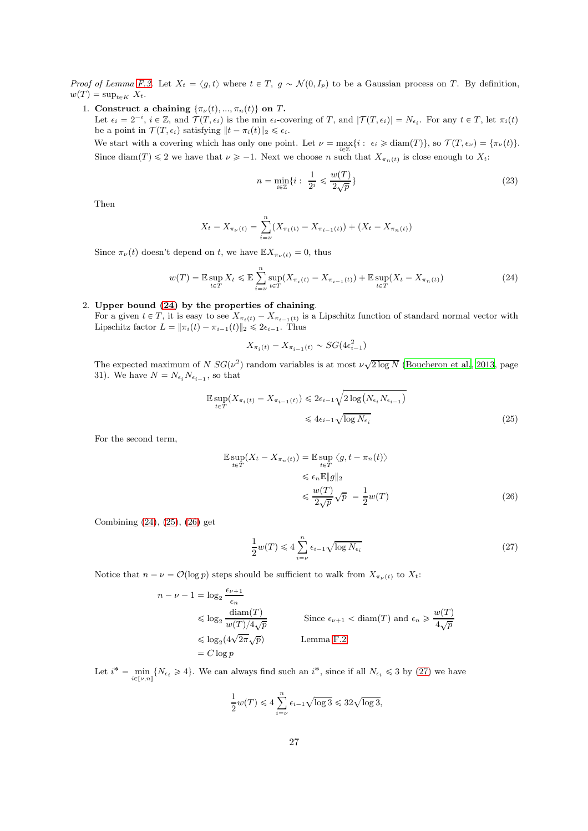*Proof of Lemma [F.3.](#page-25-2)* Let  $X_t = \langle g, t \rangle$  where  $t \in T$ ,  $g \sim \mathcal{N}(0, I_p)$  to be a Gaussian process on T. By definition,  $w(T) = \sup_{t \in K} X_t$ .

1. Construct a chaining  $\{\pi_\nu(t), ..., \pi_n(t)\}$  on T. Let  $\epsilon_i = 2^{-i}$ ,  $i \in \mathbb{Z}$ , and  $\mathcal{T}(T, \epsilon_i)$  is the min  $\epsilon_i$ -covering of T, and  $|\mathcal{T}(T, \epsilon_i)| = N_{\epsilon_i}$ . For any  $t \in T$ , let  $\pi_i(t)$ be a point in  $\mathcal{T}(T, \epsilon_i)$  satisfying  $||t - \pi_i(t)||_2 \leq \epsilon_i$ .

We start with a covering which has only one point. Let  $\nu = \max_{i \in \mathbb{Z}} \{i : \epsilon_i \geq \text{diam}(T)\}\)$ , so  $\mathcal{T}(T, \epsilon_\nu) = \{\pi_\nu(t)\}\$ . Since diam $(T) \leq 2$  we have that  $\nu \geq -1$ . Next we choose n such that  $X_{\pi_n(t)}$  is close enough to  $X_t$ :

<span id="page-26-0"></span>
$$
n = \min_{i \in \mathbb{Z}} \{ i : \frac{1}{2^i} \leqslant \frac{w(T)}{2\sqrt{p}} \}
$$
\n
$$
(23)
$$

Then

$$
X_t - X_{\pi_{\nu}(t)} = \sum_{i=\nu}^{n} (X_{\pi_i(t)} - X_{\pi_{i-1}(t)}) + (X_t - X_{\pi_n(t)})
$$

Since  $\pi_{\nu}(t)$  doesn't depend on t, we have  $\mathbb{E}X_{\pi_{\nu}(t)} = 0$ , thus

$$
w(T) = \mathbb{E} \sup_{t \in T} X_t \le \mathbb{E} \sum_{i=\nu}^{n} \sup_{t \in T} (X_{\pi_i(t)} - X_{\pi_{i-1}(t)}) + \mathbb{E} \sup_{t \in T} (X_t - X_{\pi_n(t)})
$$
(24)

#### 2. Upper bound [\(24\)](#page-26-0) by the properties of chaining.

For a given  $t \in T$ , it is easy to see  $X_{\pi_i(t)} - X_{\pi_{i-1}(t)}$  is a Lipschitz function of standard normal vector with Lipschitz factor  $L = \|\pi_i(t) - \pi_{i-1}(t)\|_2 \leq 2\epsilon_{i-1}$ . Thus

<span id="page-26-1"></span>
$$
X_{\pi_i(t)} - X_{\pi_{i-1}(t)} \sim SG(4\epsilon_{i-1}^2)
$$

The expected maximum of  $N S G(\nu^2)$  random variables is at most  $\nu\sqrt{2 \log N}$  [\(Boucheron et al., 2013](#page-32-20), page 31). We have  $N = N_{\epsilon_i} N_{\epsilon_{i-1}}$ , so that

$$
\mathbb{E} \sup_{t \in T} (X_{\pi_i(t)} - X_{\pi_{i-1}(t)}) \leq 2\epsilon_{i-1} \sqrt{2 \log(N_{\epsilon_i} N_{\epsilon_{i-1}})}
$$
  

$$
\leq 4\epsilon_{i-1} \sqrt{\log N_{\epsilon_i}}
$$
 (25)

For the second term,

$$
\mathbb{E} \sup_{t \in T} (X_t - X_{\pi_n(t)}) = \mathbb{E} \sup_{t \in T} \langle g, t - \pi_n(t) \rangle
$$
  

$$
\leq \epsilon_n \mathbb{E} \|g\|_2
$$
  

$$
\leq \frac{w(T)}{2\sqrt{p}} \sqrt{p} = \frac{1}{2} w(T)
$$
 (26)

Combining [\(24\)](#page-26-0), [\(25\)](#page-26-1), [\(26\)](#page-26-2) get

<span id="page-26-3"></span><span id="page-26-2"></span>
$$
\frac{1}{2}w(T) \leqslant 4\sum_{i=\nu}^{n} \epsilon_{i-1}\sqrt{\log N_{\epsilon_i}}\tag{27}
$$

Notice that  $n - \nu = \mathcal{O}(\log p)$  steps should be sufficient to walk from  $X_{\pi_{\nu}(t)}$  to  $X_t$ :

$$
n - \nu - 1 = \log_2 \frac{\epsilon_{\nu+1}}{\epsilon_n}
$$
  
\n
$$
\leq \log_2 \frac{\text{diam}(T)}{w(T)/4\sqrt{p}}
$$
  
\n
$$
\leq \log_2(4\sqrt{2\pi}\sqrt{p})
$$
  
\n
$$
\leq \log_2(4\sqrt{2\pi}\sqrt{p})
$$
  
\nLemma F.2  
\n
$$
= C \log p
$$

Let  $i^* = \min_{i \in [\nu,n]} \{N_{\epsilon_i} \geq 4\}$ . We can always find such an  $i^*$ , since if all  $N_{\epsilon_i} \leq 3$  by [\(27\)](#page-26-3) we have

$$
\frac{1}{2}w(T) \leq 4\sum_{i=\nu}^{n} \epsilon_{i-1}\sqrt{\log 3} \leq 32\sqrt{\log 3},
$$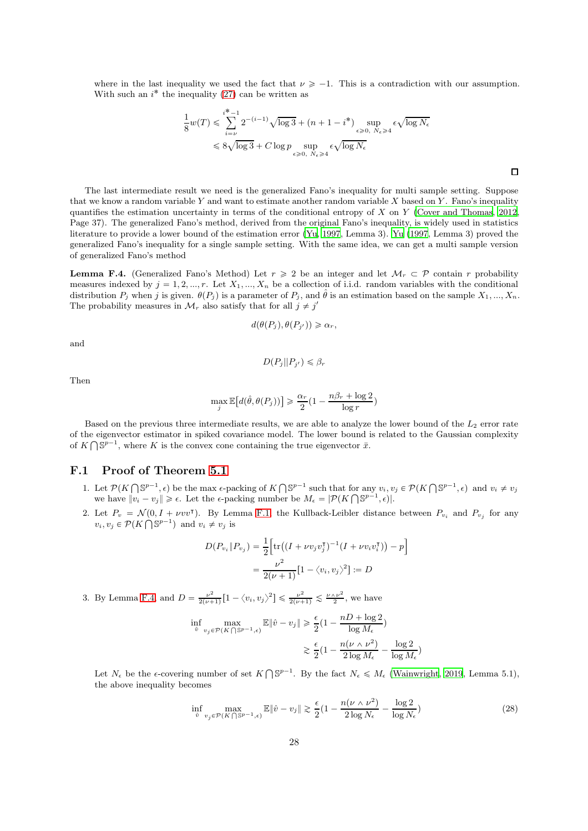where in the last inequality we used the fact that  $\nu \ge -1$ . This is a contradiction with our assumption. With such an  $i^*$  the inequality [\(27\)](#page-26-3) can be written as

$$
\frac{1}{8}w(T) \leq \sum_{i=\nu}^{i^* - 1} 2^{-(i-1)} \sqrt{\log 3} + (n + 1 - i^*) \sup_{\epsilon \geq 0, N_{\epsilon} \geq 4} \epsilon \sqrt{\log N_{\epsilon}}
$$
  

$$
\leq 8\sqrt{\log 3} + C \log p \sup_{\epsilon \geq 0, N_{\epsilon} \geq 4} \epsilon \sqrt{\log N_{\epsilon}}
$$

The last intermediate result we need is the generalized Fano's inequality for multi sample setting. Suppose that we know a random variable Y and want to estimate another random variable X based on Y. Fano's inequality quantifies the estimation uncertainty in terms of the conditional entropy of X on Y [\(Cover and Thomas](#page-32-21), [2012](#page-32-21), Page 37). The generalized Fano's method, derived from the original Fano's inequality, is widely used in statistics literature to provide a lower bound of the estimation error [\(Yu, 1997](#page-34-10), Lemma 3). [Yu \(1997](#page-34-10), Lemma 3) proved the generalized Fano's inequality for a single sample setting. With the same idea, we can get a multi sample version of generalized Fano's method

<span id="page-27-0"></span>**Lemma F.4.** (Generalized Fano's Method) Let  $r \geq 2$  be an integer and let  $\mathcal{M}_r \subset \mathcal{P}$  contain r probability measures indexed by  $j = 1, 2, ..., r$ . Let  $X_1, ..., X_n$  be a collection of i.i.d. random variables with the conditional distribution  $P_j$  when j is given.  $\theta(P_j)$  is a parameter of  $P_j$ , and  $\hat{\theta}$  is an estimation based on the sample  $X_1, ..., X_n$ . The probability measures in  $\mathcal{M}_r$  also satisfy that for all  $j \neq j'$ 

$$
d(\theta(P_j), \theta(P_{j'})) \geq \alpha_r,
$$

and

Then

$$
D(P_j||P_{j'}) \leq \beta_r
$$

$$
\max_{j} \mathbb{E}\big[d(\hat{\theta}, \theta(P_j))\big] \ge \frac{\alpha_r}{2} \left(1 - \frac{n\beta_r + \log 2}{\log r}\right)
$$

Based on the previous three intermediate results, we are able to analyze the lower bound of the  $L_2$  error rate of the eigenvector estimator in spiked covariance model. The lower bound is related to the Gaussian complexity of  $K \bigcap \mathbb{S}^{p-1}$ , where K is the convex cone containing the true eigenvector  $\bar{x}$ .

### F.1 Proof of Theorem [5.1](#page-8-0)

- 1. Let  $\mathcal{P}(K \cap \mathbb{S}^{p-1}, \epsilon)$  be the max  $\epsilon$ -packing of  $K \cap \mathbb{S}^{p-1}$  such that for any  $v_i, v_j \in \mathcal{P}(K \cap \mathbb{S}^{p-1}, \epsilon)$  and  $v_i \neq v_j$ we have  $||v_i - v_j|| \ge \epsilon$ . Let the  $\epsilon$ -packing number be  $M_{\epsilon} = |\mathcal{P}(K \cap \mathbb{S}^{p-1}, \epsilon)|$ .
- 2. Let  $P_v = \mathcal{N}(0, I + \nu vv^{\mathsf{T}})$ . By Lemma [F.1,](#page-25-1) the Kullback-Leibler distance between  $P_{v_i}$  and  $P_{v_j}$  for any  $v_i, v_j \in \mathcal{P}(K \cap \mathbb{S}^{p-1})$  and  $v_i \neq v_j$  is

$$
D(P_{v_i} \| P_{v_j}) = \frac{1}{2} \Big[ tr((I + \nu v_j v_j^{\mathsf{T}})^{-1} (I + \nu v_i v_i^{\mathsf{T}})) - p \Big]
$$
  
= 
$$
\frac{\nu^2}{2(\nu + 1)} [1 - \langle v_i, v_j \rangle^2] := D
$$

3. By Lemma [F.4,](#page-27-0) and  $D = \frac{\nu^2}{2(\nu + 1)}$  $\frac{\nu^2}{2(\nu+1)} [1 - \langle v_i, v_j \rangle^2] \leq \frac{\nu^2}{2(\nu+1)} \leq \frac{\nu \wedge \nu^2}{2}$  $\frac{\sqrt{\nu^2}}{2}$ , we have

$$
\begin{aligned} \inf_{\hat{v}}\max_{v_j\in\mathcal{P}(K\bigcap\mathbb{S}^{p-1},\epsilon)}\mathbb{E}\|\hat{v}-v_j\|&\geqslant\frac{\epsilon}{2}\big(1-\frac{nD+\log2}{\log M_\epsilon}\big)\\ &\gtrsim\frac{\epsilon}{2}\big(1-\frac{n(\nu\wedge\nu^2)}{2\log M_\epsilon}-\frac{\log2}{\log M_\epsilon}\big) \end{aligned}
$$

Let  $N_{\epsilon}$  be the  $\epsilon$ -covering number of set  $K \bigcap \mathbb{S}^{p-1}$ . By the fact  $N_{\epsilon} \leq M_{\epsilon}$  [\(Wainwright](#page-34-1), [2019](#page-34-1), Lemma 5.1), the above inequality becomes

<span id="page-27-1"></span>
$$
\inf_{\hat{v}} \max_{v_j \in \mathcal{P}(K \cap \mathbb{S}^{p-1}, \epsilon)} \mathbb{E} \|\hat{v} - v_j\| \gtrsim \frac{\epsilon}{2} \left(1 - \frac{n(\nu \wedge \nu^2)}{2 \log N_{\epsilon}} - \frac{\log 2}{\log N_{\epsilon}}\right) \tag{28}
$$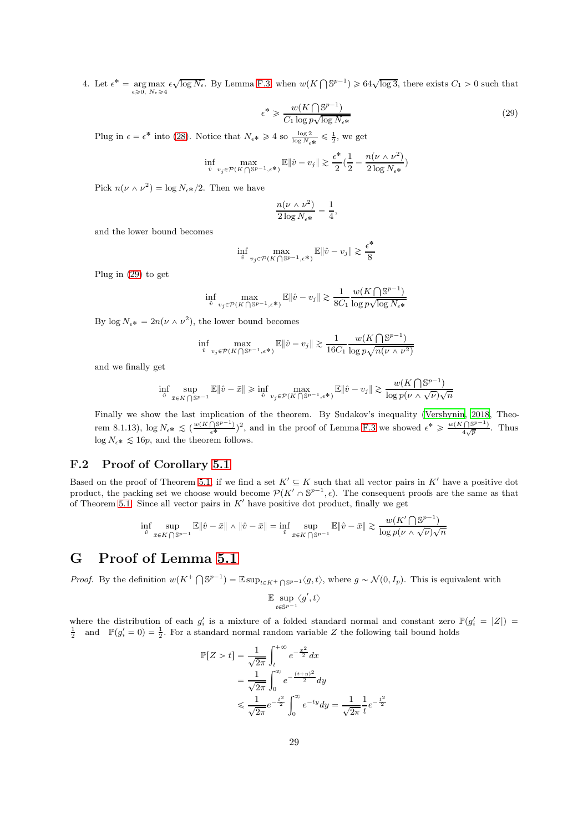4. Let  $\epsilon^* = \arg \max_{\epsilon \geq 0, N_{\epsilon} \geq 4}$  $\epsilon \sqrt{\log N_{\epsilon}}$ . By Lemma [F.3,](#page-25-2) when  $w(K \cap \mathbb{S}^{p-1}) \ge 64\sqrt{\log 3}$ , there exists  $C_1 > 0$  such that

$$
\epsilon^* \geqslant \frac{w(K \bigcap \mathbb{S}^{p-1})}{C_1 \log p \sqrt{\log N_{\epsilon^*}}} \tag{29}
$$

Plug in  $\epsilon = \epsilon^*$  into [\(28\)](#page-27-1). Notice that  $N_{\epsilon^*} \ge 4$  so  $\frac{\log 2}{\log N_{\epsilon^*}} \le \frac{1}{2}$ , we get

$$
\inf_{\hat{v}}\max_{v_j\in\mathcal{P}(K\bigcap\mathbb{S}^{p-1},\epsilon^{\boldsymbol{*}})}\mathbb{E}\|\hat{v}-v_j\|\gtrsim \frac{\epsilon^{\boldsymbol{*}}}{2}(\frac{1}{2}-\frac{n(\nu\wedge \nu^2)}{2\log N_\epsilon^{\boldsymbol{*}}})
$$

Pick  $n(\nu \wedge \nu^2) = \log N_{\epsilon^*}/2$ . Then we have

$$
\frac{n(\nu \wedge \nu^2)}{2\log N_{\epsilon^*}} = \frac{1}{4}
$$

<span id="page-28-0"></span>,

and the lower bound becomes

$$
\inf_{\hat{v}} \max_{v_j \in \mathcal{P}(K \cap \mathbb{S}^{p-1}, \epsilon^*)} \mathbb{E} \|\hat{v} - v_j\| \gtrsim \frac{\epsilon^*}{8}
$$

Plug in [\(29\)](#page-28-0) to get

$$
\inf_{\hat{v}}\max_{v_j\in\mathcal{P}(K\bigcap\mathbb{S}^{p-1},\epsilon^{\boldsymbol{*}})}\mathbb{E}\|\hat{v}-v_j\|\gtrsim \frac{1}{8C_1}\frac{w(K\bigcap\mathbb{S}^{p-1})}{\log p\sqrt{\log N_\epsilon\boldsymbol{*}}}
$$

By  $\log N_{\epsilon^*} = 2n(\nu \wedge \nu^2)$ , the lower bound becomes

$$
\inf_{\hat{v}} \max_{v_j \in \mathcal{P}(K \cap \mathbb{S}^{p-1}, \epsilon^*)} \mathbb{E} \|\hat{v} - v_j\| \gtrsim \frac{1}{16C_1} \frac{w(K \cap \mathbb{S}^{p-1})}{\log p \sqrt{n(\nu \wedge \nu^2)}}
$$

and we finally get

$$
\inf_{\hat{v}}\sup_{\bar{x}\in K\bigcap \mathbb{S}^{p-1}}\mathbb{E}\|\hat{v}-\bar{x}\|\geqslant \inf_{\hat{v}}\max_{v_j\in \mathcal{P}(K\bigcap \mathbb{S}^{p-1},\epsilon^{\boldsymbol{*}}\big)}\mathbb{E}\|\hat{v}-v_j\|\gtrsim \frac{w(K\bigcap \mathbb{S}^{p-1})}{\log p(\nu\wedge \sqrt{\nu})\sqrt{n}}
$$

Finally we show the last implication of the theorem. By Sudakov's inequality [\(Vershynin](#page-34-8), [2018](#page-34-8), Theorem 8.1.13),  $\log N_{\epsilon^*} \lesssim (\frac{w(K \cap \mathbb{S}^{p-1})^2}{\epsilon^*})^2$ , and in the proof of Lemma [F.3](#page-25-2) we showed  $\epsilon^* \geq \frac{w(K \cap \mathbb{S}^{p-1})}{4\sqrt{p}}$ . Thus  $\log N_{\epsilon^*} \lesssim 16p$ , and the theorem follows.

### F.2 Proof of Corollary [5.1](#page-8-1)

Based on the proof of Theorem [5.1,](#page-8-0) if we find a set  $K' \subseteq K$  such that all vector pairs in K' have a positive dot product, the packing set we choose would become  $\mathcal{P}(K' \cap \mathbb{S}^{p-1}, \epsilon)$ . The consequent proofs are the same as that of Theorem [5.1.](#page-8-0) Since all vector pairs in  $K'$  have positive dot product, finally we get

$$
\inf_{\hat{v}} \sup_{\bar{x}\in K\bigcap \mathbb{S}^{p-1}} \mathbb{E}\|\hat{v}-\bar{x}\| \wedge \|\hat{v}-\bar{x}\| = \inf_{\hat{v}} \sup_{\bar{x}\in K\bigcap \mathbb{S}^{p-1}} \mathbb{E}\|\hat{v}-\bar{x}\| \gtrsim \frac{w(K'\bigcap \mathbb{S}^{p-1})}{\log p(\nu \wedge \sqrt{\nu})\sqrt{n}}
$$

## G Proof of Lemma [5.1](#page-8-2)

*Proof.* By the definition  $w(K^+ \bigcap \mathbb{S}^{p-1}) = \mathbb{E} \sup_{t \in K^+ \bigcap \mathbb{S}^{p-1}} \langle g, t \rangle$ , where  $g \sim \mathcal{N}(0, I_p)$ . This is equivalent with

$$
\mathbb{E}\sup_{t\in\mathbb{S}^{p-1}}\langle g',t\rangle
$$

where the distribution of each  $g'_i$  is a mixture of a folded standard normal and constant zero  $\mathbb{P}(g'_i = |Z|)$  $\frac{1}{2}$  and  $\mathbb{P}(g_i'=0)=\frac{1}{2}$ . For a standard normal random variable Z the following tail bound holds

$$
\mathbb{P}[Z > t] = \frac{1}{\sqrt{2\pi}} \int_{t}^{+\infty} e^{-\frac{x^{2}}{2}} dx
$$
  
=  $\frac{1}{\sqrt{2\pi}} \int_{0}^{\infty} e^{-\frac{(t+y)^{2}}{2}} dy$   
 $\leq \frac{1}{\sqrt{2\pi}} e^{-\frac{t^{2}}{2}} \int_{0}^{\infty} e^{-ty} dy = \frac{1}{\sqrt{2\pi}} \frac{1}{t} e^{-\frac{t^{2}}{2}}$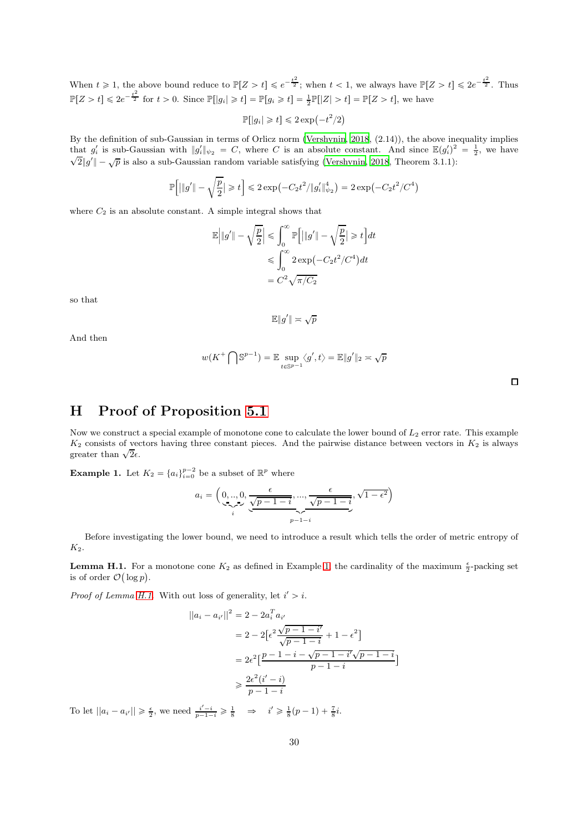When  $t \geq 1$ , the above bound reduce to  $\mathbb{P}[Z > t] \leqslant e^{-\frac{t^2}{2}}$ ; when  $t < 1$ , we always have  $\mathbb{P}[Z > t] \leqslant 2e^{-\frac{t^2}{2}}$ . Thus  $\mathbb{P}[Z > t] \leq 2e^{-\frac{t^2}{2}}$  for  $t > 0$ . Since  $\mathbb{P}[|g_i| \geq t] = \mathbb{P}[g_i \geq t] = \frac{1}{2}\mathbb{P}[|Z| > t] = \mathbb{P}[Z > t]$ , we have

$$
\mathbb{P}[|g_i| \geq t] \leq 2\exp\left(-t^2/2\right)
$$

By the definition of sub-Gaussian in terms of Orlicz norm [\(Vershynin, 2018](#page-34-8), (2.14)), the above inequality implies that  $g'_i$  is sub-Gaussian with  $||g'_i||_{\psi_2} = C$ , where C is an absolute constant. And since  $\mathbb{E}(g'_i)^2 = \frac{1}{2}$ , we have  $\sqrt{2}||g'|| - \sqrt{p}$  is also a sub-Gaussian random variable satisfying [\(Vershynin, 2018,](#page-34-8) Theorem 3.1.1):

$$
\mathbb{P}\Big[\big|\|g'\|-\sqrt{\frac{p}{2}}\big|\geqslant t\Big]\leqslant 2\exp\big({-C_2t^2}/{\|g_i'\|_{\psi_2}^4}\big)=2\exp\big({-C_2t^2}/{C^4}\big)
$$

where  $C_2$  is an absolute constant. A simple integral shows that

$$
\mathbb{E}\left|\|g'\| - \sqrt{\frac{p}{2}}\right| \leq \int_0^\infty \mathbb{P}\left[\|g'\| - \sqrt{\frac{p}{2}}\right] \geq t\right] dt
$$
  

$$
\leq \int_0^\infty 2\exp(-C_2t^2/C^4)dt
$$
  

$$
= C^2\sqrt{\pi/C_2}
$$

so that

$$
\mathbb{E}\|g'\| \asymp \sqrt{p}
$$

And then

$$
w(K^+ \bigcap \mathbb{S}^{p-1}) = \mathbb{E} \sup_{t \in \mathbb{S}^{p-1}} \langle g', t \rangle = \mathbb{E} \| g' \|_2 \asymp \sqrt{p}
$$

## H Proof of Proposition [5.1](#page-9-2)

Now we construct a special example of monotone cone to calculate the lower bound of  $L_2$  error rate. This example  $K_2$  consists of vectors having three constant pieces. And the pairwise distance between vectors in  $K_2$  is always greater than  $\sqrt{2}\epsilon$ .

<span id="page-29-0"></span>**Example 1.** Let  $K_2 = \{a_i\}_{i=0}^{p-2}$  be a subset of  $\mathbb{R}^p$  where

$$
a_i = \left( \underbrace{0,..,0}_{i}, \underbrace{\frac{\epsilon}{\sqrt{p-1-i}},...,\frac{\epsilon}{\sqrt{p-1-i}}}_{p-1-i}, \sqrt{1-\epsilon^2} \right)
$$

Before investigating the lower bound, we need to introduce a result which tells the order of metric entropy of  $K<sub>2</sub>$ .

<span id="page-29-1"></span>**Lemma H.1.** For a monotone cone  $K_2$  as defined in Example [1,](#page-29-0) the cardinality of the maximum  $\frac{\epsilon}{2}$ -packing set is of order  $\mathcal{O}(\log p)$ .

*Proof of Lemma [H.1.](#page-29-1)* With out loss of generality, let  $i' > i$ .

$$
||a_i - a_{i'}||^2 = 2 - 2a_i^T a_{i'}
$$
  
=  $2 - 2[e^2 \frac{\sqrt{p-1-i'}}{\sqrt{p-1-i}} + 1 - e^2]$   
=  $2e^2 \left[\frac{p-1-i-\sqrt{p-1-i}}{\sqrt{p-1-i}}\right]$   
 $\ge \frac{2e^2(i'-i)}{p-1-i}$ 

To let  $||a_i - a_{i'}|| \ge \frac{\epsilon}{2}$ , we need  $\frac{i'-i}{p-1-i} \ge \frac{1}{8} \implies i' \ge \frac{1}{8}(p-1) + \frac{7}{8}i$ .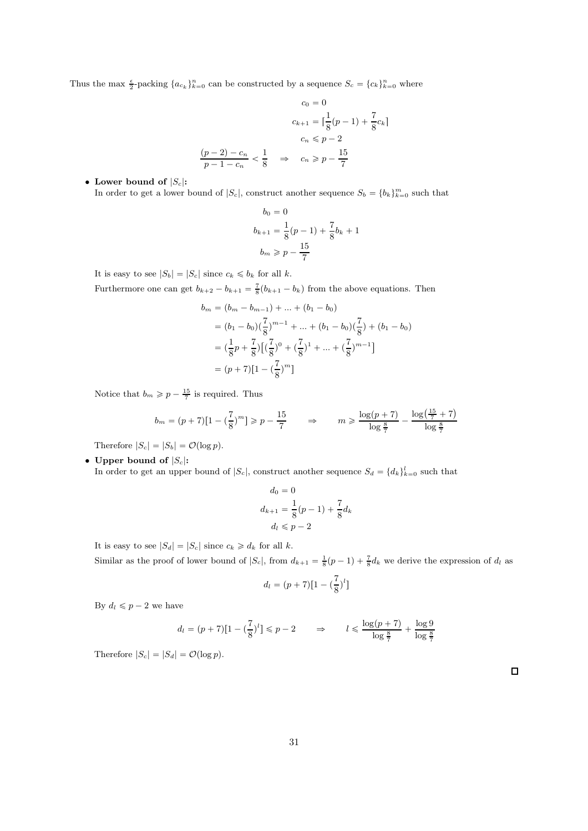Thus the max  $\frac{\epsilon}{2}$ -packing  $\{a_{c_k}\}_{k=0}^n$  can be constructed by a sequence  $S_c = \{c_k\}_{k=0}^n$  where

$$
c_0 = 0
$$
  

$$
c_{k+1} = \left\lceil \frac{1}{8}(p-1) + \frac{7}{8}c_k \right\rceil
$$
  

$$
c_n \leqslant p-2
$$
  

$$
\frac{(p-2) - c_n}{p-1 - c_n} < \frac{1}{8} \Rightarrow c_n \geqslant p - \frac{15}{7}
$$

#### • Lower bound of  $|S_c|$ :

In order to get a lower bound of  $|S_c|$ , construct another sequence  $S_b = \{b_k\}_{k=0}^m$  such that

$$
b_0 = 0
$$
  

$$
b_{k+1} = \frac{1}{8}(p-1) + \frac{7}{8}b_k + 1
$$
  

$$
b_m \ge p - \frac{15}{7}
$$

It is easy to see  $|S_b| = |S_c|$  since  $c_k \leq b_k$  for all k.

Furthermore one can get  $b_{k+2} - b_{k+1} = \frac{7}{8} (b_{k+1} - b_k)$  from the above equations. Then

$$
b_m = (b_m - b_{m-1}) + \dots + (b_1 - b_0)
$$
  
=  $(b_1 - b_0)(\frac{7}{8})^{m-1} + \dots + (b_1 - b_0)(\frac{7}{8}) + (b_1 - b_0)$   
=  $(\frac{1}{8}p + \frac{7}{8})[(\frac{7}{8})^0 + (\frac{7}{8})^1 + \dots + (\frac{7}{8})^{m-1}]$   
=  $(p + 7)[1 - (\frac{7}{8})^m]$ 

Notice that  $b_m \geqslant p - \frac{15}{7}$  is required. Thus

$$
b_m = (p+7)[1 - (\frac{7}{8})^m] \ge p - \frac{15}{7} \qquad \Rightarrow \qquad m \ge \frac{\log(p+7)}{\log\frac{8}{7}} - \frac{\log(\frac{15}{7} + 7)}{\log\frac{8}{7}}
$$

Therefore  $|S_c| = |S_b| = \mathcal{O}(\log p)$ .

• Upper bound of  $|S_c|$ :

In order to get an upper bound of  $|S_c|$ , construct another sequence  $S_d = \{d_k\}_{k=0}^l$  such that

$$
d_0 = 0
$$
  

$$
d_{k+1} = \frac{1}{8}(p-1) + \frac{7}{8}d_k
$$
  

$$
d_l \leq p-2
$$

It is easy to see  $|S_d| = |S_c|$  since  $c_k \geq d_k$  for all k.

Similar as the proof of lower bound of  $|S_c|$ , from  $d_{k+1} = \frac{1}{8}(p-1) + \frac{7}{8}d_k$  we derive the expression of  $d_l$  as

$$
d_l = (p+7)[1 - (\frac{7}{8})^l]
$$

By  $d_l \leqslant p - 2$  we have

$$
d_l = (p+7)\left[1 - \left(\frac{7}{8}\right)^l\right] \leqslant p-2 \qquad \Rightarrow \qquad l \leqslant \frac{\log(p+7)}{\log\frac{8}{7}} + \frac{\log 9}{\log\frac{8}{7}}
$$

Therefore  $|S_c| = |S_d| = \mathcal{O}(\log p)$ .

 $\Box$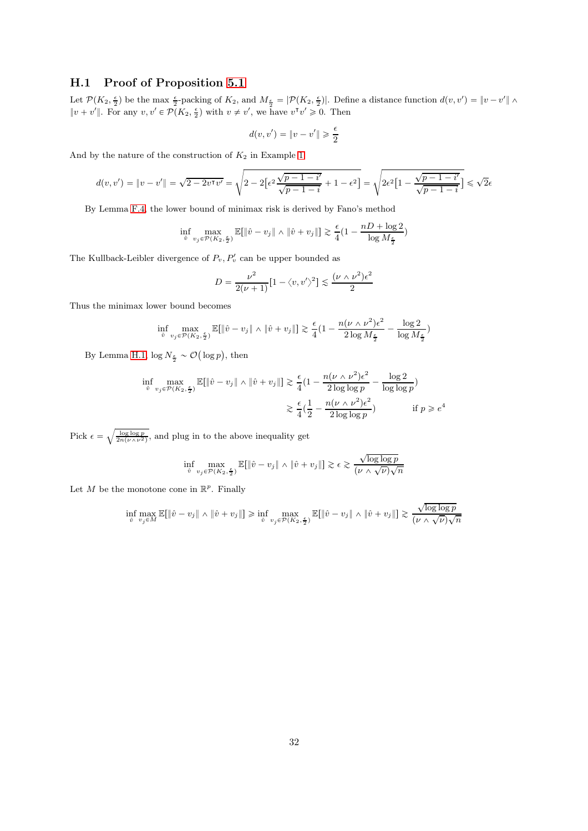### H.1 Proof of Proposition [5.1](#page-9-2)

Let  $\mathcal{P}(K_2, \frac{\epsilon}{2})$  be the max  $\frac{\epsilon}{2}$ -packing of  $K_2$ , and  $M_{\frac{\epsilon}{2}} = |\mathcal{P}(K_2, \frac{\epsilon}{2})|$ . Define a distance function  $d(v, v') = ||v - v'|| \wedge$  $||v + v'||$ . For any  $v, v' \in \mathcal{P}(K_2, \frac{\epsilon}{2})$  with  $v \neq v'$ , we have  $v^{\mathsf{T}} v' \geq 0$ . Then

$$
d(v,v') = \|v-v'\| \geqslant \frac{\epsilon}{2}
$$

And by the nature of the construction of  $K_2$  in Example [1](#page-29-0)

$$
d(v, v') = ||v - v'|| = \sqrt{2 - 2v^{\mathsf{T}}v'} = \sqrt{2 - 2\left[\epsilon^2 \frac{\sqrt{p - 1 - i'}}{\sqrt{p - 1 - i}} + 1 - \epsilon^2\right]} = \sqrt{2\epsilon^2 \left[1 - \frac{\sqrt{p - 1 - i'}}{\sqrt{p - 1 - i}}\right]} \le \sqrt{2\epsilon^2 \left[1 - \frac{\sqrt{p - 1 - i'}}{\sqrt{p - 1 - i}}\right]}
$$

By Lemma [F.4,](#page-27-0) the lower bound of minimax risk is derived by Fano's method

$$
\inf_{\hat{v}} \max_{v_j \in \mathcal{P}(K_2, \frac{\epsilon}{2})} \mathbb{E}[\|\hat{v} - v_j\| \wedge \|\hat{v} + v_j\|] \gtrsim \frac{\epsilon}{4} (1 - \frac{nD + \log 2}{\log M_{\frac{\epsilon}{2}}})
$$

The Kullback-Leibler divergence of  $P_v, P'_v$  can be upper bounded as

$$
D = \frac{\nu^2}{2(\nu+1)} \left[ 1 - \langle v, v' \rangle^2 \right] \lesssim \frac{(\nu \wedge \nu^2) \epsilon^2}{2}
$$

Thus the minimax lower bound becomes

$$
\inf_{\hat{v}} \max_{v_j \in \mathcal{P}(K_2, \frac{\epsilon}{2})} \mathbb{E}[\|\hat{v} - v_j\| \wedge \|\hat{v} + v_j\|] \gtrsim \frac{\epsilon}{4} \left(1 - \frac{n(\nu \wedge \nu^2)\epsilon^2}{2 \log M_{\frac{\epsilon}{2}}} - \frac{\log 2}{\log M_{\frac{\epsilon}{2}}}\right)
$$

By Lemma [H.1,](#page-29-1)  $\log N_{\frac{\epsilon}{2}} \sim \mathcal{O}(\log p)$ , then

$$
\inf_{\hat{v}} \max_{v_j \in \mathcal{P}(K_2, \frac{\epsilon}{2})} \mathbb{E}[\|\hat{v} - v_j\| \wedge \|\hat{v} + v_j\|] \gtrsim \frac{\epsilon}{4} \left(1 - \frac{n(\nu \wedge \nu^2)\epsilon^2}{2 \log \log p} - \frac{\log 2}{\log \log p}\right)
$$

$$
\gtrsim \frac{\epsilon}{4} \left(\frac{1}{2} - \frac{n(\nu \wedge \nu^2)\epsilon^2}{2 \log \log p}\right) \qquad \text{if } p \geq e^4
$$

Pick  $\epsilon = \sqrt{\frac{\log \log p}{2n(\nu \wedge \nu^2)}}$ , and plug in to the above inequality get

$$
\inf_{\hat{v}}\max_{v_j\in\mathcal{P}(K_2,\frac{\epsilon}{2})}\mathbb{E}[\|\hat{v}-v_j\|\wedge\|\hat{v}+v_j\|]\gtrsim \epsilon\gtrsim \frac{\sqrt{\log\log p}}{(\nu\wedge\sqrt{\nu})\sqrt{n}}
$$

Let M be the monotone cone in  $\mathbb{R}^p$ . Finally

$$
\inf_{\hat{v}} \max_{v_j \in M} \mathbb{E}[\|\hat{v} - v_j\| \wedge \|\hat{v} + v_j\|] \ge \inf_{\hat{v}} \max_{v_j \in \mathcal{P}(K_2, \frac{\epsilon}{2})} \mathbb{E}[\|\hat{v} - v_j\| \wedge \|\hat{v} + v_j\|] \gtrsim \frac{\sqrt{\log \log p}}{(\nu \wedge \sqrt{\nu})\sqrt{n}}
$$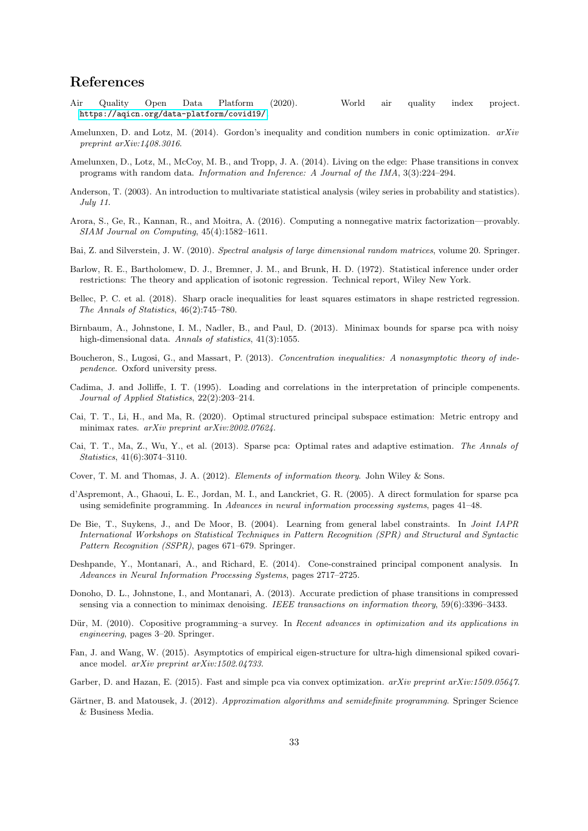## References

- <span id="page-32-19"></span>Air Quality Open Data Platform (2020). World air quality index project. <https://aqicn.org/data-platform/covid19/>.
- <span id="page-32-11"></span>Amelunxen, D. and Lotz, M. (2014). Gordon's inequality and condition numbers in conic optimization. *arXiv preprint arXiv:1408.3016*.
- <span id="page-32-15"></span>Amelunxen, D., Lotz, M., McCoy, M. B., and Tropp, J. A. (2014). Living on the edge: Phase transitions in convex programs with random data. *Information and Inference: A Journal of the IMA*, 3(3):224–294.
- <span id="page-32-2"></span>Anderson, T. (2003). An introduction to multivariate statistical analysis (wiley series in probability and statistics). *July 11*.
- <span id="page-32-3"></span>Arora, S., Ge, R., Kannan, R., and Moitra, A. (2016). Computing a nonnegative matrix factorization—provably. *SIAM Journal on Computing*, 45(4):1582–1611.
- <span id="page-32-0"></span>Bai, Z. and Silverstein, J. W. (2010). *Spectral analysis of large dimensional random matrices*, volume 20. Springer.
- <span id="page-32-17"></span>Barlow, R. E., Bartholomew, D. J., Bremner, J. M., and Brunk, H. D. (1972). Statistical inference under order restrictions: The theory and application of isotonic regression. Technical report, Wiley New York.
- <span id="page-32-16"></span>Bellec, P. C. et al. (2018). Sharp oracle inequalities for least squares estimators in shape restricted regression. *The Annals of Statistics*, 46(2):745–780.
- <span id="page-32-6"></span>Birnbaum, A., Johnstone, I. M., Nadler, B., and Paul, D. (2013). Minimax bounds for sparse pca with noisy high-dimensional data. *Annals of statistics*, 41(3):1055.
- <span id="page-32-20"></span>Boucheron, S., Lugosi, G., and Massart, P. (2013). *Concentration inequalities: A nonasymptotic theory of independence*. Oxford university press.
- <span id="page-32-4"></span>Cadima, J. and Jolliffe, I. T. (1995). Loading and correlations in the interpretation of principle compenents. *Journal of Applied Statistics*, 22(2):203–214.
- <span id="page-32-9"></span>Cai, T. T., Li, H., and Ma, R. (2020). Optimal structured principal subspace estimation: Metric entropy and minimax rates. *arXiv preprint arXiv:2002.07624*.
- <span id="page-32-7"></span>Cai, T. T., Ma, Z., Wu, Y., et al. (2013). Sparse pca: Optimal rates and adaptive estimation. *The Annals of Statistics*, 41(6):3074–3110.
- <span id="page-32-21"></span>Cover, T. M. and Thomas, J. A. (2012). *Elements of information theory*. John Wiley & Sons.
- <span id="page-32-5"></span>d'Aspremont, A., Ghaoui, L. E., Jordan, M. I., and Lanckriet, G. R. (2005). A direct formulation for sparse pca using semidefinite programming. In *Advances in neural information processing systems*, pages 41–48.
- <span id="page-32-8"></span>De Bie, T., Suykens, J., and De Moor, B. (2004). Learning from general label constraints. In *Joint IAPR International Workshops on Statistical Techniques in Pattern Recognition (SPR) and Structural and Syntactic Pattern Recognition (SSPR)*, pages 671–679. Springer.
- <span id="page-32-10"></span>Deshpande, Y., Montanari, A., and Richard, E. (2014). Cone-constrained principal component analysis. In *Advances in Neural Information Processing Systems*, pages 2717–2725.
- <span id="page-32-18"></span>Donoho, D. L., Johnstone, I., and Montanari, A. (2013). Accurate prediction of phase transitions in compressed sensing via a connection to minimax denoising. *IEEE transactions on information theory*, 59(6):3396–3433.
- <span id="page-32-13"></span>Dür, M. (2010). Copositive programming–a survey. In *Recent advances in optimization and its applications in engineering*, pages 3–20. Springer.
- <span id="page-32-1"></span>Fan, J. and Wang, W. (2015). Asymptotics of empirical eigen-structure for ultra-high dimensional spiked covariance model. *arXiv preprint arXiv:1502.04733*.
- <span id="page-32-14"></span>Garber, D. and Hazan, E. (2015). Fast and simple pca via convex optimization. *arXiv preprint arXiv:1509.05647*.
- <span id="page-32-12"></span>Gärtner, B. and Matousek, J. (2012). *Approximation algorithms and semidefinite programming*. Springer Science & Business Media.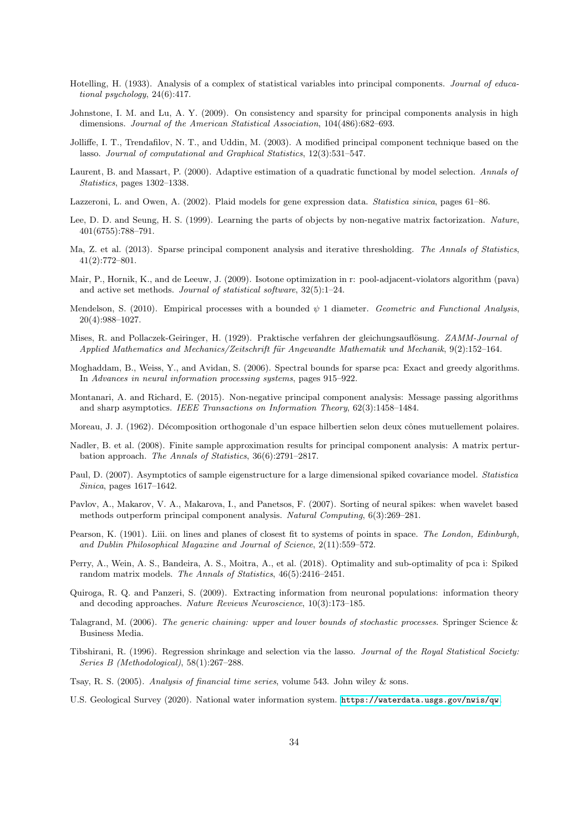- <span id="page-33-0"></span>Hotelling, H. (1933). Analysis of a complex of statistical variables into principal components. *Journal of educational psychology*, 24(6):417.
- <span id="page-33-4"></span>Johnstone, I. M. and Lu, A. Y. (2009). On consistency and sparsity for principal components analysis in high dimensions. *Journal of the American Statistical Association*, 104(486):682–693.
- <span id="page-33-9"></span>Jolliffe, I. T., Trendafilov, N. T., and Uddin, M. (2003). A modified principal component technique based on the lasso. *Journal of computational and Graphical Statistics*, 12(3):531–547.
- <span id="page-33-22"></span>Laurent, B. and Massart, P. (2000). Adaptive estimation of a quadratic functional by model selection. *Annals of Statistics*, pages 1302–1338.
- <span id="page-33-8"></span>Lazzeroni, L. and Owen, A. (2002). Plaid models for gene expression data. *Statistica sinica*, pages 61–86.
- <span id="page-33-7"></span>Lee, D. D. and Seung, H. S. (1999). Learning the parts of objects by non-negative matrix factorization. *Nature*, 401(6755):788–791.
- <span id="page-33-12"></span>Ma, Z. et al. (2013). Sparse principal component analysis and iterative thresholding. *The Annals of Statistics*, 41(2):772–801.
- <span id="page-33-16"></span>Mair, P., Hornik, K., and de Leeuw, J. (2009). Isotone optimization in r: pool-adjacent-violators algorithm (pava) and active set methods. *Journal of statistical software*, 32(5):1–24.
- <span id="page-33-15"></span>Mendelson, S. (2010). Empirical processes with a bounded ψ 1 diameter. *Geometric and Functional Analysis*, 20(4):988–1027.
- <span id="page-33-17"></span>Mises, R. and Pollaczek-Geiringer, H. (1929). Praktische verfahren der gleichungsauflösung. *ZAMM-Journal of Applied Mathematics and Mechanics/Zeitschrift f¨ur Angewandte Mathematik und Mechanik*, 9(2):152–164.
- <span id="page-33-11"></span>Moghaddam, B., Weiss, Y., and Avidan, S. (2006). Spectral bounds for sparse pca: Exact and greedy algorithms. In *Advances in neural information processing systems*, pages 915–922.
- <span id="page-33-13"></span>Montanari, A. and Richard, E. (2015). Non-negative principal component analysis: Message passing algorithms and sharp asymptotics. *IEEE Transactions on Information Theory*, 62(3):1458–1484.
- <span id="page-33-20"></span>Moreau, J. J. (1962). Décomposition orthogonale d'un espace hilbertien selon deux cônes mutuellement polaires.
- <span id="page-33-3"></span>Nadler, B. et al. (2008). Finite sample approximation results for principal component analysis: A matrix perturbation approach. *The Annals of Statistics*, 36(6):2791–2817.
- <span id="page-33-2"></span>Paul, D. (2007). Asymptotics of sample eigenstructure for a large dimensional spiked covariance model. *Statistica Sinica*, pages 1617–1642.
- <span id="page-33-5"></span>Pavlov, A., Makarov, V. A., Makarova, I., and Panetsos, F. (2007). Sorting of neural spikes: when wavelet based methods outperform principal component analysis. *Natural Computing*, 6(3):269–281.
- <span id="page-33-1"></span>Pearson, K. (1901). Liii. on lines and planes of closest fit to systems of points in space. *The London, Edinburgh, and Dublin Philosophical Magazine and Journal of Science*, 2(11):559–572.
- <span id="page-33-14"></span>Perry, A., Wein, A. S., Bandeira, A. S., Moitra, A., et al. (2018). Optimality and sub-optimality of pca i: Spiked random matrix models. *The Annals of Statistics*, 46(5):2416–2451.
- <span id="page-33-6"></span>Quiroga, R. Q. and Panzeri, S. (2009). Extracting information from neuronal populations: information theory and decoding approaches. *Nature Reviews Neuroscience*, 10(3):173–185.
- <span id="page-33-21"></span>Talagrand, M. (2006). *The generic chaining: upper and lower bounds of stochastic processes*. Springer Science & Business Media.
- <span id="page-33-10"></span>Tibshirani, R. (1996). Regression shrinkage and selection via the lasso. *Journal of the Royal Statistical Society: Series B (Methodological)*, 58(1):267–288.
- <span id="page-33-18"></span>Tsay, R. S. (2005). *Analysis of financial time series*, volume 543. John wiley & sons.
- <span id="page-33-19"></span>U.S. Geological Survey (2020). National water information system. <https://waterdata.usgs.gov/nwis/qw>.